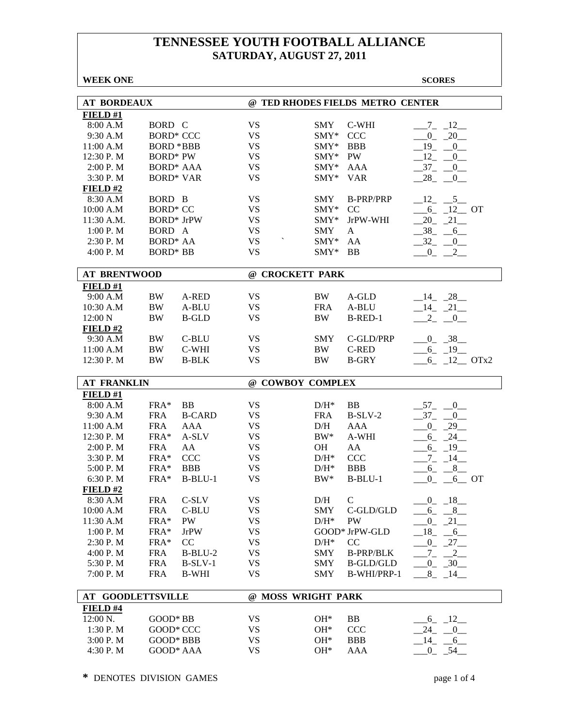| <b>WEEK ONE</b>          |                        |               |                                  |              |                            | <b>SCORES</b>                               |
|--------------------------|------------------------|---------------|----------------------------------|--------------|----------------------------|---------------------------------------------|
|                          |                        |               |                                  |              |                            |                                             |
| <b>AT BORDEAUX</b>       |                        |               | @ TED RHODES FIELDS METRO CENTER |              |                            |                                             |
| FIELD#1                  |                        |               |                                  |              |                            |                                             |
| 8:00 A.M                 | BORD C                 |               | <b>VS</b>                        | <b>SMY</b>   | C-WHI                      | $7_{-}$<br>12                               |
| 9:30 A.M                 | <b>BORD* CCC</b>       |               | <b>VS</b>                        | $SMY*$       | <b>CCC</b>                 | $0_{-}$<br>20                               |
| 11:00 A.M                | <b>BORD *BBB</b>       |               | <b>VS</b>                        | $SMY*$       | <b>BBB</b>                 | $19 - 0$                                    |
| 12:30 P.M                | <b>BORD*</b> PW        |               | <b>VS</b>                        | $SMY*$       | PW                         | $_{12}$<br>$\begin{array}{c} 0 \end{array}$ |
| 2:00 P. M                | <b>BORD* AAA</b>       |               | <b>VS</b>                        | $SMY*$       | AAA                        | $-37 - 0$                                   |
| 3:30 P.M                 | <b>BORD* VAR</b>       |               | <b>VS</b>                        | $SMY*$       | <b>VAR</b>                 | $-28$ <sub>-</sub> $-0$                     |
| FIELD#2                  |                        |               |                                  |              |                            |                                             |
| 8:30 A.M                 | BORD B                 |               | <b>VS</b>                        | <b>SMY</b>   | <b>B-PRP/PRP</b>           | $12 \qquad 5$                               |
| 10:00 A.M                | <b>BORD* CC</b>        |               | <b>VS</b>                        | $SMY*$       | CC                         | $-6$ $-12$ OT                               |
| 11:30 A.M.               | <b>BORD*</b> JrPW      |               | <b>VS</b>                        | $SMY*$       | JrPW-WHI                   | $20 - 21$                                   |
| 1:00 P. M                | BORD A                 |               | <b>VS</b>                        | <b>SMY</b>   | A                          | $-38 - -6$                                  |
| 2:30 P. M                | <b>BORD* AA</b>        |               | <b>VS</b>                        | SMY*         | AA                         | $-32 - 0$                                   |
| 4:00 P. M                | <b>BORD* BB</b>        |               | <b>VS</b>                        | $SMY*$       | <b>BB</b>                  | $0_{-}$<br>$2\_{\_}$                        |
|                          |                        |               |                                  |              |                            |                                             |
| <b>AT BRENTWOOD</b>      |                        |               | @ CROCKETT PARK                  |              |                            |                                             |
| FIED#1                   |                        |               |                                  |              |                            |                                             |
| 9:00 A.M                 | <b>BW</b>              | A-RED         | VS                               | BW           | A-GLD                      | $-14$ $-28$                                 |
| 10:30 A.M                | <b>BW</b>              | A-BLU         | <b>VS</b>                        | <b>FRA</b>   | A-BLU                      | $-14$ $-21$ $-$                             |
| 12:00 N                  | BW                     | <b>B-GLD</b>  | <b>VS</b>                        | <b>BW</b>    | B-RED-1                    | $\overline{2}$<br>$\overline{0}$            |
| FIELD#2                  |                        |               |                                  |              |                            |                                             |
| 9:30 A.M                 | <b>BW</b>              | C-BLU         | <b>VS</b>                        | <b>SMY</b>   | C-GLD/PRP                  | $0 - 38$                                    |
| 11:00 A.M                | BW                     | C-WHI         | <b>VS</b>                        | BW           | <b>C-RED</b>               | $-6 - 19$                                   |
| 12:30 P.M                | BW                     | <b>B-BLK</b>  | <b>VS</b>                        | <b>BW</b>    | <b>B-GRY</b>               | $-6$ $-12$ OTx2                             |
|                          |                        |               |                                  |              |                            |                                             |
| <b>AT FRANKLIN</b>       |                        |               | @ COWBOY COMPLEX                 |              |                            |                                             |
| FIELD#1                  |                        |               |                                  |              |                            |                                             |
| 8:00 A.M                 | FRA*                   | <b>BB</b>     | <b>VS</b>                        | $D/H^*$      | BB                         | $57 - 0$                                    |
| 9:30 A.M                 | <b>FRA</b>             | <b>B-CARD</b> | <b>VS</b>                        | <b>FRA</b>   | $B-SLV-2$                  | $-37 - 0$                                   |
| 11:00 A.M                | <b>FRA</b>             | <b>AAA</b>    | <b>VS</b>                        | D/H          | AAA                        | $-0$ $-29$                                  |
| 12:30 P.M                | FRA*                   | A-SLV         | <b>VS</b>                        | $BW^*$       | A-WHI                      | $-6 - 24$                                   |
| 2:00 P. M                | <b>FRA</b>             | AA            | <b>VS</b>                        | <b>OH</b>    | AA                         | $-6 - 19$                                   |
| 3:30 P.M                 | FRA*                   | <b>CCC</b>    | <b>VS</b>                        | $D/H^*$      | <b>CCC</b>                 | $-7 - 14$                                   |
| 5:00 P.M                 | FRA*                   | <b>BBB</b>    | <b>VS</b>                        | $D/H^*$      |                            |                                             |
| 6:30 P.M                 |                        |               |                                  |              | <b>BBB</b>                 | $6 - 8$                                     |
|                          | FRA*                   | $B-BLU-1$     | <b>VS</b>                        | BW*          | $B-BLU-1$                  | $_{0}$<br>$-6$ OT                           |
| FIELD #2                 |                        |               |                                  |              |                            |                                             |
| 8:30 A.M                 | <b>FRA</b>             | C-SLV         | <b>VS</b>                        | D/H          | $\mathsf{C}$               | $0 - 18$                                    |
| 10:00 A.M                | <b>FRA</b>             | C-BLU         | <b>VS</b>                        | SMY          | C-GLD/GLD                  | $6_{-}$<br>8                                |
| 11:30 A.M                | FRA*                   | PW            | <b>VS</b>                        | $D/H^*$      | PW                         | 0<br>21                                     |
| 1:00 P.M                 | FRA*                   | <b>JrPW</b>   | <b>VS</b>                        |              | GOOD* JrPW-GLD             | $_{18}$<br>$-6$                             |
| 2:30 P.M                 | FRA*                   | CC            | <b>VS</b>                        | $D/H^*$      | CC                         | $-0$ $-27$ $-$                              |
| 4:00 P.M                 | <b>FRA</b>             | $B-BLU-2$     | <b>VS</b>                        | <b>SMY</b>   | <b>B-PRP/BLK</b>           | $Z_{-}$<br>$-2$                             |
| 5:30 P.M                 | <b>FRA</b>             | $B-SLV-1$     | <b>VS</b>                        | SMY          | $\operatorname{B-GLD/GLD}$ | $0 - 30$                                    |
| 7:00 P.M                 | <b>FRA</b>             | <b>B-WHI</b>  | <b>VS</b>                        | <b>SMY</b>   | B-WHI/PRP-1                | $8 - 14$                                    |
|                          |                        |               |                                  |              |                            |                                             |
| <b>AT GOODLETTSVILLE</b> |                        |               | @ MOSS WRIGHT PARK               |              |                            |                                             |
| FIELD #4                 |                        |               |                                  |              |                            |                                             |
| 12:00 N.                 | GOOD* BB               |               | <b>VS</b>                        | $OH*$        | BB                         | $-6 - 12$                                   |
| 1:30 P.M                 | GOOD* CCC              |               | <b>VS</b>                        | $OH*$        | <b>CCC</b>                 | $24 - 0$                                    |
| 3:00 P.M<br>4:30 P.M     | GOOD* BBB<br>GOOD* AAA |               | <b>VS</b><br><b>VS</b>           | $OH*$<br>OH* | <b>BBB</b><br>AAA          | $-14$ $-6$<br>$0 - 54$                      |

**\*** DENOTES DIVISION GAMES page 1 of 4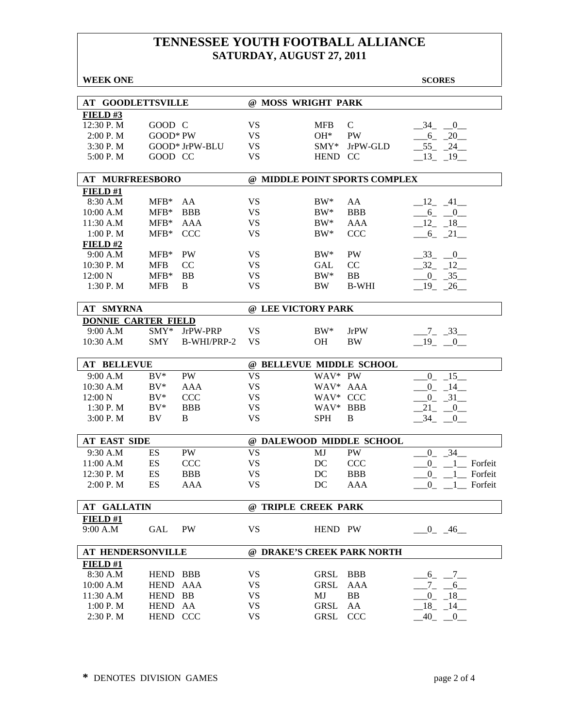| <b>AT GOODLETTSVILLE</b><br>@ MOSS WRIGHT PARK<br>FIELD#3<br>12:30 P.M<br>GOOD C<br>VS<br><b>MFB</b><br>$\mathcal{C}$<br>34 0<br><b>PW</b><br>2:00 P.M<br>$GOOD*PW$<br><b>VS</b><br>$OH*$<br>$-6 - 20$<br>3:30 P.M<br>GOOD* JrPW-BLU<br><b>VS</b><br>$SMY*$<br>JrPW-GLD<br>$-55$ $-24$<br>5:00 P.M<br>GOOD CC<br><b>VS</b><br><b>HEND</b><br><sub>CC</sub><br>$-13$ $-19$<br><b>AT MURFREESBORO</b><br>@ MIDDLE POINT SPORTS COMPLEX<br>FIELD#1<br><b>VS</b><br>8:30 A.M<br>$MFB*$<br>AA<br>$BW^*$<br>AA<br>$-12$ $-41$<br>$MFB*$<br><b>BBB</b><br><b>BBB</b><br>10:00 A.M<br><b>VS</b><br>$BW^*$<br>$-6 - 0$<br>$MFB*$<br><b>AAA</b><br>11:30 A.M<br>AAA<br><b>VS</b><br>$BW^*$<br>$-12 - 18$<br><b>CCC</b><br><b>CCC</b><br><b>VS</b><br>1:00 P. M<br>$MFB*$<br>$BW^*$<br>$-6 - 21$<br>FIELD#2<br>PW<br>9:00 A.M<br>$MFB*$<br><b>PW</b><br><b>VS</b><br>$BW^*$<br>$-33 - 0$<br>10:30 P.M<br><b>VS</b><br>CC<br>$-32 - 12$<br><b>MFB</b><br><sub>CC</sub><br><b>GAL</b><br><b>BB</b><br><b>VS</b><br>$BW^*$<br><b>BB</b><br>12:00 N<br>$MFB*$<br>$-0$ $-35$<br><b>VS</b><br>1:30P. M<br><b>MFB</b><br>B<br><b>BW</b><br><b>B-WHI</b><br>$-19$ $-26$<br><b>AT SMYRNA</b><br>@ LEE VICTORY PARK<br><b>DONNIE CARTER FIELD</b><br>9:00 A.M<br>$SMY*$<br>JrPW-PRP<br><b>VS</b><br>$BW^*$<br><b>JrPW</b><br>$-7 - 33$<br>10:30 A.M<br><b>SMY</b><br>B-WHI/PRP-2<br><b>VS</b><br>$-19$ $-0$<br><b>OH</b><br><b>BW</b><br><b>AT BELLEVUE</b><br>@ BELLEVUE MIDDLE SCHOOL<br>WAV* PW<br>9:00 A.M<br>$BV^*$<br><b>PW</b><br><b>VS</b><br>$-0$ $-15$<br>$BV^*$<br><b>VS</b><br>WAV* AAA<br>10:30 A.M<br>AAA<br>$0 - 14$<br>12:00 N<br>$BV^*$<br><b>CCC</b><br><b>VS</b><br>WAV* CCC<br>$0 - 31$<br>$BV^*$<br><b>BBB</b><br><b>VS</b><br>WAV*<br><b>BBB</b><br>1:30P. M<br>21<br>$_{0}$<br><b>VS</b><br>B<br>3:00 P. M<br>BV<br>B<br><b>SPH</b><br>34<br>$\overline{0}$<br><b>AT EAST SIDE</b><br>@ DALEWOOD MIDDLE SCHOOL<br>9:30 A.M<br>PW<br><b>VS</b><br>MJ<br>PW<br>34<br>ES<br>$\overline{0}$<br>ES<br>CCC<br><b>VS</b><br>DC<br><b>CCC</b><br>Forfeit<br>11:00 A.M<br>$\overline{0}$<br><b>VS</b><br>ES<br><b>BBB</b><br>DC<br><b>BBB</b><br>12:30 P.M<br>Forfeit<br>$\overline{0}$<br>2:00 P.M<br>ES<br>AAA<br>VS<br>DC<br><b>AAA</b><br>$0 \quad 1 \quad$ Forfeit<br><b>AT GALLATIN</b><br>@ TRIPLE CREEK PARK<br>FIELD #1<br>9:00 A.M<br>GAL<br>PW<br><b>VS</b><br>$-0$ $-46$<br>HEND PW<br><b>AT HENDERSONVILLE</b><br>@ DRAKE'S CREEK PARK NORTH<br>FIELD#1<br>8:30 A.M<br>HEND BBB<br>VS<br><b>GRSL</b><br><b>BBB</b><br>$.6 - .7 -$<br>10:00 A.M<br>HEND AAA<br><b>VS</b><br><b>GRSL</b><br>AAA<br>$^{7}$ $^{6}$<br>11:30 A.M<br>HEND BB<br><b>VS</b><br>MJ<br>BB<br>$0_{-}$<br>$-18$ | <b>WEEK ONE</b> |  |  |  | <b>SCORES</b> |  |  |  |
|-------------------------------------------------------------------------------------------------------------------------------------------------------------------------------------------------------------------------------------------------------------------------------------------------------------------------------------------------------------------------------------------------------------------------------------------------------------------------------------------------------------------------------------------------------------------------------------------------------------------------------------------------------------------------------------------------------------------------------------------------------------------------------------------------------------------------------------------------------------------------------------------------------------------------------------------------------------------------------------------------------------------------------------------------------------------------------------------------------------------------------------------------------------------------------------------------------------------------------------------------------------------------------------------------------------------------------------------------------------------------------------------------------------------------------------------------------------------------------------------------------------------------------------------------------------------------------------------------------------------------------------------------------------------------------------------------------------------------------------------------------------------------------------------------------------------------------------------------------------------------------------------------------------------------------------------------------------------------------------------------------------------------------------------------------------------------------------------------------------------------------------------------------------------------------------------------------------------------------------------------------------------------------------------------------------------------------------------------------------------------------------------------------------------------------------------------------------------------------------------------------------------------------------------------------------------------------------------------------------------------------------------------------------------------------------------|-----------------|--|--|--|---------------|--|--|--|
|                                                                                                                                                                                                                                                                                                                                                                                                                                                                                                                                                                                                                                                                                                                                                                                                                                                                                                                                                                                                                                                                                                                                                                                                                                                                                                                                                                                                                                                                                                                                                                                                                                                                                                                                                                                                                                                                                                                                                                                                                                                                                                                                                                                                                                                                                                                                                                                                                                                                                                                                                                                                                                                                                           |                 |  |  |  |               |  |  |  |
|                                                                                                                                                                                                                                                                                                                                                                                                                                                                                                                                                                                                                                                                                                                                                                                                                                                                                                                                                                                                                                                                                                                                                                                                                                                                                                                                                                                                                                                                                                                                                                                                                                                                                                                                                                                                                                                                                                                                                                                                                                                                                                                                                                                                                                                                                                                                                                                                                                                                                                                                                                                                                                                                                           |                 |  |  |  |               |  |  |  |
|                                                                                                                                                                                                                                                                                                                                                                                                                                                                                                                                                                                                                                                                                                                                                                                                                                                                                                                                                                                                                                                                                                                                                                                                                                                                                                                                                                                                                                                                                                                                                                                                                                                                                                                                                                                                                                                                                                                                                                                                                                                                                                                                                                                                                                                                                                                                                                                                                                                                                                                                                                                                                                                                                           |                 |  |  |  |               |  |  |  |
|                                                                                                                                                                                                                                                                                                                                                                                                                                                                                                                                                                                                                                                                                                                                                                                                                                                                                                                                                                                                                                                                                                                                                                                                                                                                                                                                                                                                                                                                                                                                                                                                                                                                                                                                                                                                                                                                                                                                                                                                                                                                                                                                                                                                                                                                                                                                                                                                                                                                                                                                                                                                                                                                                           |                 |  |  |  |               |  |  |  |
|                                                                                                                                                                                                                                                                                                                                                                                                                                                                                                                                                                                                                                                                                                                                                                                                                                                                                                                                                                                                                                                                                                                                                                                                                                                                                                                                                                                                                                                                                                                                                                                                                                                                                                                                                                                                                                                                                                                                                                                                                                                                                                                                                                                                                                                                                                                                                                                                                                                                                                                                                                                                                                                                                           |                 |  |  |  |               |  |  |  |
|                                                                                                                                                                                                                                                                                                                                                                                                                                                                                                                                                                                                                                                                                                                                                                                                                                                                                                                                                                                                                                                                                                                                                                                                                                                                                                                                                                                                                                                                                                                                                                                                                                                                                                                                                                                                                                                                                                                                                                                                                                                                                                                                                                                                                                                                                                                                                                                                                                                                                                                                                                                                                                                                                           |                 |  |  |  |               |  |  |  |
|                                                                                                                                                                                                                                                                                                                                                                                                                                                                                                                                                                                                                                                                                                                                                                                                                                                                                                                                                                                                                                                                                                                                                                                                                                                                                                                                                                                                                                                                                                                                                                                                                                                                                                                                                                                                                                                                                                                                                                                                                                                                                                                                                                                                                                                                                                                                                                                                                                                                                                                                                                                                                                                                                           |                 |  |  |  |               |  |  |  |
|                                                                                                                                                                                                                                                                                                                                                                                                                                                                                                                                                                                                                                                                                                                                                                                                                                                                                                                                                                                                                                                                                                                                                                                                                                                                                                                                                                                                                                                                                                                                                                                                                                                                                                                                                                                                                                                                                                                                                                                                                                                                                                                                                                                                                                                                                                                                                                                                                                                                                                                                                                                                                                                                                           |                 |  |  |  |               |  |  |  |
|                                                                                                                                                                                                                                                                                                                                                                                                                                                                                                                                                                                                                                                                                                                                                                                                                                                                                                                                                                                                                                                                                                                                                                                                                                                                                                                                                                                                                                                                                                                                                                                                                                                                                                                                                                                                                                                                                                                                                                                                                                                                                                                                                                                                                                                                                                                                                                                                                                                                                                                                                                                                                                                                                           |                 |  |  |  |               |  |  |  |
|                                                                                                                                                                                                                                                                                                                                                                                                                                                                                                                                                                                                                                                                                                                                                                                                                                                                                                                                                                                                                                                                                                                                                                                                                                                                                                                                                                                                                                                                                                                                                                                                                                                                                                                                                                                                                                                                                                                                                                                                                                                                                                                                                                                                                                                                                                                                                                                                                                                                                                                                                                                                                                                                                           |                 |  |  |  |               |  |  |  |
|                                                                                                                                                                                                                                                                                                                                                                                                                                                                                                                                                                                                                                                                                                                                                                                                                                                                                                                                                                                                                                                                                                                                                                                                                                                                                                                                                                                                                                                                                                                                                                                                                                                                                                                                                                                                                                                                                                                                                                                                                                                                                                                                                                                                                                                                                                                                                                                                                                                                                                                                                                                                                                                                                           |                 |  |  |  |               |  |  |  |
|                                                                                                                                                                                                                                                                                                                                                                                                                                                                                                                                                                                                                                                                                                                                                                                                                                                                                                                                                                                                                                                                                                                                                                                                                                                                                                                                                                                                                                                                                                                                                                                                                                                                                                                                                                                                                                                                                                                                                                                                                                                                                                                                                                                                                                                                                                                                                                                                                                                                                                                                                                                                                                                                                           |                 |  |  |  |               |  |  |  |
|                                                                                                                                                                                                                                                                                                                                                                                                                                                                                                                                                                                                                                                                                                                                                                                                                                                                                                                                                                                                                                                                                                                                                                                                                                                                                                                                                                                                                                                                                                                                                                                                                                                                                                                                                                                                                                                                                                                                                                                                                                                                                                                                                                                                                                                                                                                                                                                                                                                                                                                                                                                                                                                                                           |                 |  |  |  |               |  |  |  |
|                                                                                                                                                                                                                                                                                                                                                                                                                                                                                                                                                                                                                                                                                                                                                                                                                                                                                                                                                                                                                                                                                                                                                                                                                                                                                                                                                                                                                                                                                                                                                                                                                                                                                                                                                                                                                                                                                                                                                                                                                                                                                                                                                                                                                                                                                                                                                                                                                                                                                                                                                                                                                                                                                           |                 |  |  |  |               |  |  |  |
|                                                                                                                                                                                                                                                                                                                                                                                                                                                                                                                                                                                                                                                                                                                                                                                                                                                                                                                                                                                                                                                                                                                                                                                                                                                                                                                                                                                                                                                                                                                                                                                                                                                                                                                                                                                                                                                                                                                                                                                                                                                                                                                                                                                                                                                                                                                                                                                                                                                                                                                                                                                                                                                                                           |                 |  |  |  |               |  |  |  |
|                                                                                                                                                                                                                                                                                                                                                                                                                                                                                                                                                                                                                                                                                                                                                                                                                                                                                                                                                                                                                                                                                                                                                                                                                                                                                                                                                                                                                                                                                                                                                                                                                                                                                                                                                                                                                                                                                                                                                                                                                                                                                                                                                                                                                                                                                                                                                                                                                                                                                                                                                                                                                                                                                           |                 |  |  |  |               |  |  |  |
|                                                                                                                                                                                                                                                                                                                                                                                                                                                                                                                                                                                                                                                                                                                                                                                                                                                                                                                                                                                                                                                                                                                                                                                                                                                                                                                                                                                                                                                                                                                                                                                                                                                                                                                                                                                                                                                                                                                                                                                                                                                                                                                                                                                                                                                                                                                                                                                                                                                                                                                                                                                                                                                                                           |                 |  |  |  |               |  |  |  |
|                                                                                                                                                                                                                                                                                                                                                                                                                                                                                                                                                                                                                                                                                                                                                                                                                                                                                                                                                                                                                                                                                                                                                                                                                                                                                                                                                                                                                                                                                                                                                                                                                                                                                                                                                                                                                                                                                                                                                                                                                                                                                                                                                                                                                                                                                                                                                                                                                                                                                                                                                                                                                                                                                           |                 |  |  |  |               |  |  |  |
|                                                                                                                                                                                                                                                                                                                                                                                                                                                                                                                                                                                                                                                                                                                                                                                                                                                                                                                                                                                                                                                                                                                                                                                                                                                                                                                                                                                                                                                                                                                                                                                                                                                                                                                                                                                                                                                                                                                                                                                                                                                                                                                                                                                                                                                                                                                                                                                                                                                                                                                                                                                                                                                                                           |                 |  |  |  |               |  |  |  |
|                                                                                                                                                                                                                                                                                                                                                                                                                                                                                                                                                                                                                                                                                                                                                                                                                                                                                                                                                                                                                                                                                                                                                                                                                                                                                                                                                                                                                                                                                                                                                                                                                                                                                                                                                                                                                                                                                                                                                                                                                                                                                                                                                                                                                                                                                                                                                                                                                                                                                                                                                                                                                                                                                           |                 |  |  |  |               |  |  |  |
|                                                                                                                                                                                                                                                                                                                                                                                                                                                                                                                                                                                                                                                                                                                                                                                                                                                                                                                                                                                                                                                                                                                                                                                                                                                                                                                                                                                                                                                                                                                                                                                                                                                                                                                                                                                                                                                                                                                                                                                                                                                                                                                                                                                                                                                                                                                                                                                                                                                                                                                                                                                                                                                                                           |                 |  |  |  |               |  |  |  |
|                                                                                                                                                                                                                                                                                                                                                                                                                                                                                                                                                                                                                                                                                                                                                                                                                                                                                                                                                                                                                                                                                                                                                                                                                                                                                                                                                                                                                                                                                                                                                                                                                                                                                                                                                                                                                                                                                                                                                                                                                                                                                                                                                                                                                                                                                                                                                                                                                                                                                                                                                                                                                                                                                           |                 |  |  |  |               |  |  |  |
|                                                                                                                                                                                                                                                                                                                                                                                                                                                                                                                                                                                                                                                                                                                                                                                                                                                                                                                                                                                                                                                                                                                                                                                                                                                                                                                                                                                                                                                                                                                                                                                                                                                                                                                                                                                                                                                                                                                                                                                                                                                                                                                                                                                                                                                                                                                                                                                                                                                                                                                                                                                                                                                                                           |                 |  |  |  |               |  |  |  |
|                                                                                                                                                                                                                                                                                                                                                                                                                                                                                                                                                                                                                                                                                                                                                                                                                                                                                                                                                                                                                                                                                                                                                                                                                                                                                                                                                                                                                                                                                                                                                                                                                                                                                                                                                                                                                                                                                                                                                                                                                                                                                                                                                                                                                                                                                                                                                                                                                                                                                                                                                                                                                                                                                           |                 |  |  |  |               |  |  |  |
|                                                                                                                                                                                                                                                                                                                                                                                                                                                                                                                                                                                                                                                                                                                                                                                                                                                                                                                                                                                                                                                                                                                                                                                                                                                                                                                                                                                                                                                                                                                                                                                                                                                                                                                                                                                                                                                                                                                                                                                                                                                                                                                                                                                                                                                                                                                                                                                                                                                                                                                                                                                                                                                                                           |                 |  |  |  |               |  |  |  |
|                                                                                                                                                                                                                                                                                                                                                                                                                                                                                                                                                                                                                                                                                                                                                                                                                                                                                                                                                                                                                                                                                                                                                                                                                                                                                                                                                                                                                                                                                                                                                                                                                                                                                                                                                                                                                                                                                                                                                                                                                                                                                                                                                                                                                                                                                                                                                                                                                                                                                                                                                                                                                                                                                           |                 |  |  |  |               |  |  |  |
|                                                                                                                                                                                                                                                                                                                                                                                                                                                                                                                                                                                                                                                                                                                                                                                                                                                                                                                                                                                                                                                                                                                                                                                                                                                                                                                                                                                                                                                                                                                                                                                                                                                                                                                                                                                                                                                                                                                                                                                                                                                                                                                                                                                                                                                                                                                                                                                                                                                                                                                                                                                                                                                                                           |                 |  |  |  |               |  |  |  |
|                                                                                                                                                                                                                                                                                                                                                                                                                                                                                                                                                                                                                                                                                                                                                                                                                                                                                                                                                                                                                                                                                                                                                                                                                                                                                                                                                                                                                                                                                                                                                                                                                                                                                                                                                                                                                                                                                                                                                                                                                                                                                                                                                                                                                                                                                                                                                                                                                                                                                                                                                                                                                                                                                           |                 |  |  |  |               |  |  |  |
|                                                                                                                                                                                                                                                                                                                                                                                                                                                                                                                                                                                                                                                                                                                                                                                                                                                                                                                                                                                                                                                                                                                                                                                                                                                                                                                                                                                                                                                                                                                                                                                                                                                                                                                                                                                                                                                                                                                                                                                                                                                                                                                                                                                                                                                                                                                                                                                                                                                                                                                                                                                                                                                                                           |                 |  |  |  |               |  |  |  |
|                                                                                                                                                                                                                                                                                                                                                                                                                                                                                                                                                                                                                                                                                                                                                                                                                                                                                                                                                                                                                                                                                                                                                                                                                                                                                                                                                                                                                                                                                                                                                                                                                                                                                                                                                                                                                                                                                                                                                                                                                                                                                                                                                                                                                                                                                                                                                                                                                                                                                                                                                                                                                                                                                           |                 |  |  |  |               |  |  |  |
|                                                                                                                                                                                                                                                                                                                                                                                                                                                                                                                                                                                                                                                                                                                                                                                                                                                                                                                                                                                                                                                                                                                                                                                                                                                                                                                                                                                                                                                                                                                                                                                                                                                                                                                                                                                                                                                                                                                                                                                                                                                                                                                                                                                                                                                                                                                                                                                                                                                                                                                                                                                                                                                                                           |                 |  |  |  |               |  |  |  |
|                                                                                                                                                                                                                                                                                                                                                                                                                                                                                                                                                                                                                                                                                                                                                                                                                                                                                                                                                                                                                                                                                                                                                                                                                                                                                                                                                                                                                                                                                                                                                                                                                                                                                                                                                                                                                                                                                                                                                                                                                                                                                                                                                                                                                                                                                                                                                                                                                                                                                                                                                                                                                                                                                           |                 |  |  |  |               |  |  |  |
|                                                                                                                                                                                                                                                                                                                                                                                                                                                                                                                                                                                                                                                                                                                                                                                                                                                                                                                                                                                                                                                                                                                                                                                                                                                                                                                                                                                                                                                                                                                                                                                                                                                                                                                                                                                                                                                                                                                                                                                                                                                                                                                                                                                                                                                                                                                                                                                                                                                                                                                                                                                                                                                                                           |                 |  |  |  |               |  |  |  |
|                                                                                                                                                                                                                                                                                                                                                                                                                                                                                                                                                                                                                                                                                                                                                                                                                                                                                                                                                                                                                                                                                                                                                                                                                                                                                                                                                                                                                                                                                                                                                                                                                                                                                                                                                                                                                                                                                                                                                                                                                                                                                                                                                                                                                                                                                                                                                                                                                                                                                                                                                                                                                                                                                           |                 |  |  |  |               |  |  |  |
|                                                                                                                                                                                                                                                                                                                                                                                                                                                                                                                                                                                                                                                                                                                                                                                                                                                                                                                                                                                                                                                                                                                                                                                                                                                                                                                                                                                                                                                                                                                                                                                                                                                                                                                                                                                                                                                                                                                                                                                                                                                                                                                                                                                                                                                                                                                                                                                                                                                                                                                                                                                                                                                                                           |                 |  |  |  |               |  |  |  |
|                                                                                                                                                                                                                                                                                                                                                                                                                                                                                                                                                                                                                                                                                                                                                                                                                                                                                                                                                                                                                                                                                                                                                                                                                                                                                                                                                                                                                                                                                                                                                                                                                                                                                                                                                                                                                                                                                                                                                                                                                                                                                                                                                                                                                                                                                                                                                                                                                                                                                                                                                                                                                                                                                           |                 |  |  |  |               |  |  |  |
|                                                                                                                                                                                                                                                                                                                                                                                                                                                                                                                                                                                                                                                                                                                                                                                                                                                                                                                                                                                                                                                                                                                                                                                                                                                                                                                                                                                                                                                                                                                                                                                                                                                                                                                                                                                                                                                                                                                                                                                                                                                                                                                                                                                                                                                                                                                                                                                                                                                                                                                                                                                                                                                                                           |                 |  |  |  |               |  |  |  |
|                                                                                                                                                                                                                                                                                                                                                                                                                                                                                                                                                                                                                                                                                                                                                                                                                                                                                                                                                                                                                                                                                                                                                                                                                                                                                                                                                                                                                                                                                                                                                                                                                                                                                                                                                                                                                                                                                                                                                                                                                                                                                                                                                                                                                                                                                                                                                                                                                                                                                                                                                                                                                                                                                           |                 |  |  |  |               |  |  |  |
|                                                                                                                                                                                                                                                                                                                                                                                                                                                                                                                                                                                                                                                                                                                                                                                                                                                                                                                                                                                                                                                                                                                                                                                                                                                                                                                                                                                                                                                                                                                                                                                                                                                                                                                                                                                                                                                                                                                                                                                                                                                                                                                                                                                                                                                                                                                                                                                                                                                                                                                                                                                                                                                                                           |                 |  |  |  |               |  |  |  |
| 1:00 P.M<br>HEND AA<br><b>GRSL</b><br>18<br>VS<br>AA<br>$-14$                                                                                                                                                                                                                                                                                                                                                                                                                                                                                                                                                                                                                                                                                                                                                                                                                                                                                                                                                                                                                                                                                                                                                                                                                                                                                                                                                                                                                                                                                                                                                                                                                                                                                                                                                                                                                                                                                                                                                                                                                                                                                                                                                                                                                                                                                                                                                                                                                                                                                                                                                                                                                             |                 |  |  |  |               |  |  |  |
| 40<br>2:30 P.M<br>HEND CCC<br>VS<br><b>GRSL</b><br><b>CCC</b><br>$\overline{0}$                                                                                                                                                                                                                                                                                                                                                                                                                                                                                                                                                                                                                                                                                                                                                                                                                                                                                                                                                                                                                                                                                                                                                                                                                                                                                                                                                                                                                                                                                                                                                                                                                                                                                                                                                                                                                                                                                                                                                                                                                                                                                                                                                                                                                                                                                                                                                                                                                                                                                                                                                                                                           |                 |  |  |  |               |  |  |  |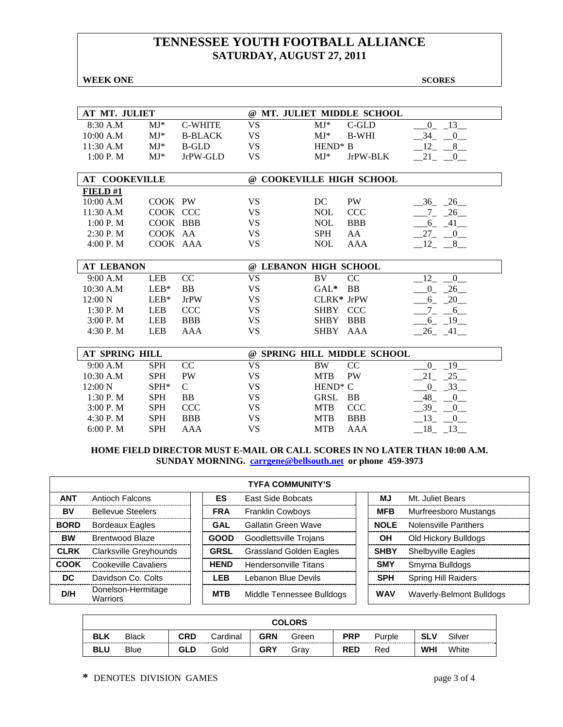**WEEK ONE** SCORES

| AT MT. JULIET         |            |                |                          |                     | @ MT. JULIET MIDDLE SCHOOL  |                                        |
|-----------------------|------------|----------------|--------------------------|---------------------|-----------------------------|----------------------------------------|
| 8:30 A.M              | $MJ^*$     | <b>C-WHITE</b> | <b>VS</b>                | $MJ*$               | C-GLD                       | 13<br>$\overline{0}$                   |
| 10:00 A.M             | $MJ*$      | <b>B-BLACK</b> | <b>VS</b>                | $MJ^*$              | <b>B-WHI</b>                | 34<br>$\overline{0}$                   |
| 11:30 A.M             | $MJ^*$     | <b>B-GLD</b>   | <b>VS</b>                | $HEND^* B$          |                             | 12<br>8                                |
| 1:00 P. M             | $MJ*$      | JrPW-GLD       | <b>VS</b>                | $MJ^*$              | JrPW-BLK                    | 21<br>$\overline{0}$                   |
|                       |            |                |                          |                     |                             |                                        |
| <b>AT COOKEVILLE</b>  |            |                | @ COOKEVILLE HIGH SCHOOL |                     |                             |                                        |
| FIELD #1              |            |                |                          |                     |                             |                                        |
| 10:00 A.M             | COOK PW    |                | <b>VS</b>                | DC                  | <b>PW</b>                   | $-36 - 26$                             |
| 11:30 A.M             | COOK CCC   |                | <b>VS</b>                | <b>NOL</b>          | <b>CCC</b>                  | 26<br>$7_{-}$                          |
| 1:00 P. M             | COOK BBB   |                | VS                       | <b>NOL</b>          | <b>BBB</b>                  | 41<br>6                                |
| $2:30$ P. M           | COOK AA    |                | <b>VS</b>                | <b>SPH</b>          | AA                          | 27<br>$\begin{array}{c} 0 \end{array}$ |
| 4:00 P. M             | COOK AAA   |                | <b>VS</b>                | <b>NOL</b>          | <b>AAA</b>                  | $-12$ , $-8$                           |
|                       |            |                |                          |                     |                             |                                        |
| <b>AT LEBANON</b>     |            |                | @ LEBANON HIGH SCHOOL    |                     |                             |                                        |
| 9:00 A.M              | <b>LEB</b> | CC             | <b>VS</b>                | BV                  | <sub>CC</sub>               | $\overline{0}$<br>12                   |
| 10:30 A.M             | $LEB*$     | <b>BB</b>      | <b>VS</b>                | $GAL*$              | <b>BB</b>                   | 26<br>$\overline{0}$                   |
| 12:00 N               | $LEB*$     | <b>JrPW</b>    | <b>VS</b>                | CLRK* JrPW          |                             | 20<br>6                                |
| 1:30P. M              | <b>LEB</b> | <b>CCC</b>     | <b>VS</b>                | SHBY CCC            |                             | $7_{-}$<br>6                           |
| 3:00 P. M             | LEB        | <b>BBB</b>     | <b>VS</b>                | <b>SHBY</b>         | <b>BBB</b>                  | $-6 - 19$                              |
| 4:30 P.M              | <b>LEB</b> | <b>AAA</b>     | <b>VS</b>                | <b>SHBY</b>         | AAA                         | 26 41                                  |
|                       |            |                |                          |                     |                             |                                        |
| <b>AT SPRING HILL</b> |            |                |                          |                     | @ SPRING HILL MIDDLE SCHOOL |                                        |
| 9:00 A.M              | <b>SPH</b> | CC             | <b>VS</b>                | <b>BW</b>           | CC                          | 19<br>$\overline{0}$                   |
| 10:30 A.M             | <b>SPH</b> | <b>PW</b>      | <b>VS</b>                | <b>MTB</b>          | PW                          | $-25$<br>21                            |
| $12:00\ N$            | SPH*       | $\mathcal{C}$  | <b>VS</b>                | HEND <sup>*</sup> C |                             | $-33$<br>$\overline{0}$                |
| 1:30 P.M              | <b>SPH</b> | <b>BB</b>      | <b>VS</b>                | <b>GRSL</b>         | <b>BB</b>                   | 48<br>$\boldsymbol{0}$                 |
| 3:00 P. M             | <b>SPH</b> | <b>CCC</b>     | <b>VS</b>                | <b>MTB</b>          | <b>CCC</b>                  | 39<br>$\mathbf{0}$                     |
| 4:30 P.M              | <b>SPH</b> | <b>BBB</b>     | <b>VS</b>                | <b>MTB</b>          | <b>BBB</b>                  | 13<br>$\overline{0}$                   |
| 6:00 P. M             | <b>SPH</b> | <b>AAA</b>     | <b>VS</b>                | <b>MTB</b>          | AAA                         | 13<br>18                               |

### **HOME FIELD DIRECTOR MUST E-MAIL OR CALL SCORES IN NO LATER THAN 10:00 A.M. SUNDAY MORNING. carrgene@bellsouth.net or phone 459-3973**

|             | <b>TYFA COMMUNITY'S</b>        |  |             |                                |  |             |                            |  |  |
|-------------|--------------------------------|--|-------------|--------------------------------|--|-------------|----------------------------|--|--|
| <b>ANT</b>  | Antioch Falcons                |  | ES          | East Side Bobcats              |  | MJ          | Mt. Juliet Bears           |  |  |
| <b>BV</b>   | <b>Bellevue Steelers</b>       |  | <b>FRA</b>  | <b>Franklin Cowboys</b>        |  | <b>MFB</b>  | Murfreesboro Mustangs      |  |  |
| <b>BORD</b> | <b>Bordeaux Eagles</b>         |  | GAL         | <b>Gallatin Green Wave</b>     |  | <b>NOLE</b> | Nolensville Panthers       |  |  |
| <b>BW</b>   | Brentwood Blaze                |  | <b>GOOD</b> | Goodlettsville Trojans         |  | OН          | Old Hickory Bulldogs       |  |  |
| <b>CLRK</b> | Clarksville Greyhounds         |  | <b>GRSL</b> | <b>Grassland Golden Eagles</b> |  | <b>SHBY</b> | <b>Shelbyville Eagles</b>  |  |  |
| COOK        | Cookeville Cavaliers           |  | <b>HEND</b> | <b>Hendersonville Titans</b>   |  | <b>SMY</b>  | Smyrna Bulldogs            |  |  |
| DC.         | Davidson Co. Colts             |  | <b>LEB</b>  | Lebanon Blue Devils            |  | <b>SPH</b>  | <b>Spring Hill Raiders</b> |  |  |
| D/H         | Donelson-Hermitage<br>Warriors |  | <b>MTB</b>  | Middle Tennessee Bulldogs      |  | <b>WAV</b>  | Waverly-Belmont Bulldogs   |  |  |

|            | <b>COLORS</b> |     |          |            |       |            |        |            |        |
|------------|---------------|-----|----------|------------|-------|------------|--------|------------|--------|
| <b>BLK</b> | <b>Black</b>  | CRD | Cardinal | <b>GRN</b> | Green | <b>PRP</b> | Purple | SLV        | Silver |
| <b>BLU</b> | <b>Blue</b>   | GLD | Gold     | <b>GRY</b> | Grav  | <b>RED</b> | Red    | <b>WHI</b> | White  |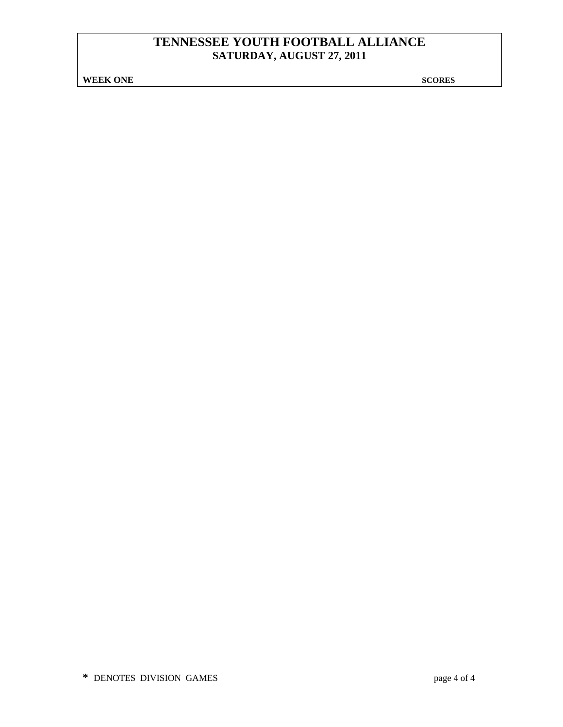**WEEK ONE** SCORES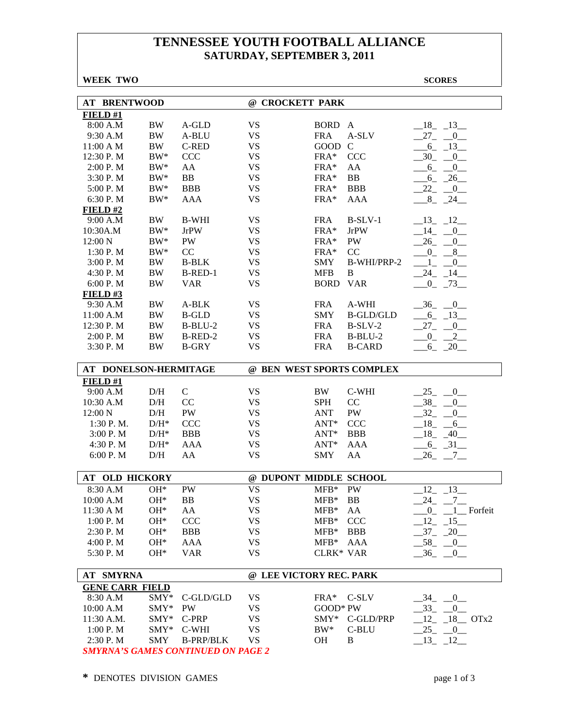**WEEK TWO SCORES** 

| <b>AT BRENTWOOD</b>                |                    |                  | @ CROCKETT PARK           |                  |                  |                           |  |  |
|------------------------------------|--------------------|------------------|---------------------------|------------------|------------------|---------------------------|--|--|
| FIELD#1                            |                    |                  |                           |                  |                  |                           |  |  |
| 8:00 A.M                           | <b>BW</b>          | A-GLD            | <b>VS</b>                 | <b>BORD</b>      | $\mathbf{A}$     | $-18$ $-13$               |  |  |
| 9:30 A.M                           | <b>BW</b>          | A-BLU            | <b>VS</b>                 | <b>FRA</b>       | A-SLV            | $27 - 0$                  |  |  |
| 11:00 A M                          | <b>BW</b>          | <b>C-RED</b>     | <b>VS</b>                 | GOOD             | $\mathcal{C}$    | $-6 - 13$                 |  |  |
| 12:30 P.M                          | $BW^*$             | <b>CCC</b>       | <b>VS</b>                 | FRA*             | CCC              | $-30$ $-0$ $-$            |  |  |
| 2:00 P. M                          | $BW^*$             | AA               | <b>VS</b>                 | FRA*             | AA               | $-6 - -0$                 |  |  |
| 3:30 P.M                           | $BW^*$             | <b>BB</b>        | <b>VS</b>                 | FRA*             | <b>BB</b>        | $-6 - 26$                 |  |  |
| 5:00 P.M                           | $BW^*$             | <b>BBB</b>       | <b>VS</b>                 | FRA*             | <b>BBB</b>       | $-22$ $-0$                |  |  |
| 6:30 P.M                           | $BW^*$             | <b>AAA</b>       | <b>VS</b>                 | FRA*             | <b>AAA</b>       | $8_{-}$<br>$-24$          |  |  |
| FIELD#2                            |                    |                  |                           |                  |                  |                           |  |  |
| 9:00 A.M                           | BW                 | <b>B-WHI</b>     | <b>VS</b>                 | <b>FRA</b>       | $B-SLV-1$        | $-13 - 12$                |  |  |
| 10:30A.M                           | $\rm BW^*$         | <b>JrPW</b>      | <b>VS</b>                 | FRA*             | <b>JrPW</b>      | $-14$ $-0$                |  |  |
| 12:00 N                            | $BW^*$             | PW               | <b>VS</b>                 | FRA*             | PW               | $26 -$<br>$\overline{0}$  |  |  |
| 1:30 P.M                           | $BW^*$             | CC               | <b>VS</b>                 | FRA*             | CC               | $0 - 8$                   |  |  |
| 3:00 P. M                          | <b>BW</b>          | <b>B-BLK</b>     | <b>VS</b>                 | <b>SMY</b>       | B-WHI/PRP-2      | $1_{-}$<br>$\overline{0}$ |  |  |
| 4:30 P.M                           | <b>BW</b>          | B-RED-1          | <b>VS</b>                 | <b>MFB</b>       | B                | $-24 - 14$                |  |  |
| 6:00 P. M                          | BW                 | <b>VAR</b>       | <b>VS</b>                 | <b>BORD</b>      | <b>VAR</b>       | $-0$ $-73$                |  |  |
| FIELD# $3$                         |                    |                  |                           |                  |                  |                           |  |  |
| 9:30 A.M                           | <b>BW</b>          | A-BLK            | <b>VS</b>                 | <b>FRA</b>       | A-WHI            | $-36$ $-0$                |  |  |
| 11:00 A.M                          | BW                 | <b>B-GLD</b>     | <b>VS</b>                 | <b>SMY</b>       | <b>B-GLD/GLD</b> | $-6 - 13$                 |  |  |
| 12:30 P.M                          | $\rm BW$           | $B-BLU-2$        | <b>VS</b>                 | <b>FRA</b>       | $B-SLV-2$        | $-27$<br>$0$ <sub>—</sub> |  |  |
| 2:00 P.M                           | <b>BW</b>          | B-RED-2          | <b>VS</b>                 | <b>FRA</b>       | $B-BLU-2$        | $_{0_{-}}$<br>$2 \n-$     |  |  |
| 3:30 P.M                           | <b>BW</b>          | <b>B-GRY</b>     | <b>VS</b>                 | <b>FRA</b>       | <b>B-CARD</b>    | $6_{-}$<br>$-20$          |  |  |
|                                    |                    |                  |                           |                  |                  |                           |  |  |
| AT DONELSON-HERMITAGE              |                    |                  | @ BEN WEST SPORTS COMPLEX |                  |                  |                           |  |  |
| FIELD#1                            |                    |                  |                           |                  |                  |                           |  |  |
| 9:00 A.M                           | D/H                | $\mathsf{C}$     | <b>VS</b>                 | BW               | C-WHI            | $-25$<br>$-0$             |  |  |
| 10:30 A.M                          | D/H                | CC               | <b>VS</b>                 | <b>SPH</b>       | CC               | $-38$<br>0                |  |  |
| 12:00 N                            | D/H                | PW               | <b>VS</b>                 | <b>ANT</b>       | PW               | 32<br>$\overline{0}$      |  |  |
| 1:30 P.M.                          | $D/H^*$            | <b>CCC</b>       | <b>VS</b>                 | $ANT^*$          | <b>CCC</b>       | $-18$ $-$<br>6            |  |  |
| 3:00 P.M                           | $D/H^*$            | <b>BBB</b>       | <b>VS</b>                 | $ANT^*$          | <b>BBB</b>       | $-18$ $-40$               |  |  |
| 4:30 P.M                           | $D/H^*$            | AAA              | <b>VS</b>                 | ANT*             | <b>AAA</b>       | $-6 - 31$                 |  |  |
| 6:00 P.M                           | D/H                | AA               | <b>VS</b>                 | <b>SMY</b>       | AA               | $26 - 7$                  |  |  |
|                                    |                    |                  |                           |                  |                  |                           |  |  |
| AT OLD HICKORY                     |                    |                  | @ DUPONT MIDDLE SCHOOL    |                  |                  |                           |  |  |
| 8:30 A.M                           | $OH*$              | PW               | <b>VS</b>                 | $MFB*$           | PW               | $12 - 13$                 |  |  |
| 10:00 A.M                          | $OH*$              | <b>BB</b>        | <b>VS</b>                 | $MFB*$           | <b>BB</b>        | $24 - 7$                  |  |  |
| 11:30 A M                          | OH*                | AA               | VS                        | $MFB*$           | AA               | $0 - 1$ Forfeit           |  |  |
| 1:00 P.M                           | OH*                | <b>CCC</b>       | <b>VS</b>                 | $MFB*$           | <b>CCC</b>       | 12<br>$-15$               |  |  |
| 2:30 P.M                           | $OH*$              | <b>BBB</b>       | <b>VS</b>                 | $MFB*$           | <b>BBB</b>       | $-37 - 20$                |  |  |
| 4:00 P.M                           |                    |                  |                           |                  |                  |                           |  |  |
|                                    | $OH*$              | AAA              | <b>VS</b>                 | $MFB*$           | AAA              | $-58$ <sub>-</sub> $-0$   |  |  |
| 5:30 P.M                           | OH*                | <b>VAR</b>       | <b>VS</b>                 | <b>CLRK* VAR</b> |                  | $36 - 0$                  |  |  |
|                                    |                    |                  | @ LEE VICTORY REC. PARK   |                  |                  |                           |  |  |
| AT SMYRNA                          |                    |                  |                           |                  |                  |                           |  |  |
| <b>GENE CARR FIELD</b><br>8:30 A.M | $SMY*$             | C-GLD/GLD        | <b>VS</b>                 | $FRA*$           | C-SLV            | $-0$<br>34                |  |  |
| 10:00 A.M                          | SMY*               | <b>PW</b>        | VS                        | GOOD* PW         |                  | $-33 - 0$                 |  |  |
| 11:30 A.M.                         | SMY*               | C-PRP            | VS                        | $\text{SMY*}$    | C-GLD/PRP        |                           |  |  |
|                                    |                    | C-WHI            |                           |                  |                  | $12 - 18$ OTx2            |  |  |
| 1:00 P.M<br>2:30 P.M               | SMY*<br><b>SMY</b> | <b>B-PRP/BLK</b> | <b>VS</b><br><b>VS</b>    | BW*<br>OH        | C-BLU<br>B       | $-25$ $-0$<br>$13 - 12$   |  |  |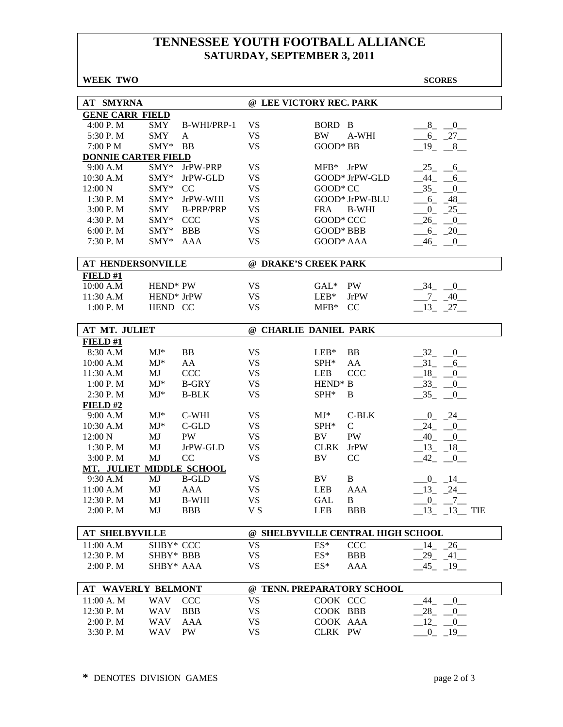**WEEK TWO SCORES** 

| <b>AT SMYRNA</b>           |                      |                      | @ LEE VICTORY REC. PARK |                     |                                   |                         |
|----------------------------|----------------------|----------------------|-------------------------|---------------------|-----------------------------------|-------------------------|
| <b>GENE CARR FIELD</b>     |                      |                      |                         |                     |                                   |                         |
| 4:00 P.M                   | SMY                  | B-WHI/PRP-1          | <b>VS</b>               | BORD B              |                                   | 8 0                     |
| 5:30 P.M                   | <b>SMY</b>           | A                    | <b>VS</b>               | <b>BW</b>           | A-WHI                             | $-6 - 27$               |
| 7:00 P M                   | $\text{SMY*}$        | <b>BB</b>            | <b>VS</b>               | GOOD* BB            |                                   | $19 - 8$                |
| <b>DONNIE CARTER FIELD</b> |                      |                      |                         |                     |                                   |                         |
| 9:00 A.M                   | $\text{SMY}^*$       | JrPW-PRP             | <b>VS</b>               | $MFB*$ JrPW         |                                   | $-25 - 6$               |
| 10:30 A.M                  | SMY*                 | JrPW-GLD             | <b>VS</b>               |                     | GOOD* JrPW-GLD                    | $-44 - 6$               |
| 12:00 N                    | SMY*                 | CC                   | <b>VS</b>               | GOOD* CC            |                                   | $-35 - 0$               |
| 1:30 P.M                   | $SMY*$               | JrPW-WHI             | <b>VS</b>               |                     | GOOD* JrPW-BLU                    | $-6 - 48$               |
| 3:00 P.M                   | SMY                  | <b>B-PRP/PRP</b>     | <b>VS</b>               | FRA                 | <b>B-WHI</b>                      | $-25$<br>$0_{-}$        |
| 4:30 P.M                   | SMY* CCC             |                      | <b>VS</b>               | GOOD* CCC           |                                   | $-26$<br>$\overline{0}$ |
| 6:00 P. M                  | $\text{SMY*}$        | <b>BBB</b>           | <b>VS</b>               | <b>GOOD* BBB</b>    |                                   | $-6 - 20$               |
| 7:30 P.M                   | $SMY*$               | AAA                  | <b>VS</b>               | GOOD* AAA           |                                   | $-46$<br>$\overline{0}$ |
|                            |                      |                      |                         |                     |                                   |                         |
| AT HENDERSONVILLE          |                      |                      | @ DRAKE'S CREEK PARK    |                     |                                   |                         |
| FIELD #1                   |                      |                      |                         |                     |                                   |                         |
| 10:00 A.M                  | HEND <sup>*</sup> PW |                      | <b>VS</b>               | GAL* PW             |                                   | $-34 - 0$               |
| 11:30 A.M                  | HEND* JrPW           |                      | <b>VS</b>               | $LEB*$              | <b>JrPW</b>                       | $-7 - 40$               |
| 1:00 P.M                   | HEND CC              |                      | <b>VS</b>               | $MFB*$              | CC                                | $-13$ $-27$ $-$         |
|                            |                      |                      |                         |                     |                                   |                         |
| AT MT. JULIET              |                      |                      | @ CHARLIE DANIEL PARK   |                     |                                   |                         |
| FIELD#1                    |                      |                      |                         |                     |                                   |                         |
| 8:30 A.M                   | $MJ^*$               | <b>BB</b>            | <b>VS</b>               | $LEB*$              | <b>BB</b>                         | $-32$<br>0              |
| 10:00 A.M                  | $MJ*$                | AA                   | <b>VS</b>               | $SPH*$              | AA                                | $-31$<br>$-6$           |
| 11:30 A.M                  | MJ                   | <b>CCC</b>           | <b>VS</b>               | LEB                 | <b>CCC</b>                        | $-18$<br>$\overline{0}$ |
| 1:00 P.M                   | $MJ^*$               | <b>B-GRY</b>         | <b>VS</b>               | HEND <sup>*</sup> B |                                   | $-33$<br>$-0$           |
| 2:30 P.M                   | $MJ^*$               | <b>B-BLK</b>         | <b>VS</b>               | SPH*                | B                                 | $-35 - 0$               |
| FIELD #2                   |                      |                      |                         |                     |                                   |                         |
| 9:00 A.M                   | $MJ*$                | C-WHI                | <b>VS</b>               | $MJ^*$              | C-BLK                             | $-0$ $-24$              |
| 10:30 A.M                  | $MJ^*$               | $C$ -GLD             | <b>VS</b>               | $SPH^*$             | $\mathsf{C}$                      | $-24$ $-0$              |
| 12:00 N                    | MJ                   | PW                   | <b>VS</b>               | BV                  | PW                                | $-40$ $-0$ $-$          |
| 1:30 P.M                   | MJ                   | JrPW-GLD             | <b>VS</b>               | <b>CLRK</b>         | <b>JrPW</b>                       | $-13 - 18$              |
| 3:00 P.M                   | MJ                   | CC                   | <b>VS</b>               | BV                  | CC                                | $-42$ $-0$              |
| MT. JULIET                 |                      | <b>MIDDLE SCHOOL</b> |                         |                     |                                   |                         |
| 9:30 A.M                   | MJ                   | <b>B-GLD</b>         | <b>VS</b>               | BV                  | $\bf{B}$                          | $0 - 14$                |
| 11:00 A.M                  | MJ                   | <b>AAA</b>           | <b>VS</b>               | <b>LEB</b>          | AAA                               | $-13 - 24$              |
| 12:30 P.M                  | MJ                   | <b>B-WHI</b>         | <b>VS</b>               | <b>GAL</b>          | $\, {\bf B}$                      | $_{0}^{0}$<br>$7_{-}$   |
| 2:00 P.M                   | MJ                   | <b>BBB</b>           | V S                     | LEB                 | <b>BBB</b>                        | $13 - 13$ TIE           |
|                            |                      |                      |                         |                     |                                   |                         |
| <b>AT SHELBYVILLE</b>      |                      |                      |                         |                     | @ SHELBYVILLE CENTRAL HIGH SCHOOL |                         |
| 11:00 A.M                  | SHBY* CCC            |                      | <b>VS</b>               | $ES^*$              | <b>CCC</b>                        | $14 - 26$               |
| 12:30 P.M                  | SHBY* BBB            |                      | <b>VS</b>               | $ES^*$              | <b>BBB</b>                        | $29 - 41$               |
| 2:00 P. M                  | SHBY* AAA            |                      | <b>VS</b>               | $ES^*$              | AAA                               | $-45$ $-19$ $-$         |
| <b>AT WAVERLY BELMONT</b>  |                      |                      |                         |                     | @ TENN. PREPARATORY SCHOOL        |                         |
| 11:00 A. M                 | WAV                  | <b>CCC</b>           | <b>VS</b>               | COOK CCC            |                                   | 44<br>$\overline{0}$    |
| 12:30 P.M                  | <b>WAV</b>           | <b>BBB</b>           | <b>VS</b>               | COOK BBB            |                                   | 28<br>$\overline{0}$    |
| 2:00 P.M                   | WAV                  | AAA                  | <b>VS</b>               | COOK AAA            |                                   | 12<br>0                 |
| 3:30 P.M                   | WAV                  | PW                   | <b>VS</b>               | CLRK PW             |                                   | $0_{-}$<br>$-19$        |
|                            |                      |                      |                         |                     |                                   |                         |

**\*** DENOTES DIVISION GAMES page 2 of 3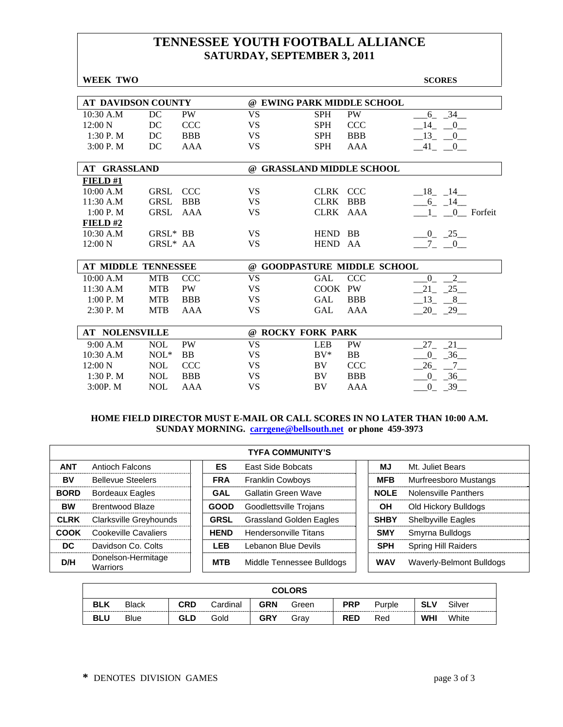| WEEK TWO                  |             |                         |                           |             |                                  | <b>SCORES</b>                     |
|---------------------------|-------------|-------------------------|---------------------------|-------------|----------------------------------|-----------------------------------|
|                           |             |                         |                           |             |                                  |                                   |
| <b>AT DAVIDSON COUNTY</b> |             |                         |                           |             | @ EWING PARK MIDDLE SCHOOL       |                                   |
| $10:30$ A.M               | DC          | <b>VS</b><br>PW         |                           | <b>SPH</b>  | <b>PW</b>                        | 6 34                              |
| 12:00 N                   | DC          | <b>CCC</b><br><b>VS</b> |                           | <b>SPH</b>  | <b>CCC</b>                       | 14<br>$\mathbf{0}$                |
| 1:30P. M                  | DC          | <b>BBB</b><br><b>VS</b> |                           | <b>SPH</b>  | <b>BBB</b>                       | 13<br>$\overline{0}$              |
| 3:00 P. M                 | DC          | <b>VS</b><br>AAA        |                           | <b>SPH</b>  | AAA                              | $-41$ $-0$                        |
| <b>AT GRASSLAND</b>       |             |                         | @ GRASSLAND MIDDLE SCHOOL |             |                                  |                                   |
|                           |             |                         |                           |             |                                  |                                   |
| FIELD#1                   |             |                         |                           |             |                                  |                                   |
| 10:00 A.M                 | <b>GRSL</b> | <b>CCC</b><br><b>VS</b> |                           | <b>CLRK</b> | <b>CCC</b>                       | $-18$ $-14$                       |
| 11:30 A.M                 | <b>GRSL</b> | <b>VS</b><br><b>BBB</b> |                           | <b>CLRK</b> | <b>BBB</b>                       | $-6 - 14$                         |
| 1:00 P. M                 | <b>GRSL</b> | AAA<br><b>VS</b>        |                           | CLRK AAA    |                                  | 0 Forfeit                         |
| FIELD #2                  |             |                         |                           |             |                                  |                                   |
| 10:30 A.M                 | $GRSL^*$ BB | <b>VS</b>               |                           | HEND BB     |                                  | $0 - 25$                          |
| 12:00 N                   | GRSL* AA    | <b>VS</b>               |                           | HEND AA     |                                  | $7\overline{ }$<br>$\overline{0}$ |
|                           |             |                         |                           |             |                                  |                                   |
| AT MIDDLE TENNESSEE       |             | $\omega$                |                           |             | <b>GOODPASTURE MIDDLE SCHOOL</b> |                                   |
| 10:00 A.M                 | <b>MTB</b>  | <b>CCC</b><br><b>VS</b> |                           | <b>GAL</b>  | <b>CCC</b>                       | $2^{-}$<br>$\overline{0}$         |
| 11:30 A.M                 | <b>MTB</b>  | <b>PW</b><br><b>VS</b>  |                           | COOK PW     |                                  | $-25$<br>21                       |
| 1:00 P. M                 | <b>MTB</b>  | <b>VS</b><br><b>BBB</b> |                           | <b>GAL</b>  | <b>BBB</b>                       | 13<br>8                           |
| 2:30 P.M                  | <b>MTB</b>  | <b>VS</b><br><b>AAA</b> |                           | <b>GAL</b>  | AAA                              | $-20$ $-29$                       |
| <b>AT NOLENSVILLE</b>     |             |                         | @ ROCKY FORK PARK         |             |                                  |                                   |
|                           |             |                         |                           |             |                                  |                                   |
| 9:00 A.M                  | <b>NOL</b>  | <b>PW</b><br><b>VS</b>  |                           | <b>LEB</b>  | <b>PW</b>                        | 21<br>$27_{-}$                    |
| 10:30 A.M                 | $NOL*$      | <b>VS</b><br><b>BB</b>  |                           | $BV^*$      | <b>BB</b>                        | $-36$<br>$\overline{0}$           |
| 12:00 N                   | <b>NOL</b>  | <b>CCC</b><br><b>VS</b> |                           | BV          | <b>CCC</b>                       | 26<br>7                           |
| 1:30P. M                  | <b>NOL</b>  | <b>VS</b><br><b>BBB</b> |                           | BV          | <b>BBB</b>                       | $-36$<br>$\overline{0}$           |
| 3:00P. M                  | <b>NOL</b>  | <b>VS</b><br>AAA        |                           | <b>BV</b>   | AAA                              | 39<br>$\Omega$                    |

### **HOME FIELD DIRECTOR MUST E-MAIL OR CALL SCORES IN NO LATER THAN 10:00 A.M. SUNDAY MORNING. carrgene@bellsouth.net or phone 459-3973**

|             | <b>TYFA COMMUNITY'S</b>        |  |             |                                |  |             |                            |  |  |
|-------------|--------------------------------|--|-------------|--------------------------------|--|-------------|----------------------------|--|--|
| <b>ANT</b>  | Antioch Falcons                |  | ES          | <b>East Side Bobcats</b>       |  | ΜJ          | Mt. Juliet Bears           |  |  |
| BV          | <b>Bellevue Steelers</b>       |  | <b>FRA</b>  | <b>Franklin Cowboys</b>        |  | <b>MFB</b>  | Murfreesboro Mustangs      |  |  |
| <b>BORD</b> | <b>Bordeaux Eagles</b>         |  | GAL         | Gallatin Green Wave            |  | <b>NOLE</b> | Nolensville Panthers       |  |  |
| <b>BW</b>   | Brentwood Blaze                |  | <b>GOOD</b> | Goodlettsville Trojans         |  | <b>OH</b>   | Old Hickory Bulldogs       |  |  |
| <b>CLRK</b> | Clarksville Greyhounds         |  | <b>GRSL</b> | <b>Grassland Golden Eagles</b> |  | <b>SHBY</b> | <b>Shelbyville Eagles</b>  |  |  |
| COOK        | Cookeville Cavaliers           |  | <b>HEND</b> | Hendersonville Titans          |  | <b>SMY</b>  | Smyrna Bulldogs            |  |  |
| DC.         | Davidson Co. Colts             |  | LEB         | Lebanon Blue Devils            |  | <b>SPH</b>  | <b>Spring Hill Raiders</b> |  |  |
| D/H         | Donelson-Hermitage<br>Warriors |  | <b>MTB</b>  | Middle Tennessee Bulldogs      |  | <b>WAV</b>  | Waverly-Belmont Bulldogs   |  |  |

|            | <b>COLORS</b> |     |          |            |       |            |        |            |        |
|------------|---------------|-----|----------|------------|-------|------------|--------|------------|--------|
| <b>BLK</b> | <b>Black</b>  | CRD | Cardinal | <b>GRN</b> | Green | <b>PRP</b> | Purple | <b>SLV</b> | Silver |
| <b>BLU</b> | <b>Blue</b>   | GLD | Gold     | <b>GRY</b> | Grav  | <b>RED</b> | Red    | <b>WHI</b> | White  |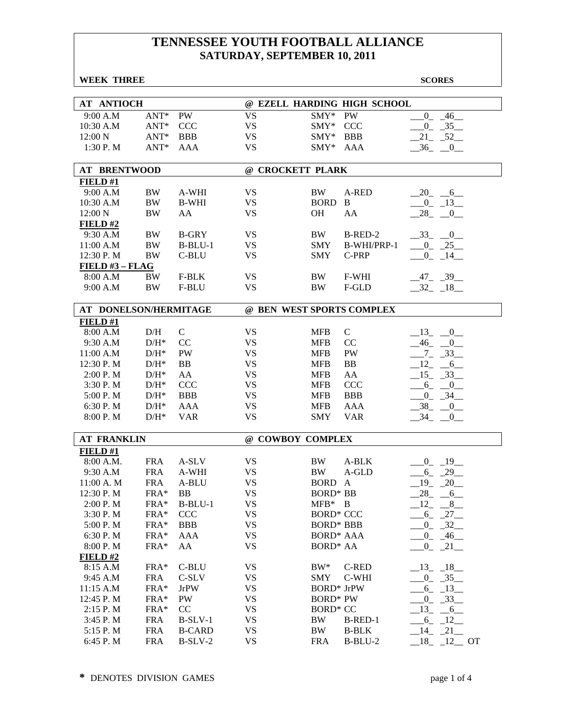|         | <b>WEEK THREE</b>     |            |               |                           |                   |                             | <b>SCORES</b>                   |
|---------|-----------------------|------------|---------------|---------------------------|-------------------|-----------------------------|---------------------------------|
|         |                       |            |               |                           |                   |                             |                                 |
|         | <b>AT ANTIOCH</b>     |            |               |                           |                   | @ EZELL HARDING HIGH SCHOOL |                                 |
|         | 9:00 A.M              | $ANT*$     | <b>PW</b>     | <b>VS</b>                 | $SMY*$            | <b>PW</b>                   | $\overline{0}$<br>$-46$         |
|         | 10:30 A.M             | $ANT*$     | <b>CCC</b>    | <b>VS</b>                 | SMY*              | CCC                         | $0 - 35$                        |
| 12:00 N |                       | $ANT*$     | <b>BBB</b>    | <b>VS</b>                 | SMY*              | <b>BBB</b>                  | $21 - 52$                       |
|         | 1:30 P.M              | $ANT*$     | AAA           | <b>VS</b>                 | $SMY*$            | AAA                         | $-36$<br>$-0$                   |
|         |                       |            |               |                           |                   |                             |                                 |
|         | <b>AT BRENTWOOD</b>   |            |               | @ CROCKETT PLARK          |                   |                             |                                 |
|         | FIELD#1               |            |               |                           |                   |                             |                                 |
|         | 9:00 A.M              | BW         | A-WHI         | <b>VS</b>                 | BW                | A-RED                       | $20 - 6$                        |
|         | 10:30 A.M             | BW         | <b>B-WHI</b>  | <b>VS</b>                 | <b>BORD</b>       | B                           | $-0$ $-13$                      |
| 12:00 N |                       | BW         | AA            | <b>VS</b>                 | <b>OH</b>         | AA                          | 28<br>$\overline{\phantom{0}0}$ |
|         | FIELD#2               |            |               |                           |                   |                             |                                 |
|         | 9:30 A.M              | BW         | <b>B-GRY</b>  | VS                        | BW.               | B-RED-2                     | $-33$ $-0$                      |
|         | 11:00 A.M             | BW         | $B-BLU-1$     | <b>VS</b>                 | <b>SMY</b>        | B-WHI/PRP-1                 | $0 - 25$                        |
|         | 12:30 P.M             | BW         | C-BLU         | <b>VS</b>                 | <b>SMY</b>        | C-PRP                       | $-0$ $-14$ $-$                  |
|         | FIELD $#3$ – FLAG     |            |               |                           |                   |                             |                                 |
|         | 8:00 A.M              | <b>BW</b>  | F-BLK         | VS                        | BW                | F-WHI                       | $-47 - 39$                      |
|         | 9:00 A.M              | BW         | F-BLU         | <b>VS</b>                 | <b>BW</b>         | F-GLD                       | $-32 - 18$                      |
|         |                       |            |               |                           |                   |                             |                                 |
|         | AT DONELSON/HERMITAGE |            |               | @ BEN WEST SPORTS COMPLEX |                   |                             |                                 |
|         | FIELD#1               |            |               |                           |                   |                             |                                 |
|         | 8:00 A.M              | D/H        | $\mathcal{C}$ | <b>VS</b>                 | <b>MFB</b>        | $\mathcal{C}$               | $-13$ $-0$ $-$                  |
|         | 9:30 A.M              | $D/H^*$    | CC            | VS                        | <b>MFB</b>        | CC                          | $-46$ $-0$                      |
|         | 11:00 A.M             | $D/H^*$    | PW            | VS                        | <b>MFB</b>        | PW                          | $-7 - 33$                       |
|         | 12:30 P.M             | $D/H^*$    | BB            | <b>VS</b>                 | <b>MFB</b>        | <b>BB</b>                   | $-12$ $-6$                      |
|         | 2:00 P.M              | $D/H^*$    | AA            | <b>VS</b>                 | <b>MFB</b>        | AA                          | $-15$ $-33$                     |
|         | 3:30 P.M              | $D/H^*$    | <b>CCC</b>    | <b>VS</b>                 | <b>MFB</b>        | <b>CCC</b>                  | $6_{-}$<br>$\sqrt{0}$           |
|         | 5:00 P.M              | $D/H^*$    | <b>BBB</b>    | <b>VS</b>                 | <b>MFB</b>        | <b>BBB</b>                  | $-34$<br>$0_{-}$                |
|         | 6:30 P.M              | $D/H^*$    | AAA           | <b>VS</b>                 | <b>MFB</b>        | AAA                         | 38<br>$_{-0}$                   |
|         | 8:00 P.M              | $D/H^*$    | <b>VAR</b>    | <b>VS</b>                 | <b>SMY</b>        | <b>VAR</b>                  | 34<br>$_{0}$                    |
|         | <b>AT FRANKLIN</b>    |            |               | @ COWBOY COMPLEX          |                   |                             |                                 |
|         | FIELD#1               |            |               |                           |                   |                             |                                 |
|         | 8:00 A.M.             | <b>FRA</b> | A-SLV         | VS                        | <b>BW</b>         | A-BLK                       | $0 \qquad 19$                   |
|         | 9:30 A.M              | <b>FRA</b> | A-WHI         | VS                        | <b>BW</b>         | A-GLD                       | 29<br>6                         |
|         | 11:00 A. M            | <b>FRA</b> | A-BLU         | <b>VS</b>                 | <b>BORD</b>       | $\mathbf{A}$                | 19<br>20                        |
|         | 12:30 P.M             | FRA*       | BB            | <b>VS</b>                 | <b>BORD*</b> BB   |                             | 28<br>$-6$                      |
|         | 2:00 P.M              | FRA*       | $B-BLU-1$     | <b>VS</b>                 | $MFB^*$ B         |                             | $-12 - 8$                       |
|         | 3:30 P.M              | FRA*       | <b>CCC</b>    | <b>VS</b>                 | <b>BORD* CCC</b>  |                             | $-6 - 27$                       |
|         | 5:00 P.M              | FRA*       | <b>BBB</b>    | <b>VS</b>                 | <b>BORD* BBB</b>  |                             | $0 - 32$                        |
|         | 6:30 P.M              | FRA*       | AAA           | VS                        | <b>BORD* AAA</b>  |                             | $-0$ $-46$ $-$                  |
|         | 8:00 P.M              | FRA*       | AA            | <b>VS</b>                 | <b>BORD* AA</b>   |                             | $0 - 21$                        |
|         | $FIED$ #2             |            |               |                           |                   |                             |                                 |
|         | 8:15 A.M              | FRA*       | C-BLU         | <b>VS</b>                 | $BW^*$            | <b>C-RED</b>                | $-13 - 18$                      |
|         | 9:45 A.M              | <b>FRA</b> | C-SLV         | <b>VS</b>                 | SMY               | C-WHI                       | $0 - 35$                        |
|         | 11:15 A.M             | FRA*       | <b>JrPW</b>   | <b>VS</b>                 | <b>BORD*</b> JrPW |                             | $6_{-}$<br>$-13$                |
|         | 12:45 P.M             | FRA*       | PW            | <b>VS</b>                 | <b>BORD* PW</b>   |                             | $-33$<br>$_{0_-}$               |
|         | 2:15 P.M              | FRA*       | CC            | <b>VS</b>                 | <b>BORD* CC</b>   |                             | 13<br>$-6$                      |
|         | 3:45 P.M              | <b>FRA</b> | $B-SLV-1$     | <b>VS</b>                 | BW                | B-RED-1                     | $-6 - 12$                       |
|         | 5:15 P.M              | <b>FRA</b> | <b>B-CARD</b> | <b>VS</b>                 | <b>BW</b>         | <b>B-BLK</b>                | $-14$ $-21$ $-$                 |
|         | 6:45 P.M              | <b>FRA</b> | $B-SLV-2$     | <b>VS</b>                 | <b>FRA</b>        | B-BLU-2                     | $-18$ $-12$ $-$<br><b>OT</b>    |
|         |                       |            |               |                           |                   |                             |                                 |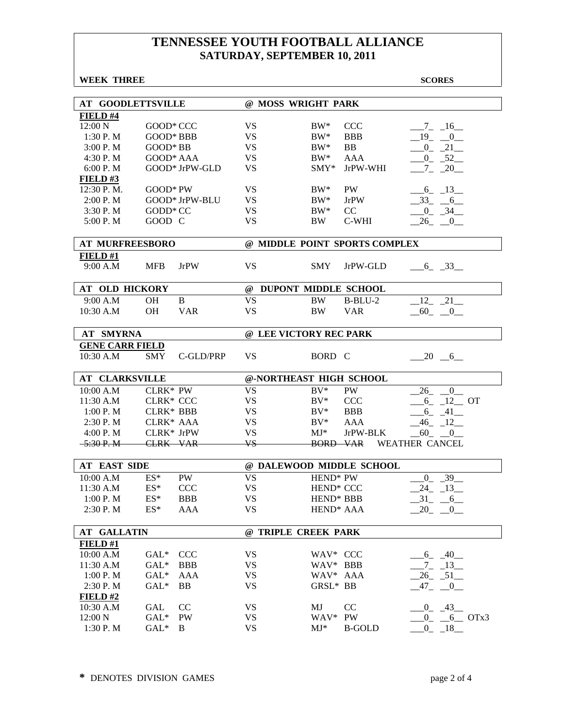| <b>WEEK THREE</b>        |                         |                 | <b>SCORES</b>                                    |
|--------------------------|-------------------------|-----------------|--------------------------------------------------|
|                          |                         |                 |                                                  |
| <b>AT GOODLETTSVILLE</b> |                         |                 | @ MOSS WRIGHT PARK                               |
| FIELD #4                 |                         |                 |                                                  |
| 12:00 N                  | GOOD* CCC               | <b>VS</b>       | $BW^*$<br><b>CCC</b><br>$-7 - 16$                |
| 1:30 P.M                 | $GOOD*BBB$              | VS              | $BW^*$<br><b>BBB</b><br>$-19$ $-0$               |
| 3:00 P. M                | GOOD* BB                | <b>VS</b>       | $BW^*$<br><b>BB</b><br>$-0$ $-21$                |
| 4:30 P.M                 | GOOD* AAA               | <b>VS</b>       | $BW^*$<br><b>AAA</b><br>$-0$ $-52$               |
| 6:00 P.M                 | GOOD* JrPW-GLD          | <b>VS</b>       | JrPW-WHI<br>$SMY*$<br>$-7 - 20$                  |
| FIELD#3                  |                         |                 |                                                  |
| 12:30 P.M.               | $GOOD*PW$               | <b>VS</b>       | <b>PW</b><br>$BW^*$<br>$-6$ $-13$<br><b>JrPW</b> |
| 2:00 P.M                 | GOOD* JrPW-BLU          | <b>VS</b>       | $BW^*$<br>$-33 - 6$                              |
| 3:30 P.M                 | GODD* CC                | <b>VS</b>       | $BW^*$<br>CC<br>$-0$ $-34$                       |
| 5:00 P.M                 | GOOD C                  | <b>VS</b>       | C-WHI<br>$-26$ $-0$<br>BW                        |
| <b>AT MURFREESBORO</b>   |                         |                 | @ MIDDLE POINT SPORTS COMPLEX                    |
| FIELD#1                  |                         |                 |                                                  |
| 9:00 A.M                 | <b>MFB</b><br>JrPW      | <b>VS</b>       | <b>SMY</b><br>JrPW-GLD<br>6 33                   |
| AT OLD HICKORY           |                         |                 | @ DUPONT MIDDLE SCHOOL                           |
| 9:00 A.M                 | B<br><b>OH</b>          | <b>VS</b>       | $12 - 21$<br><b>BW</b><br>$B-BLU-2$              |
| 10:30 A.M                | <b>OH</b><br><b>VAR</b> | <b>VS</b>       | <b>BW</b><br><b>VAR</b><br>$-60$ $-0$            |
|                          |                         |                 |                                                  |
| <b>AT SMYRNA</b>         |                         |                 | @ LEE VICTORY REC PARK                           |
| <b>GENE CARR FIELD</b>   |                         |                 |                                                  |
| 10:30 A.M                | <b>SMY</b><br>C-GLD/PRP | <b>VS</b>       | BORD C<br>$-20$ $-6$                             |
| <b>AT CLARKSVILLE</b>    |                         |                 | @-NORTHEAST HIGH SCHOOL                          |
| 10:00 A.M                | CLRK* PW                | <b>VS</b>       | $BV^*$<br>PW<br>$-26$ $-0$                       |
| 11:30 A.M                | CLRK* CCC               | VS              | <b>CCC</b><br>$BV^*$<br>$-6$ $-12$ OT            |
| 1:00 P. M                | <b>CLRK* BBB</b>        | <b>VS</b>       | $BV^*$<br><b>BBB</b><br>$-6 - 41$                |
| 2:30 P.M                 | CLRK* AAA               | <b>VS</b>       | $BV^*$<br><b>AAA</b><br>$-46$ $-12$              |
| 4:00 P.M                 | CLRK* JrPW              | <b>VS</b>       | $MJ^*$<br>JrPW-BLK<br>$-60 - 0$                  |
| $-5:30 P. M$             | <b>CLRK VAR</b>         | $\overline{VS}$ | <b>BORD VAR</b><br><b>WEATHER CANCEL</b>         |
|                          |                         |                 |                                                  |
| <b>AT EAST SIDE</b>      |                         |                 | @ DALEWOOD MIDDLE SCHOOL                         |
| 10:00 A.M                | <b>PW</b><br>$ES^*$     | <b>VS</b>       | HEND* PW<br>$-0$ $-39$                           |
| 11:30 A.M                | $ES*$<br><b>CCC</b>     | VS              | HEND* CCC<br>$-24$ $-13$                         |
| 1:00 P.M                 | $ES*$<br><b>BBB</b>     | <b>VS</b>       | HEND* BBB<br>$-31 - 6$                           |
| 2:30 P.M                 | $ES*$<br><b>AAA</b>     | <b>VS</b>       | $-20 - 0$<br>HEND <sup>*</sup> AAA               |
| <b>AT GALLATIN</b>       |                         |                 | @ TRIPLE CREEK PARK                              |
| FIELD#1                  |                         |                 |                                                  |
| 10:00 A.M                | <b>CCC</b><br>$GAL^*$   | <b>VS</b>       | WAV* CCC<br>$-6 - 40$                            |
| 11:30 A.M                | $GAL*$<br><b>BBB</b>    | <b>VS</b>       | WAV* BBB<br>$-7 - 13$                            |
| 1:00 P. M                | $GAL*$<br><b>AAA</b>    | <b>VS</b>       | WAV* AAA<br>$-26$ $-51$ $-$                      |
| 2:30 P.M                 | $GAL*$<br>BB            | VS              | GRSL* BB<br>$47 -$<br>$-0$                       |
| FIELD#2                  |                         |                 |                                                  |
| 10:30 A.M                | GAL<br>CC               | VS              | MJ<br>CC<br>$0 - 43$                             |
| 12:00 N                  | $GAL^*$<br>PW           | VS              | WAV*<br>$0 - 6$ OTx3<br><b>PW</b>                |
| 1:30 P.M                 | $GAL^*$<br>B            | <b>VS</b>       | $MJ^*$<br><b>B-GOLD</b><br>$0 - 18$              |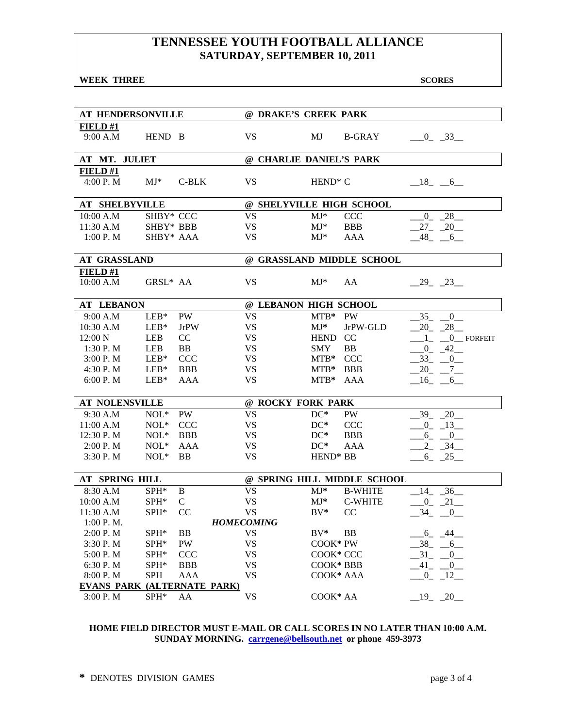**WEEK THREE** SCORES SCORES

| AT HENDERSONVILLE                  |                  |               | @ DRAKE'S CREEK PARK     |             |                             |                                        |
|------------------------------------|------------------|---------------|--------------------------|-------------|-----------------------------|----------------------------------------|
| FIELD#1                            |                  |               |                          |             |                             |                                        |
| 9:00 A.M                           | HEND B           |               | <b>VS</b>                | MJ          | <b>B-GRAY</b>               | $-0$ $-33$                             |
|                                    |                  |               |                          |             |                             |                                        |
| AT MT. JULIET                      |                  |               | @ CHARLIE DANIEL'S PARK  |             |                             |                                        |
| FIELD#1                            |                  |               |                          |             |                             |                                        |
| 4:00 P.M                           | $MJ^*$           | $C-BLK$       | <b>VS</b>                | $HEND^* C$  |                             | $-18$ $-6$                             |
|                                    |                  |               |                          |             |                             |                                        |
| <b>AT SHELBYVILLE</b>              |                  |               | @ SHELYVILLE HIGH SCHOOL |             |                             |                                        |
| 10:00 A.M                          | SHBY* CCC        |               | <b>VS</b>                | $MJ^*$      | <b>CCC</b>                  | $0 - 28$                               |
| 11:30 A.M                          | SHBY* BBB        |               | <b>VS</b>                | $MJ^*$      | <b>BBB</b>                  | $27 - 20$                              |
| 1:00 P. M                          | SHBY* AAA        |               | <b>VS</b>                | $MJ^*$      | AAA                         | $-48$ <sub>-</sub> $-6$                |
|                                    |                  |               |                          |             |                             |                                        |
| <b>AT GRASSLAND</b>                |                  |               |                          |             | @ GRASSLAND MIDDLE SCHOOL   |                                        |
| FIELD#1                            |                  |               |                          |             |                             |                                        |
| 10:00 A.M                          | GRSL* AA         |               | <b>VS</b>                | $MJ^*$      | AA                          | $-29$ $-23$                            |
|                                    |                  |               |                          |             |                             |                                        |
| <b>AT LEBANON</b>                  |                  |               | @ LEBANON HIGH SCHOOL    |             |                             |                                        |
| 9:00 A.M                           | $LEB*$           | PW            | <b>VS</b>                | $MTB*$      | PW                          | 35<br>$\overline{0}$                   |
| 10:30 A.M                          | $LEB*$           | JrPW          | <b>VS</b>                | $MJ*$       | JrPW-GLD                    | $20 - 28$                              |
| 12:00 N                            | LEB              | CC            | <b>VS</b>                | <b>HEND</b> | CC                          | $-0$ FORFEIT<br>$1_{-}$                |
| 1:30 P. M                          | LEB              | BB            | VS                       | <b>SMY</b>  | <b>BB</b>                   | $-0$ $-42$                             |
| 3:00 P. M                          | $LEB*$           | <b>CCC</b>    | VS                       | $MTB*$      | <b>CCC</b>                  | $-33$ $-0$                             |
| 4:30 P.M                           | $LEB*$           | <b>BBB</b>    | <b>VS</b>                | $MTB*$      | <b>BBB</b>                  | $-20 - -7$                             |
| 6:00 P. M                          | $LEB*$           | <b>AAA</b>    | <b>VS</b>                | $MTB*$      | AAA                         | $-16$ $-6$                             |
|                                    |                  |               |                          |             |                             |                                        |
| <b>AT NOLENSVILLE</b>              |                  |               | @ ROCKY FORK PARK        |             |                             |                                        |
| 9:30 A.M                           | $NOL*$           | PW            | <b>VS</b>                | $DC^*$      | PW                          | $-39 - 20$                             |
| 11:00 A.M                          | $NOL*$           | <b>CCC</b>    | <b>VS</b>                | $DC^*$      | <b>CCC</b>                  | $-0$ $-13$                             |
| 12:30 P.M                          | $NOL*$           | <b>BBB</b>    | <b>VS</b>                | $DC^*$      | <b>BBB</b>                  | $-6 - -0$                              |
| 2:00 P. M                          | $\text{NOL}^*$   | AAA           | <b>VS</b>                | $DC^*$      | <b>AAA</b>                  | $-34$<br>2                             |
| 3:30 P.M                           | $NOL*$           | <b>BB</b>     | <b>VS</b>                | HEND* BB    |                             | $-6$ $-25$                             |
|                                    |                  |               |                          |             |                             |                                        |
| AT SPRING HILL                     |                  |               |                          |             | @ SPRING HILL MIDDLE SCHOOL |                                        |
| 8:30 A.M                           | $SPH*$           | B             | <b>VS</b>                | $MJ^*$      | <b>B-WHITE</b>              | $14 - 36$                              |
| 10:00 A.M                          | SPH*             | $\mathcal{C}$ | <b>VS</b>                | MJ*         | <b>C-WHITE</b>              | $-$ 0 <sup>-</sup> $-$ 21 <sup>-</sup> |
| 11:30 A.M                          | SPH*             | <b>CC</b>     | <b>VS</b>                | $BV^*$      | CC                          | $-34$<br>$-0$                          |
| 1:00 P.M.                          |                  |               | <b>HOMECOMING</b>        |             |                             |                                        |
| 2:00 P.M                           | SPH <sup>*</sup> | BB            | VS                       | $BV^*$      | <b>BB</b>                   | $6 - 44$                               |
| 3:30 P.M                           | SPH*             | PW            | <b>VS</b>                | COOK* PW    |                             | 38<br>$-6$                             |
| 5:00 P.M                           | SPH*             | <b>CCC</b>    | <b>VS</b>                | COOK* CCC   |                             | 31<br>0                                |
| 6:30 P.M                           | SPH*             | <b>BBB</b>    | <b>VS</b>                | COOK* BBB   |                             | 41<br>$_{0-}$                          |
| 8:00 P.M                           | <b>SPH</b>       | AAA           | <b>VS</b>                | COOK* AAA   |                             | $-12$<br>$\overline{0}$                |
| <b>EVANS PARK (ALTERNATE PARK)</b> |                  |               |                          |             |                             |                                        |
| 3:00 P.M                           | SPH*             | AA            | <b>VS</b>                | COOK* AA    |                             | $19 - 20$                              |

### **HOME FIELD DIRECTOR MUST E-MAIL OR CALL SCORES IN NO LATER THAN 10:00 A.M. SUNDAY MORNING. carrgene@bellsouth.net or phone 459-3973**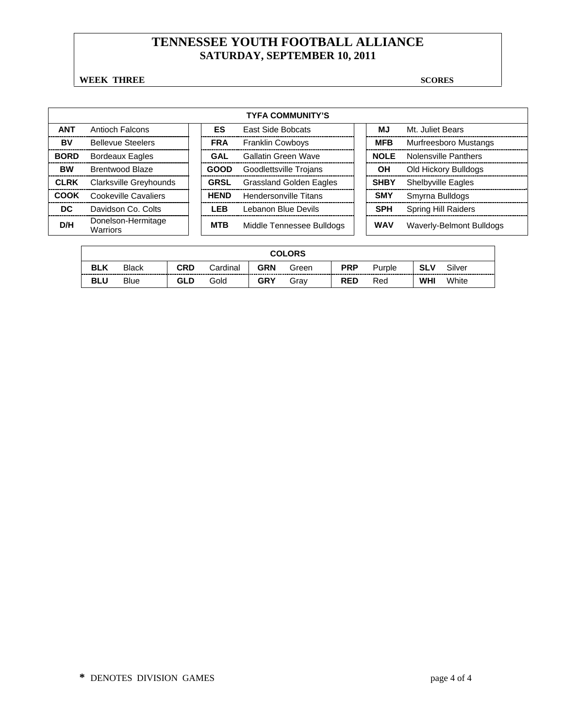**WEEK THREE** SCORES

|             |                                |             | <b>TYFA COMMUNITY'S</b>        |             |                            |
|-------------|--------------------------------|-------------|--------------------------------|-------------|----------------------------|
| <b>ANT</b>  | Antioch Falcons                | ES          | <b>East Side Bobcats</b>       | ΜJ          | Mt. Juliet Bears           |
| BV          | <b>Bellevue Steelers</b>       | <b>FRA</b>  | <b>Franklin Cowboys</b>        | <b>MFB</b>  | Murfreesboro Mustangs      |
| <b>BORD</b> | <b>Bordeaux Eagles</b>         | GAL         | Gallatin Green Wave            | <b>NOLE</b> | Nolensville Panthers       |
| <b>BW</b>   | <b>Brentwood Blaze</b>         | <b>GOOD</b> | Goodlettsville Trojans         | OН          | Old Hickory Bulldogs       |
| <b>CLRK</b> | Clarksville Greyhounds         | <b>GRSL</b> | <b>Grassland Golden Eagles</b> | <b>SHBY</b> | <b>Shelbyville Eagles</b>  |
| COOK        | Cookeville Cavaliers           | <b>HEND</b> | <b>Hendersonville Titans</b>   | <b>SMY</b>  | Smyrna Bulldogs            |
| DC.         | Davidson Co. Colts             | LEB         | Lebanon Blue Devils            | <b>SPH</b>  | <b>Spring Hill Raiders</b> |
| D/H         | Donelson-Hermitage<br>Warriors | <b>MTB</b>  | Middle Tennessee Bulldogs      | <b>WAV</b>  | Waverly-Belmont Bulldogs   |

|            |              |            |          |            | <b>COLORS</b> |            |        |            |        |
|------------|--------------|------------|----------|------------|---------------|------------|--------|------------|--------|
| <b>BLK</b> | <b>Black</b> | <b>CRD</b> | Cardinal | <b>GRN</b> | Green         | <b>PRP</b> | Purple | SLV        | Silver |
| <b>BLU</b> | Blue         | <b>GLD</b> | Gold     | <b>GRY</b> | Grav          | <b>RED</b> | Red    | <b>WHI</b> | White  |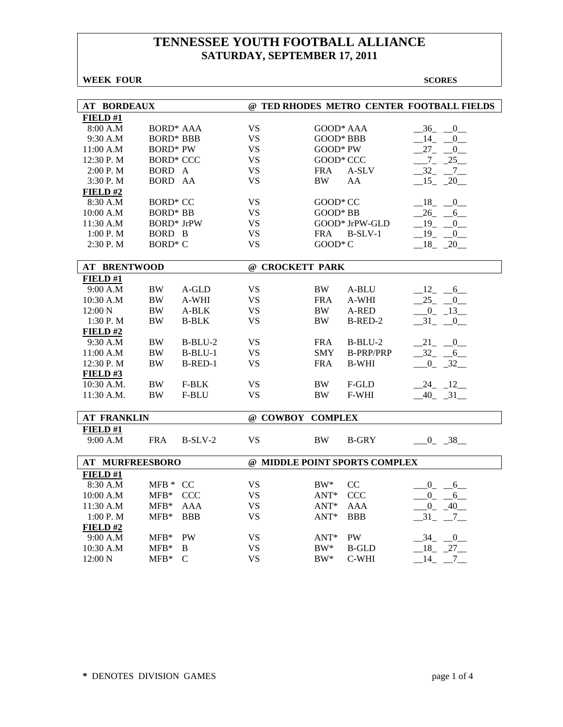| <b>AT BORDEAUX</b>     |                   |              |                  |            |                               | @ TED RHODES METRO CENTER FOOTBALL FIELDS |
|------------------------|-------------------|--------------|------------------|------------|-------------------------------|-------------------------------------------|
| FIELD#1                |                   |              |                  |            |                               |                                           |
| 8:00 A.M               | <b>BORD* AAA</b>  |              | <b>VS</b>        | GOOD* AAA  |                               | $-36$ $-0$                                |
| 9:30 A.M               | <b>BORD* BBB</b>  |              | <b>VS</b>        | GOOD* BBB  |                               | $14$ <sub>-</sub><br>$\overline{0}$       |
| 11:00 A.M              | <b>BORD*</b> PW   |              | <b>VS</b>        | $GOOD*PW$  |                               | $27 - 0$                                  |
| 12:30 P.M              | <b>BORD* CCC</b>  |              | <b>VS</b>        | GOOD* CCC  |                               | $-7 - 25$                                 |
| 2:00 P. M              | BORD A            |              | <b>VS</b>        | <b>FRA</b> | A-SLV                         | $-32 - 7$                                 |
| 3:30 P.M               | BORD AA           |              | <b>VS</b>        | BW         | AA                            | $15 - 20$                                 |
| FIELD#2                |                   |              |                  |            |                               |                                           |
| 8:30 A.M               | <b>BORD* CC</b>   |              | VS               | GOOD* CC   |                               | $-18$ $-0$                                |
| 10:00 A.M              | <b>BORD*</b> BB   |              | <b>VS</b>        | GOOD* BB   |                               | $-26 - 6$                                 |
| 11:30 A.M              | <b>BORD*</b> JrPW |              | <b>VS</b>        |            | GOOD* JrPW-GLD                | $-19$ $-0$                                |
| 1:00 P. M              | BORD B            |              | <b>VS</b>        | <b>FRA</b> | $B-SLV-1$                     | 19<br>$\overline{0}$                      |
| $2:30$ P. M            | $BORD^*C$         |              | <b>VS</b>        | $GOOD*C$   |                               | $18 - 20$                                 |
|                        |                   |              |                  |            |                               |                                           |
| <b>AT BRENTWOOD</b>    |                   |              | @ CROCKETT PARK  |            |                               |                                           |
| FIELD#1                |                   |              |                  |            |                               |                                           |
| 9:00 A.M               | <b>BW</b>         | A-GLD        | <b>VS</b>        | BW         | A-BLU                         | $-12 - 6$                                 |
| 10:30 A.M              | <b>BW</b>         | A-WHI        | VS.              | <b>FRA</b> | A-WHI                         | $-25$ $-0$                                |
| 12:00 N                | $\rm BW$          | $A-BLK$      | <b>VS</b>        | <b>BW</b>  | A-RED                         | $\frac{0}{-13}$                           |
| 1:30 P.M               | <b>BW</b>         | <b>B-BLK</b> | <b>VS</b>        | <b>BW</b>  | B-RED-2                       | $-31$ $-0$                                |
| FIELD#2                |                   |              |                  |            |                               |                                           |
| 9:30 A.M               | <b>BW</b>         | $B-BLU-2$    | <b>VS</b>        | <b>FRA</b> | $B-BLU-2$                     | 21 0                                      |
| 11:00 A.M              | BW.               | $B-BLI-1$    | <b>VS</b>        | <b>SMY</b> | <b>B-PRP/PRP</b>              | $-32 - -6$                                |
| 12:30 P.M              | <b>BW</b>         | $B-RED-1$    | <b>VS</b>        | <b>FRA</b> | <b>B-WHI</b>                  | $-0$ $-32$                                |
| FIELD#3                |                   |              |                  |            |                               |                                           |
| 10:30 A.M.             | <b>BW</b>         | F-BLK        | <b>VS</b>        | BW         | F-GLD                         | $-24$ $-12$                               |
| 11:30 A.M.             | <b>BW</b>         | F-BLU        | <b>VS</b>        | <b>BW</b>  | F-WHI                         | $-40$ $-31$                               |
|                        |                   |              |                  |            |                               |                                           |
| <b>AT FRANKLIN</b>     |                   |              | @ COWBOY COMPLEX |            |                               |                                           |
| FIELD#1                |                   |              |                  |            |                               |                                           |
| 9:00 A.M               | <b>FRA</b>        | $B-SLV-2$    | <b>VS</b>        | <b>BW</b>  | <b>B-GRY</b>                  | $-0$ $-38$                                |
|                        |                   |              |                  |            |                               |                                           |
| <b>AT MURFREESBORO</b> |                   |              |                  |            | @ MIDDLE POINT SPORTS COMPLEX |                                           |
| FIELD#1                |                   |              |                  |            |                               |                                           |
| 8:30 A.M               | MFB * CC          |              | <b>VS</b>        | $BW^*$     | CC                            | $0 - 6$                                   |
| 10:00 A.M              | MFB* CCC          |              | <b>VS</b>        | $ANT^*$    | <b>CCC</b>                    | $0\qquad 6$                               |
| 11:30 A.M              | $MFB*$            | AAA          | <b>VS</b>        | $ANT^*$    | <b>AAA</b>                    | $\mathbf{0}$<br>$-40$                     |
| 1:00 P. M              | $MFB*$            | <b>BBB</b>   | <b>VS</b>        | $ANT^*$    | <b>BBB</b>                    | $-31$ $-7$ $-$                            |
| FIELD#2                |                   |              |                  |            |                               |                                           |
| 9:00 A.M               | $MFB*$            | <b>PW</b>    | <b>VS</b>        | $ANT^*$    | <b>PW</b>                     | $-34$ $-0$                                |
| 10:30 A.M              | $MFB*$            | B            | <b>VS</b>        | $BW^*$     | <b>B-GLD</b>                  | $-18$ $-27$                               |
| $12:00\text{ N}$       | $MFB*$            | C            | <b>VS</b>        | $BW^*$     | C-WHI                         | 14<br>7                                   |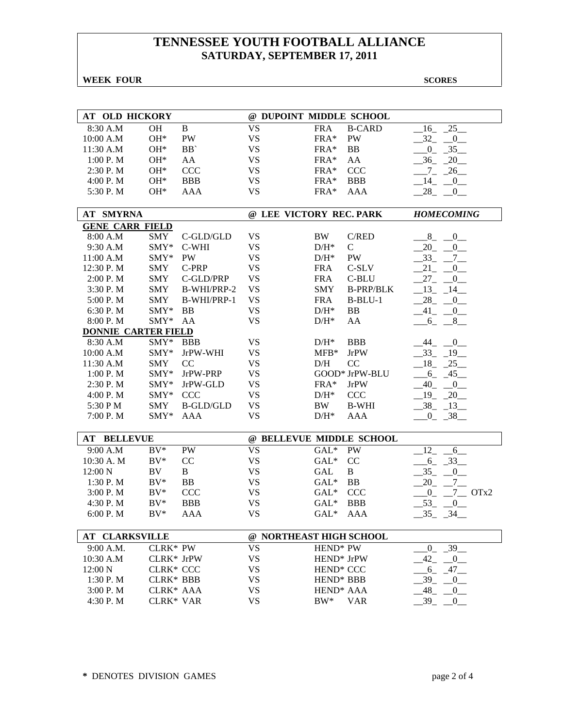**WEEK FOUR** SCORES

| <b>AT OLD HICKORY</b>      |                  |                  | @ DUPOINT MIDDLE SCHOOL  |                        |                  |                                      |
|----------------------------|------------------|------------------|--------------------------|------------------------|------------------|--------------------------------------|
| 8:30 A.M                   | <b>OH</b>        | $\, {\bf B}$     | <b>VS</b>                | <b>FRA</b>             | <b>B-CARD</b>    | 25<br>16                             |
| 10:00 A.M                  | $OH*$            | PW               | <b>VS</b>                | FRA*                   | PW               | 32<br>$\sqrt{0}$                     |
| 11:30 A.M                  | $OH*$            | BB'              | <b>VS</b>                | FRA*                   | <b>BB</b>        | $-35-$<br>$0_{-}$                    |
| 1:00 P.M                   | $OH*$            | AA               | <b>VS</b>                | FRA*                   | AA               | $-36$ $-20$                          |
| 2:30 P.M                   | $OH*$            | <b>CCC</b>       | <b>VS</b>                | $FRA*$                 | <b>CCC</b>       | $-7 - 26$                            |
| 4:00 P.M                   | $OH*$            | <b>BBB</b>       | <b>VS</b>                | $FRA*$                 | <b>BBB</b>       | $-14$ $-0$                           |
| 5:30 P.M                   | $OH*$            | <b>AAA</b>       | <b>VS</b>                | FRA*                   | AAA              | $-28$ $-0$                           |
|                            |                  |                  |                          |                        |                  |                                      |
| <b>AT SMYRNA</b>           |                  |                  | @ LEE VICTORY REC. PARK  |                        |                  | <b>HOMECOMING</b>                    |
| <b>GENE CARR FIELD</b>     |                  |                  |                          |                        |                  |                                      |
| 8:00 A.M                   | SMY              | $C$ -GLD/GLD     | <b>VS</b>                | <b>BW</b>              | C/RED            | $-$ 8 $ -$ 0 $-$                     |
| 9:30 A.M                   | SMY*             | C-WHI            | <b>VS</b>                | $D/H^*$                | $\mathcal{C}$    | $-20 - 0$                            |
| 11:00 A.M                  | $SMY*$           | <b>PW</b>        | <b>VS</b>                | $D/H^*$                | <b>PW</b>        | $-33$ $-7$ $-$                       |
| 12:30 P.M                  | <b>SMY</b>       | C-PRP            | <b>VS</b>                | <b>FRA</b>             | C-SLV            | $21 - 0$                             |
| 2:00 P. M                  | <b>SMY</b>       | C-GLD/PRP        | <b>VS</b>                | <b>FRA</b>             | C-BLU            | $27 - 0$                             |
| 3:30 P.M                   | <b>SMY</b>       | B-WHI/PRP-2      | <b>VS</b>                | <b>SMY</b>             | <b>B-PRP/BLK</b> | $-13 - 14$                           |
| 5:00 P.M                   | <b>SMY</b>       | B-WHI/PRP-1      | <b>VS</b>                | <b>FRA</b>             | $B-BLU-1$        | $-28$<br>$-0$                        |
| 6:30 P.M                   | SMY*             | BB               | <b>VS</b>                | $D/H^*$                | BB               | $-41$<br>$0$ <sub>—</sub>            |
| 8:00 P.M                   | SMY*             | AA               | <b>VS</b>                | $D/H^*$                | AA               | $6_{-}$<br>8                         |
| <b>DONNIE CARTER FIELD</b> |                  |                  |                          |                        |                  |                                      |
| 8:30 A.M                   | SMY*             | <b>BBB</b>       | <b>VS</b>                | $D/H^*$                | <b>BBB</b>       | $-44$ $-0$                           |
| 10:00 A.M                  | SMY*             | JrPW-WHI         | <b>VS</b>                | $MFB*$                 | <b>JrPW</b>      | $-33 - 19$                           |
| 11:30 A.M                  | <b>SMY</b>       | <sub>CC</sub>    | <b>VS</b>                | D/H                    | CC               | $-18$ $-25$                          |
| 1:00 P. M                  | SMY*             | JrPW-PRP         | <b>VS</b>                |                        | GOOD* JrPW-BLU   | $-6$ , 45                            |
| 2:30 P. M                  | $SMY*$           | JrPW-GLD         | <b>VS</b>                | $FRA*$                 | <b>JrPW</b>      | $-40$ $-0$                           |
| 4:00 P. M                  | SMY*             | <b>CCC</b>       | <b>VS</b>                | $D/H^*$                | <b>CCC</b>       | $-19$ $-20$                          |
| 5:30 P M                   | <b>SMY</b>       | <b>B-GLD/GLD</b> | <b>VS</b>                | BW                     | <b>B-WHI</b>     | $-38$ $-13$                          |
| 7:00 P.M                   | SMY*             | AAA              | <b>VS</b>                | $D/H^*$                | <b>AAA</b>       | $-0$ $-38$                           |
|                            |                  |                  |                          |                        |                  |                                      |
| <b>AT BELLEVUE</b>         |                  |                  | @ BELLEVUE MIDDLE SCHOOL |                        |                  |                                      |
| 9:00 A.M                   | $BV^*$           | PW               | <b>VS</b>                | $GAL*$                 | <b>PW</b>        | $-12$<br>6                           |
| 10:30 A. M                 | $BV^*$           | CC               | <b>VS</b>                | $GAL*$                 | CC               | $-6 - 33$                            |
| 12:00 N                    | BV               | $\mathbf B$      | <b>VS</b>                | <b>GAL</b>             | B                | $35 -$<br>$_{-0}$                    |
| 1:30 P.M                   | $BV^*$           | <b>BB</b>        | <b>VS</b>                | $GAL*$                 | <b>BB</b>        | 20<br>$-7$                           |
| 3:00 P.M                   | $BV^*$           | <b>CCC</b>       | <b>VS</b>                | $GAL*$                 | <b>CCC</b>       | $_{0}$<br>$7 \overline{\text{OTx2}}$ |
| 4:30 P.M                   | $BV^*$           | <b>BBB</b>       | <b>VS</b>                | $GAL*$                 | <b>BBB</b>       | 53<br>[0]                            |
| 6:00 P.M                   | $BV^*$           | <b>AAA</b>       | <b>VS</b>                | $GAL*$                 | <b>AAA</b>       | 35<br>34                             |
| <b>AT CLARKSVILLE</b>      |                  |                  | @ NORTHEAST HIGH SCHOOL  |                        |                  |                                      |
| 9:00 A.M.                  | CLRK* PW         |                  | <b>VS</b>                | HEND <sup>*</sup> PW   |                  | $-39$<br>$\overline{0}$              |
| 10:30 A.M                  | CLRK* JrPW       |                  | <b>VS</b>                | HEND <sup>*</sup> JrPW |                  | 42<br>$\overline{0}$                 |
| 12:00 N                    | <b>CLRK* CCC</b> |                  | <b>VS</b>                | HEND <sup>*</sup> CCC  |                  | 6<br>47                              |
| 1:30 P.M                   | <b>CLRK* BBB</b> |                  | <b>VS</b>                | HEND <sup>*</sup> BBB  |                  | 39<br>0                              |
| 3:00 P.M                   | CLRK* AAA        |                  | <b>VS</b>                | HEND <sup>*</sup> AAA  |                  | 48<br>$\overline{0}$                 |
| 4:30 P.M                   | CLRK* VAR        |                  | <b>VS</b>                | $BW^*$                 | <b>VAR</b>       | 39<br>0                              |
|                            |                  |                  |                          |                        |                  |                                      |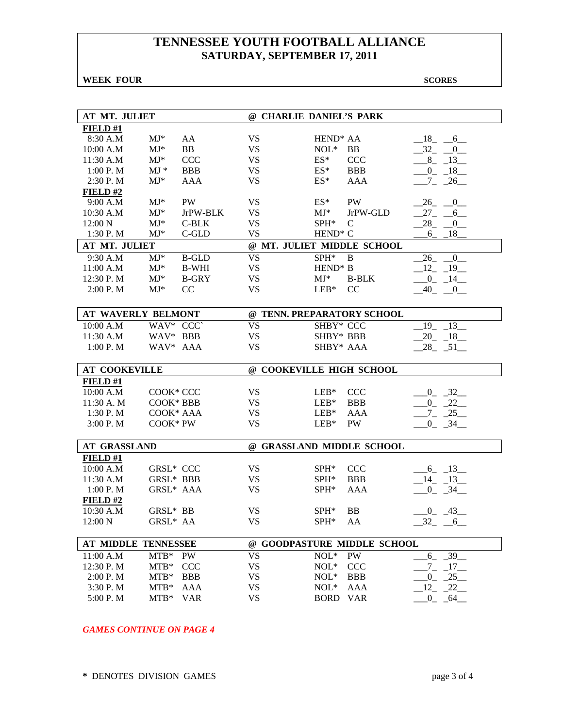**WEEK FOUR** SCORES

| AT MT. JULIET        |                  |              | @ CHARLIE DANIEL'S PARK    |                          |                             |                                    |
|----------------------|------------------|--------------|----------------------------|--------------------------|-----------------------------|------------------------------------|
| FIELD#1              |                  |              |                            |                          |                             |                                    |
| 8:30 A.M             | $MJ^*$           | AA           | <b>VS</b>                  | HEND <sup>*</sup> AA     |                             | 18 6                               |
| 10:00 A.M            | $MJ*$            | BB           | <b>VS</b>                  | $NOL*$                   | BB                          | $-32$ $-0$                         |
| 11:30 A.M            | $MJ*$            | <b>CCC</b>   | <b>VS</b>                  | $ES^*$                   | <b>CCC</b>                  | $8 - 13$                           |
| 1:00 P. M            | $MJ*$            | <b>BBB</b>   | <b>VS</b>                  | $ES^*$                   | <b>BBB</b>                  | $-0$ $-18$                         |
| 2:30 P.M             | $MJ^*$           | <b>AAA</b>   | <b>VS</b>                  | $ES^*$                   | AAA                         | $-7 - 26$                          |
| FIELD#2              |                  |              |                            |                          |                             |                                    |
| 9:00 A.M             | $MJ*$            | <b>PW</b>    | <b>VS</b>                  | $ES^*$                   | <b>PW</b>                   | $-26$ <sub>-</sub> $-0$            |
| 10:30 A.M            | $MJ^*$           | JrPW-BLK     | <b>VS</b>                  | $MJ^*$                   | JrPW-GLD                    | $27_{-}$<br>6                      |
| 12:00 N              | $MJ*$            | $C-BLK$      | <b>VS</b>                  | SPH*                     | $\mathcal{C}$               | 28<br>$\overline{0}$               |
| 1:30 P.M             | $MJ*$            | C-GLD        | <b>VS</b>                  | $\text{HEND}^*\text{ C}$ |                             | 18<br>6                            |
| AT MT. JULIET        |                  |              | @ MT. JULIET MIDDLE SCHOOL |                          |                             |                                    |
| 9:30 A.M             | $MJ*$            | <b>B-GLD</b> | <b>VS</b>                  | SPH*                     | B                           | 26<br>$\Box$ <sup>0</sup>          |
| 11:00 A.M            | $MJ^*$           | <b>B-WHI</b> | <b>VS</b>                  | HEND <sup>*</sup> B      |                             | $12 - 19$                          |
| 12:30 P.M            | $MJ^*$           | <b>B-GRY</b> | <b>VS</b>                  | $MJ^*$                   | <b>B-BLK</b>                | $-0$ $-14$                         |
| 2:00 P. M            | $MJ*$            | CC           | <b>VS</b>                  | $LEB*$                   | CC                          | $-40$ $-0$                         |
|                      |                  |              |                            |                          |                             |                                    |
| AT WAVERLY BELMONT   |                  |              | @ TENN. PREPARATORY SCHOOL |                          |                             |                                    |
| 10:00 A.M            | WAV* CCC         |              | <b>VS</b>                  | SHBY* CCC                |                             | 19 13                              |
| 11:30 A.M            | WAV* BBB         |              | <b>VS</b>                  | SHBY* BBB                |                             | $-20 - 18$                         |
| 1:00 P.M             | WAV* AAA         |              | <b>VS</b>                  | SHBY* AAA                |                             | $-28$ $-51$                        |
|                      |                  |              |                            |                          |                             |                                    |
|                      |                  |              |                            |                          |                             |                                    |
| <b>AT COOKEVILLE</b> |                  |              | @ COOKEVILLE HIGH SCHOOL   |                          |                             |                                    |
| FIELD#1              |                  |              |                            |                          |                             |                                    |
| 10:00 A.M            | COOK* CCC        |              | <b>VS</b>                  | $LEB*$                   | <b>CCC</b>                  | $0 - 32$                           |
| 11:30 A. M           | COOK* BBB        |              | <b>VS</b>                  | $LEB*$                   | <b>BBB</b>                  | $-0$ $-22$                         |
| 1:30 P.M             | COOK* AAA        |              | <b>VS</b>                  | $LEB*$                   | AAA                         | $-7 - 25$                          |
| 3:00 P. M            | COOK* PW         |              | <b>VS</b>                  | $LEB*$                   | PW                          | $-0$ $-34$ $-$                     |
|                      |                  |              |                            |                          |                             |                                    |
| <b>AT GRASSLAND</b>  |                  |              | @ GRASSLAND MIDDLE SCHOOL  |                          |                             |                                    |
| FIELD#1              |                  |              |                            |                          |                             |                                    |
| 10:00 A.M            | <b>GRSL* CCC</b> |              | <b>VS</b>                  | $SPH^*$                  | <b>CCC</b>                  | $-6 - 13$                          |
| 11:30 A.M            | <b>GRSL* BBB</b> |              | <b>VS</b>                  | SPH*                     | <b>BBB</b>                  | $-14$ $-13$                        |
| 1:00 P.M             | GRSL* AAA        |              | <b>VS</b>                  | $SPH*$                   | <b>AAA</b>                  | $-0$ $-34$                         |
| FIELD#2              |                  |              |                            |                          |                             |                                    |
| 10:30 A.M            | GRSL* BB         |              | <b>VS</b>                  | SPH*                     | <b>BB</b>                   | $-0$ $-43$                         |
| 12:00 N              | GRSL* AA         |              | <b>VS</b>                  | SPH*                     | AA                          | $-32 - -6$                         |
| AT MIDDLE TENNESSEE  |                  |              |                            |                          | @ GOODPASTURE MIDDLE SCHOOL |                                    |
| 11:00 A.M            | $MTB*$           | PW           | <b>VS</b>                  | $NOL*$                   | PW                          |                                    |
| 12:30 P.M            | $MTB*$           | <b>CCC</b>   | <b>VS</b>                  | $NOL*$                   | <b>CCC</b>                  | $-6 - 39$                          |
| 2:00 P.M             | $MTB*$           | <b>BBB</b>   | <b>VS</b>                  | $NOL*$                   | <b>BBB</b>                  | $-7 - 17$<br>$0 - 25$              |
| 3:30 P.M             | $MTB*$           | AAA          | <b>VS</b>                  | $NOL*$                   | <b>AAA</b>                  |                                    |
| 5:00 P.M             | $MTB*$           | <b>VAR</b>   | <b>VS</b>                  | <b>BORD</b>              | <b>VAR</b>                  | $12 - 22$<br>$\mathbf{0}$<br>$-64$ |

### *GAMES CONTINUE ON PAGE 4*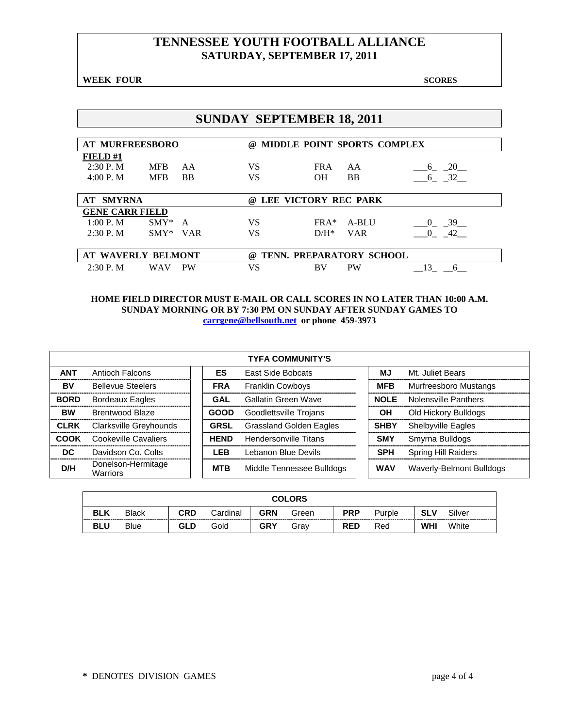**WEEK FOUR** SCORES **SCORES** 

|                                  |                          |                 | <b>SUNDAY SEPTEMBER 18, 2011</b> |                             |                 |                  |
|----------------------------------|--------------------------|-----------------|----------------------------------|-----------------------------|-----------------|------------------|
| <b>AT MURFREESBORO</b>           |                          |                 | (a)                              | MIDDLE POINT SPORTS COMPLEX |                 |                  |
| FIELD#1<br>2:30P. M<br>4:00 P. M | <b>MFB</b><br><b>MFB</b> | AA<br><b>BB</b> | <b>VS</b><br><b>VS</b>           | <b>FRA</b><br><b>OH</b>     | AA<br><b>BB</b> | $6 - 20$<br>6 32 |
|                                  |                          |                 |                                  |                             |                 |                  |
| <b>SMYRNA</b><br>AT              |                          |                 | $\omega$                         | LEE VICTORY REC PARK        |                 |                  |
| <b>GENE CARR FIELD</b>           |                          |                 |                                  |                             |                 |                  |
| 1:00 P. M                        | $SMY^*$ A                |                 | <b>VS</b>                        | $FRA*$                      | A-BLU           | $0 - 39$         |
| 2:30P. M                         | $SMY*$ VAR               |                 | <b>VS</b>                        | $D/H^*$                     | <b>VAR</b>      | $\Omega$<br>42   |
| AT WAVERLY BELMONT               |                          |                 | $\omega$                         | TENN. PREPARATORY SCHOOL    |                 |                  |

### **HOME FIELD DIRECTOR MUST E-MAIL OR CALL SCORES IN NO LATER THAN 10:00 A.M. SUNDAY MORNING OR BY 7:30 PM ON SUNDAY AFTER SUNDAY GAMES TO carrgene@bellsouth.net or phone 459-3973**

|             |                                       |             | <b>TYFA COMMUNITY'S</b>        |             |                            |
|-------------|---------------------------------------|-------------|--------------------------------|-------------|----------------------------|
| <b>ANT</b>  | Antioch Falcons                       | <b>ES</b>   | <b>East Side Bobcats</b>       | ΜJ          | Mt. Juliet Bears           |
| BV          | <b>Bellevue Steelers</b>              | <b>FRA</b>  | <b>Franklin Cowboys</b>        | <b>MFB</b>  | Murfreesboro Mustangs      |
| <b>BORD</b> | <b>Bordeaux Eagles</b>                | GAL         | Gallatin Green Wave            | <b>NOLE</b> | Nolensville Panthers       |
| <b>BW</b>   | Brentwood Blaze                       | <b>GOOD</b> | Goodlettsville Trojans         | OН          | Old Hickory Bulldogs       |
| <b>CLRK</b> | Clarksville Greyhounds                | <b>GRSL</b> | <b>Grassland Golden Eagles</b> | <b>SHBY</b> | <b>Shelbyville Eagles</b>  |
| COOK        | Cookeville Cavaliers                  | <b>HEND</b> | <b>Hendersonville Titans</b>   | <b>SMY</b>  | Smyrna Bulldogs            |
| DC.         | Davidson Co. Colts                    | <b>LEB</b>  | Lebanon Blue Devils            | <b>SPH</b>  | <b>Spring Hill Raiders</b> |
| D/H         | Donelson-Hermitage<br><b>Warriors</b> | <b>MTB</b>  | Middle Tennessee Bulldogs      | <b>WAV</b>  | Waverly-Belmont Bulldogs   |

|            |              |            |          |            | <b>COLORS</b> |            |        |            |        |
|------------|--------------|------------|----------|------------|---------------|------------|--------|------------|--------|
| <b>BLK</b> | <b>Black</b> | CRD        | Cardinal | <b>GRN</b> | Green         | <b>PRP</b> | Purple | SLV        | Silver |
| <b>BLU</b> | <b>Blue</b>  | <b>GLD</b> | Gold     | <b>GRY</b> | Grav          | <b>RED</b> | Red    | <b>WHI</b> | White  |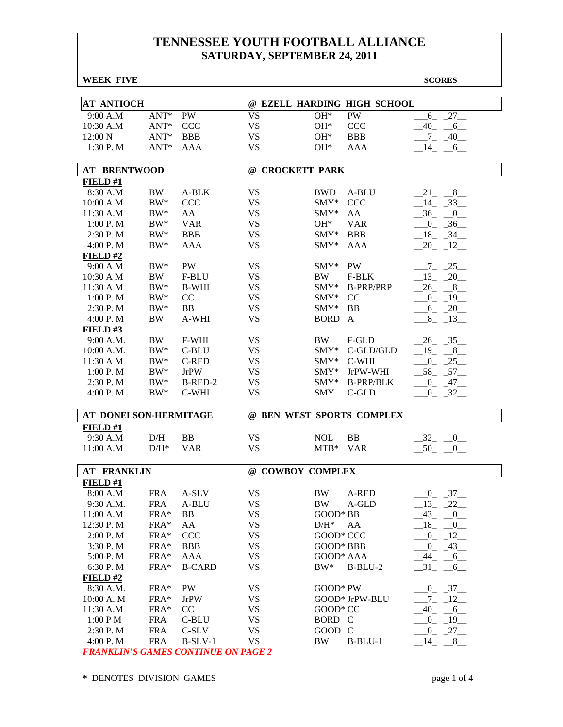| <b>WEEK FIVE</b>      |                  |               |                           |             |                             | <b>SCORES</b>                        |
|-----------------------|------------------|---------------|---------------------------|-------------|-----------------------------|--------------------------------------|
|                       |                  |               |                           |             |                             |                                      |
| <b>AT ANTIOCH</b>     |                  |               |                           |             | @ EZELL HARDING HIGH SCHOOL |                                      |
| 9:00 A.M              | $ANT*$           | PW            | <b>VS</b>                 | $OH*$       | PW                          | $-27$<br>6                           |
| 10:30 A.M             | $\mathrm{ANT}^*$ | <b>CCC</b>    | <b>VS</b>                 | $OH*$       | CCC                         | 40<br>6                              |
| 12:00 N               | $ANT*$           | <b>BBB</b>    | <b>VS</b>                 | $OH*$       | <b>BBB</b>                  | 7<br>40                              |
| 1:30 P.M              | $ANT*$           | <b>AAA</b>    | <b>VS</b>                 | $OH*$       | <b>AAA</b>                  | 14<br>6                              |
|                       |                  |               |                           |             |                             |                                      |
| <b>AT BRENTWOOD</b>   |                  |               | @ CROCKETT PARK           |             |                             |                                      |
| FIELD#1               |                  |               |                           |             |                             |                                      |
| 8:30 A.M              | <b>BW</b>        | A-BLK         | <b>VS</b>                 | <b>BWD</b>  | A-BLU                       | 8<br>$_{21}$                         |
| 10:00 A.M             | $BW^*$           | <b>CCC</b>    | <b>VS</b>                 | $SMY*$      | <b>CCC</b>                  | 14<br>$-33$                          |
| 11:30 A.M             | $BW^*$           | AA            | <b>VS</b>                 | $SMY*$      | AA                          | 36<br>$\overline{0}$                 |
| 1:00 P.M              | $BW^*$           | <b>VAR</b>    | <b>VS</b>                 | $OH*$       | <b>VAR</b>                  | 36<br>$\overline{0}$                 |
| 2:30 P.M              | $BW^*$           | <b>BBB</b>    | <b>VS</b>                 | $SMY*$      | <b>BBB</b>                  | 18<br>$-34$                          |
| 4:00 P.M              | $BW^*$           | <b>AAA</b>    | <b>VS</b>                 | $SMY*$      | AAA                         | 20<br>$-12$                          |
| FIELD#2               |                  |               |                           |             |                             |                                      |
| 9:00 A M              | $BW^*$           | PW            | <b>VS</b>                 | $SMY^*$     | <b>PW</b>                   | $-7 - 25$                            |
| 10:30 A M             | <b>BW</b>        | F-BLU         | <b>VS</b>                 | <b>BW</b>   | F-BLK                       | $-13 - 20$                           |
| 11:30 A M             | $BW^*$           | <b>B-WHI</b>  | <b>VS</b>                 | $SMY*$      | <b>B-PRP/PRP</b>            | $-26$ $-8$ $-$                       |
| 1:00 P. M             | $BW^*$           | CC            | <b>VS</b>                 | $SMY*$      | CC                          | $-0$ $-19$ $-$                       |
| 2:30 P.M              | $BW^*$           | <b>BB</b>     | <b>VS</b>                 | $SMY*$      | BB                          | $-6 - 20$                            |
| 4:00 P. M             | <b>BW</b>        | A-WHI         | <b>VS</b>                 | <b>BORD</b> | $\mathbf{A}$                | $8_{-}$<br>$-13$                     |
|                       |                  |               |                           |             |                             |                                      |
| FIELD#3               |                  |               |                           | BW          |                             | 26 35                                |
| 9:00 A.M.             | BW               | F-WHI         | <b>VS</b>                 |             | F-GLD                       |                                      |
| 10:00 A.M.            | $BW^*$           | C-BLU         | <b>VS</b>                 | $SMY^*$     | C-GLD/GLD                   | 19<br>8                              |
| 11:30 A M             | $BW^*$           | <b>C-RED</b>  | <b>VS</b>                 | $SMY*$      | C-WHI                       | $0_{-}$<br>$-25$                     |
| 1:00 P. M             | $BW^*$           | <b>JrPW</b>   | <b>VS</b>                 | SMY*        | JrPW-WHI                    | $-58$ <sub>-</sub> $-57$             |
| 2:30 P. M             | $BW^*$           | B-RED-2       | <b>VS</b>                 | $SMY^*$     | <b>B-PRP/BLK</b>            | $0 - 47$                             |
| 4:00 P.M              | $BW^*$           | C-WHI         | <b>VS</b>                 | <b>SMY</b>  | C-GLD                       | $-0$ $-32$ $-$                       |
| AT DONELSON-HERMITAGE |                  |               | @ BEN WEST SPORTS COMPLEX |             |                             |                                      |
| FIELD#1               |                  |               |                           |             |                             |                                      |
| 9:30 A.M              | D/H              | <b>BB</b>     | <b>VS</b>                 | <b>NOL</b>  | BB                          | $-32$<br>$\overline{\phantom{0}}^0$  |
| 11:00 A.M             | $D/H^*$          | <b>VAR</b>    | <b>VS</b>                 | $MTB*$      | <b>VAR</b>                  | $-50$ <sub>-</sub><br>$\overline{0}$ |
|                       |                  |               |                           |             |                             |                                      |
| <b>AT FRANKLIN</b>    |                  |               | @ COWBOY COMPLEX          |             |                             |                                      |
| FIELD#1               |                  |               |                           |             |                             |                                      |
| 8:00 A.M              | <b>FRA</b>       | A-SLV         | VS                        | BW          | A-RED                       | $-0$ $-37$ $-$                       |
| 9:30 A.M.             | <b>FRA</b>       | A-BLU         | <b>VS</b>                 | BW          | A-GLD                       | 22<br>$-13$                          |
| 11:00 A.M             | FRA*             | BB            | <b>VS</b>                 | GOOD* BB    |                             | 43<br>$\overline{\phantom{0}}^0$     |
| 12:30 P.M             | FRA*             | AA            | <b>VS</b>                 | $D/H^*$     | AA                          | $18 - 0$                             |
| 2:00 P.M              | FRA*             | <b>CCC</b>    | <b>VS</b>                 | GOOD* CCC   |                             | $-0$ $-12$                           |
| 3:30 P.M              | FRA*             | <b>BBB</b>    | <b>VS</b>                 | GOOD* BBB   |                             | $-0$ $-43$                           |
| 5:00 P.M              | FRA*             | AAA           | <b>VS</b>                 | GOOD* AAA   |                             | $-44$<br>$-6$                        |
| 6:30 P.M              | FRA*             | <b>B-CARD</b> | <b>VS</b>                 | $BW^*$      | B-BLU-2                     | $-31$<br>6                           |
| $FIED$ #2             |                  |               |                           |             |                             |                                      |
| 8:30 A.M.             | FRA*             | PW            | <b>VS</b>                 | GOOD* PW    |                             | $0 - 37$                             |
| 10:00 A. M            | FRA*             | <b>JrPW</b>   | <b>VS</b>                 |             | GOOD* JrPW-BLU              | $\overline{a}$<br>$-12$              |
| 11:30 A.M             | FRA*             | CC            | <b>VS</b>                 | GOOD* CC    |                             | 40                                   |
|                       |                  |               | <b>VS</b>                 |             |                             | $-6$                                 |
| 1:00 P M              | <b>FRA</b>       | C-BLU         |                           | BORD C      |                             | $-19$<br>$0_{-}$                     |
| 2:30 P.M              | <b>FRA</b>       | C-SLV         | <b>VS</b>                 | GOOD C      |                             | $-27$<br>$0_{-}$                     |
| 4:00 P.M              | <b>FRA</b>       | $B-SLV-1$     | <b>VS</b>                 | BW          | $B-BLU-1$                   | $-14$ $-8$                           |

*FRANKLIN'S GAMES CONTINUE ON PAGE 2*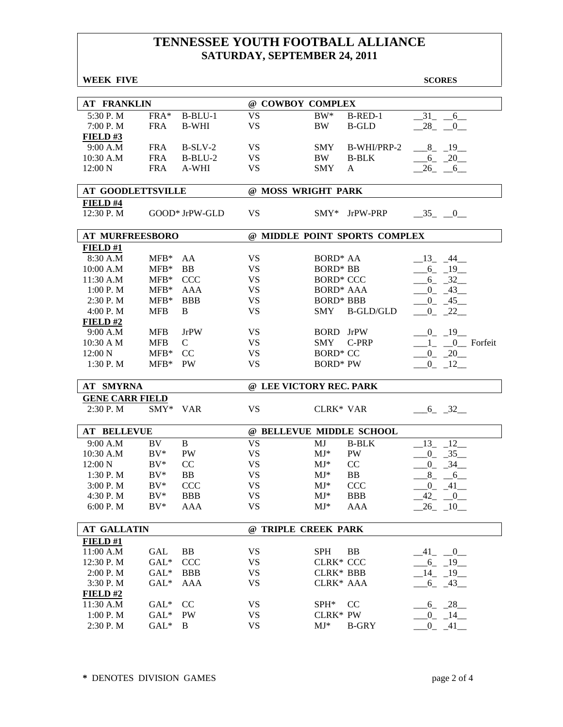| <b>WEEK FIVE</b>         |            |                |           |                               | <b>SCORES</b>                  |
|--------------------------|------------|----------------|-----------|-------------------------------|--------------------------------|
|                          |            |                |           |                               |                                |
| <b>AT FRANKLIN</b>       |            |                |           | @ COWBOY COMPLEX              |                                |
| 5:30 P.M                 | FRA*       | $B-BLU-1$      | <b>VS</b> | $BW^*$                        | $-31$ $-6$<br>B-RED-1          |
| 7:00 P.M                 | <b>FRA</b> | <b>B-WHI</b>   | <b>VS</b> | BW<br><b>B-GLD</b>            | $-28$ $-0$                     |
| FIELD#3                  |            |                |           |                               |                                |
| 9:00 A.M                 | <b>FRA</b> | $B-SLV-2$      | <b>VS</b> | <b>SMY</b>                    | $-8$ $-19$<br>B-WHI/PRP-2      |
| 10:30 A.M                | <b>FRA</b> | $B-BLU-2$      | <b>VS</b> | BW.<br><b>B-BLK</b>           | $-6 - 20$                      |
| 12:00 N                  | <b>FRA</b> | A-WHI          | <b>VS</b> | <b>SMY</b><br>A               | $-26$ $-6$ $-$                 |
| <b>AT GOODLETTSVILLE</b> |            |                |           | @ MOSS WRIGHT PARK            |                                |
| FIELD #4                 |            |                |           |                               |                                |
| 12:30 P.M                |            | GOOD* JrPW-GLD | <b>VS</b> | SMY* JrPW-PRP                 | $-35$ $-0$                     |
| <b>AT MURFREESBORO</b>   |            |                |           | @ MIDDLE POINT SPORTS COMPLEX |                                |
| FIELD#1                  |            |                |           |                               |                                |
| 8:30 A.M                 | $MFB*$     | AA             | <b>VS</b> | BORD <sup>*</sup> AA          | $-13 - 44$                     |
| 10:00 A.M                | $MFB*$     | BB             | <b>VS</b> | <b>BORD* BB</b>               | $-6 - 19$                      |
| 11:30 A.M                | $MFB*$     | <b>CCC</b>     | <b>VS</b> | <b>BORD* CCC</b>              | $-6 - 32$                      |
| 1:00 P. M                | $MFB*$     | <b>AAA</b>     | <b>VS</b> | <b>BORD* AAA</b>              | $-0$ $-43$                     |
| 2:30 P.M                 | $MFB*$     | <b>BBB</b>     | <b>VS</b> | <b>BORD* BBB</b>              | $-0$ $-45$                     |
| 4:00 P.M                 | <b>MFB</b> | B              | <b>VS</b> | <b>SMY</b>                    | <b>B-GLD/GLD</b><br>$-0$ $-22$ |
| FIELD#2                  |            |                |           |                               |                                |
| 9:00 A.M                 | <b>MFB</b> | <b>JrPW</b>    | <b>VS</b> | BORD JrPW                     | $-0$ $-19$                     |
| 10:30 A M                | <b>MFB</b> | $\mathsf{C}$   | <b>VS</b> | SMY<br>C-PRP                  | $1_{-}$ $0_{-}$ Forfeit        |
| 12:00 N                  | $MFB*$     | CC             | <b>VS</b> | <b>BORD* CC</b>               | $0 - 20$                       |
| 1:30 P.M                 | $MFB*$     | <b>PW</b>      | <b>VS</b> | <b>BORD* PW</b>               | $0 - 12$                       |
| <b>AT SMYRNA</b>         |            |                |           | @ LEE VICTORY REC. PARK       |                                |
| <b>GENE CARR FIELD</b>   |            |                |           |                               |                                |
| 2:30 P.M                 | SMY* VAR   |                | <b>VS</b> | <b>CLRK* VAR</b>              | $-6 - 32$                      |
| <b>AT BELLEVUE</b>       |            |                |           | @ BELLEVUE MIDDLE SCHOOL      |                                |
| 9:00 A.M                 | BV         | $\mathbf B$    | <b>VS</b> | <b>B-BLK</b><br>MJ            | 13<br>12                       |
| 10:30 A.M                | $BV^*$     | ${\rm PW}$     | <b>VS</b> | $MJ*$<br>PW                   | $0 - 35$                       |
| 12:00 N                  | $BV^*$     | CC             | <b>VS</b> | CC<br>$MJ^*$                  | $0 - 34$                       |
| 1:30 P.M                 | $BV^*$     | <b>BB</b>      | <b>VS</b> | $MJ^*$<br><b>BB</b>           | $8_{-}$<br>$6\overline{6}$     |
| 3:00 P.M                 | $BV^*$     | CCC            | <b>VS</b> | $MJ^*$<br>CCC                 | $-0$ $-41$                     |
| 4:30 P.M                 | $BV^*$     | <b>BBB</b>     | <b>VS</b> | $MJ^*$<br><b>BBB</b>          | $-42$ $-0$                     |
| 6:00 P.M                 | $BV^*$     | AAA            | <b>VS</b> | $MJ^*$<br><b>AAA</b>          | $-26$ $-10$ $-$                |
| <b>AT GALLATIN</b>       |            |                |           | @ TRIPLE CREEK PARK           |                                |
| FIELD#1                  |            |                |           |                               |                                |
| 11:00 A.M                | GAL        | BB             | VS        | <b>SPH</b><br>BB              | $-41$ $-0$                     |
| 12:30 P.M                | $GAL^*$    | <b>CCC</b>     | <b>VS</b> | <b>CLRK* CCC</b>              | $-6 - 19$                      |
| 2:00 P.M                 | $GAL^*$    | <b>BBB</b>     | <b>VS</b> | <b>CLRK* BBB</b>              | $-14$ $-19$ $-$                |
| 3:30 P.M                 | $GAL^*$    | <b>AAA</b>     | <b>VS</b> | CLRK* AAA                     | $-6 - 43$                      |
| $FIED$ #2                |            |                |           |                               |                                |
| 11:30 A.M                | $GAL*$     | CC             | <b>VS</b> | $SPH^*$<br>CC                 | $6 - 28$                       |
| 1:00 P.M                 | $GAL^*$    | PW             | <b>VS</b> | CLRK* PW                      | $-0$ $-14$ $-$                 |
| 2:30 P.M                 | $GAL^*$    | B              | <b>VS</b> | $MJ^*$<br><b>B-GRY</b>        | $-0$ $-41$ $-$                 |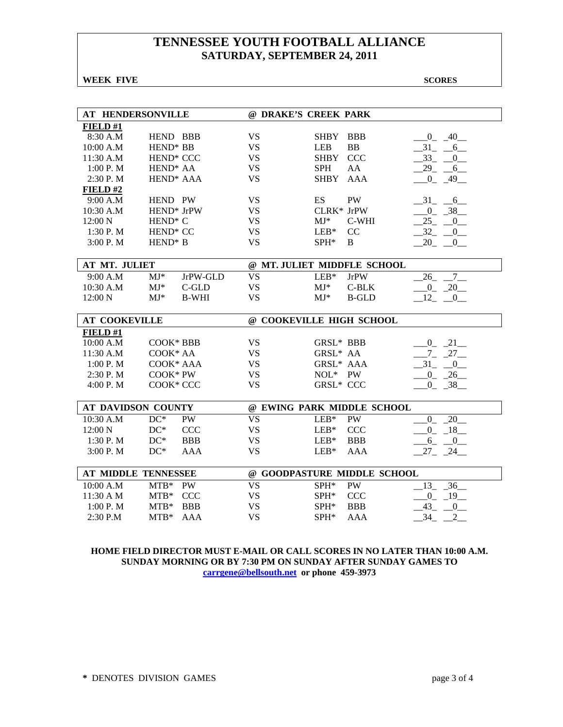**WEEK FIVE** SCORES

| <b>AT HENDERSONVILLE</b> |                       |              | @ DRAKE'S CREEK PARK     |                  |                             |                               |
|--------------------------|-----------------------|--------------|--------------------------|------------------|-----------------------------|-------------------------------|
| FIELD #1                 |                       |              |                          |                  |                             |                               |
| 8:30 A.M                 | HEND BBB              |              | <b>VS</b>                | <b>SHBY</b>      | <b>BBB</b>                  | $-0 - 40$                     |
| 10:00 A.M                | HEND <sup>*</sup> BB  |              | <b>VS</b>                | <b>LEB</b>       | <b>BB</b>                   | $-31 - 6$                     |
| 11:30 A.M                | HEND <sup>*</sup> CCC |              | <b>VS</b>                | <b>SHBY</b>      | <b>CCC</b>                  | $-33 - 0$                     |
| 1:00 P. M                | HEND <sup>*</sup> AA  |              | <b>VS</b>                | <b>SPH</b>       | AA                          | $29 - 6$                      |
| 2:30 P.M                 | HEND <sup>*</sup> AAA |              | <b>VS</b>                | <b>SHBY</b>      | <b>AAA</b>                  | $-0$ $-49$                    |
| FIELD#2                  |                       |              |                          |                  |                             |                               |
| 9:00 A.M                 | HEND PW               |              | <b>VS</b>                | <b>ES</b>        | PW                          | $-31$ $-6$                    |
| 10:30 A.M                | HEND* JrPW            |              | <b>VS</b>                | CLRK* JrPW       |                             | 0 38                          |
| 12:00 N                  | HEND <sup>*</sup> C   |              | <b>VS</b>                | $MJ*$            | C-WHI                       | $25 - 0$                      |
| 1:30 P.M                 | HEND <sup>*</sup> CC  |              | <b>VS</b>                | $LEB*$           | CC                          | 32 0                          |
| 3:00 P.M                 | HEND <sup>*</sup> B   |              | <b>VS</b>                | $SPH^*$          | B                           | $20 - 0$                      |
|                          |                       |              |                          |                  |                             |                               |
| AT MT. JULIET            |                       |              |                          |                  | @ MT. JULIET MIDDFLE SCHOOL |                               |
| 9:00 A.M                 | $MJ*$                 | JrPW-GLD     | <b>VS</b>                | $LEB*$           | <b>JrPW</b>                 | $\overline{7}$<br>26          |
| 10:30 A.M                | $MJ*$                 | $C$ -GLD     | <b>VS</b>                | $MJ^*$           | $C-BLK$                     | $0 - 20$                      |
| 12:00 N                  | $MJ^*$                | <b>B-WHI</b> | <b>VS</b>                | $MJ^*$           | <b>B-GLD</b>                | $12 - 0$                      |
|                          |                       |              |                          |                  |                             |                               |
|                          |                       |              |                          |                  |                             |                               |
| <b>AT COOKEVILLE</b>     |                       |              | @ COOKEVILLE HIGH SCHOOL |                  |                             |                               |
| FIELD#1                  |                       |              |                          |                  |                             |                               |
| 10:00 A.M                | COOK* BBB             |              | <b>VS</b>                | <b>GRSL* BBB</b> |                             | $0\qquad 21$                  |
| 11:30 A.M                | COOK* AA              |              | <b>VS</b>                | GRSL* AA         |                             | $7 - 27$                      |
| 1:00 P.M                 | COOK* AAA             |              | <b>VS</b>                | GRSL* AAA        |                             | $-31$ $-0$                    |
| 2:30 P.M                 | COOK* PW              |              | <b>VS</b>                | NOL* PW          |                             | $0 - 26$                      |
| 4:00 P.M                 | COOK* CCC             |              | <b>VS</b>                | <b>GRSL* CCC</b> |                             | $0 - 38$                      |
|                          |                       |              |                          |                  |                             |                               |
| AT DAVIDSON COUNTY       |                       |              |                          |                  | @ EWING PARK MIDDLE SCHOOL  |                               |
| 10:30 A.M                | $DC^*$                | <b>PW</b>    | <b>VS</b>                | $LEB*$           | PW                          | 20<br>$\overline{0}$          |
| 12:00 N                  | $DC^*$                | <b>CCC</b>   | <b>VS</b>                | $LEB*$           | <b>CCC</b>                  | $\overline{0}$<br>18          |
| 1:30 P.M                 | $DC^*$                | <b>BBB</b>   | <b>VS</b>                | $LEB*$           | <b>BBB</b>                  | $6_{-}$<br>$\overline{0}$     |
| 3:00 P.M                 | $DC^*$                | <b>AAA</b>   | <b>VS</b>                | $LEB*$           | <b>AAA</b>                  | $27 - 24$                     |
|                          |                       |              |                          |                  |                             |                               |
| AT MIDDLE TENNESSEE      |                       |              |                          |                  | @ GOODPASTURE MIDDLE SCHOOL |                               |
| 10:00 A.M                | $MTB*$                | PW           | <b>VS</b>                | SPH*             | PW                          | 36<br>13                      |
| 11:30 A M                | $MTB*$                | <b>CCC</b>   | <b>VS</b>                | SPH*             | <b>CCC</b>                  | $-0$ $-19$                    |
| 1:00 P.M                 | $MTB*$                | <b>BBB</b>   | <b>VS</b>                | SPH*             | <b>BBB</b>                  | 43<br>$\overline{\mathbf{0}}$ |

### **HOME FIELD DIRECTOR MUST E-MAIL OR CALL SCORES IN NO LATER THAN 10:00 A.M. SUNDAY MORNING OR BY 7:30 PM ON SUNDAY AFTER SUNDAY GAMES TO carrgene@bellsouth.net or phone 459-3973**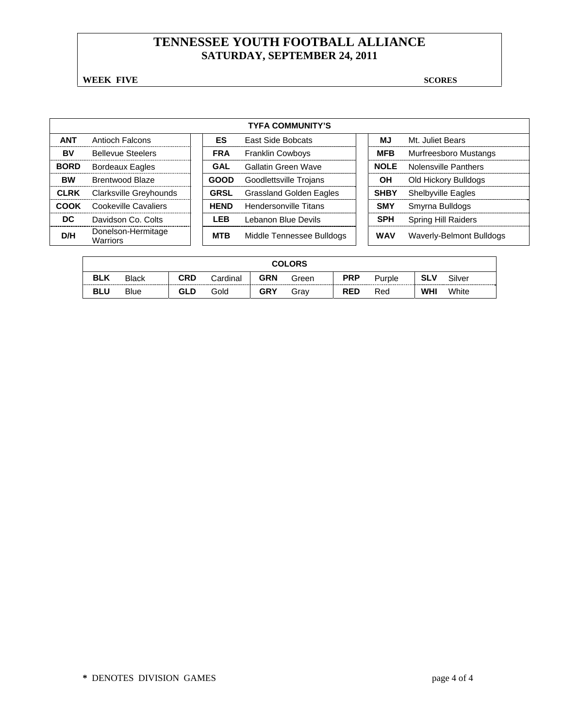**WEEK FIVE** SCORES

| <b>TYFA COMMUNITY'S</b> |                                |  |             |                                |  |             |                            |  |  |  |
|-------------------------|--------------------------------|--|-------------|--------------------------------|--|-------------|----------------------------|--|--|--|
| <b>ANT</b>              | Antioch Falcons                |  | ES          | <b>East Side Bobcats</b>       |  | МJ          | Mt. Juliet Bears           |  |  |  |
| BV                      | <b>Bellevue Steelers</b>       |  | <b>FRA</b>  | <b>Franklin Cowboys</b>        |  | <b>MFB</b>  | Murfreesboro Mustangs      |  |  |  |
| <b>BORD</b>             | <b>Bordeaux Eagles</b>         |  | GAL         | <b>Gallatin Green Wave</b>     |  | <b>NOLE</b> | Nolensville Panthers       |  |  |  |
| <b>BW</b>               | Brentwood Blaze                |  | <b>GOOD</b> | Goodlettsville Trojans         |  | OН          | Old Hickory Bulldogs       |  |  |  |
| <b>CLRK</b>             | Clarksville Greyhounds         |  | <b>GRSL</b> | <b>Grassland Golden Eagles</b> |  | <b>SHBY</b> | <b>Shelbyville Eagles</b>  |  |  |  |
| COOK                    | Cookeville Cavaliers           |  | <b>HEND</b> | Hendersonville Titans          |  | <b>SMY</b>  | Smyrna Bulldogs            |  |  |  |
| DC.                     | Davidson Co. Colts             |  | LEB         | Lebanon Blue Devils            |  | <b>SPH</b>  | <b>Spring Hill Raiders</b> |  |  |  |
| D/H                     | Donelson-Hermitage<br>Warriors |  | <b>MTB</b>  | Middle Tennessee Bulldogs      |  | <b>WAV</b>  | Waverly-Belmont Bulldogs   |  |  |  |

|            | <b>COLORS</b> |     |          |            |       |            |        |            |        |  |
|------------|---------------|-----|----------|------------|-------|------------|--------|------------|--------|--|
| <b>BLK</b> | <b>Black</b>  | CRD | Cardinal | GRN        | Green | <b>PRP</b> | Purple | <b>SLV</b> | Silver |  |
| <b>BLU</b> | <b>Blue</b>   | GLD | Gold     | <b>GRY</b> | Grav  | <b>RED</b> | Red    | <b>WHI</b> | White  |  |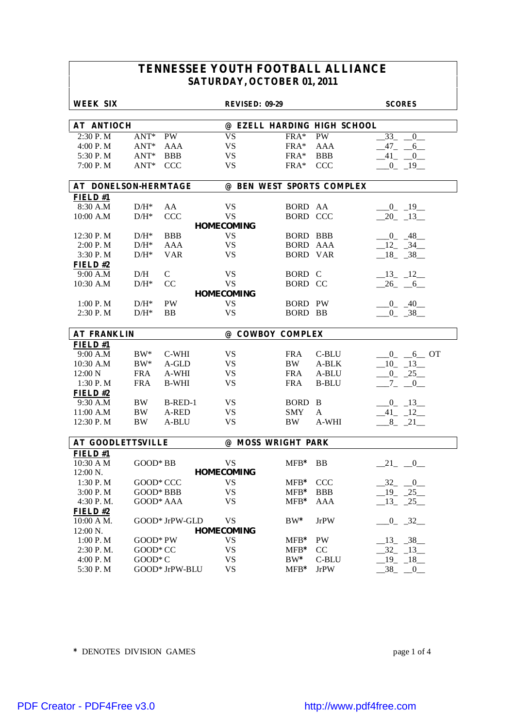| <b>WEEK SIX</b>          |            |                | <b>REVISED: 09-29</b> |                    |                             | <b>SCORES</b>        |
|--------------------------|------------|----------------|-----------------------|--------------------|-----------------------------|----------------------|
|                          |            |                |                       |                    |                             |                      |
| <b>AT ANTIOCH</b>        |            |                |                       |                    | @ EZELL HARDING HIGH SCHOOL |                      |
| 2:30 P.M                 | $ANT^*$    | PW             | <b>VS</b>             | $FRA*$             | <b>PW</b>                   | 33<br>$\overline{0}$ |
| 4:00 P.M                 | $ANT^*$    | AAA            | <b>VS</b>             | FRA*               | AAA                         | $-47 - -6$           |
| 5:30 P.M                 | $ANT^*$    | <b>BBB</b>     | <b>VS</b>             | $FRA*$             | <b>BBB</b>                  | $-41$ $-0$           |
| 7:00 P.M                 | $ANT^*$    | <b>CCC</b>     | <b>VS</b>             | $FRA*$             | CCC                         | $-0$ $-19$ $-$       |
| AT DONELSON-HERMTAGE     |            |                |                       |                    | @ BEN WEST SPORTS COMPLEX   |                      |
| FIELD#1                  |            |                |                       |                    |                             |                      |
| 8:30 A.M                 | $D/H^*$    | AA             | <b>VS</b>             | BORD AA            |                             | $-0$ $-19$           |
| 10:00 A.M                | $D/H^*$    | <b>CCC</b>     | <b>VS</b>             | <b>BORD CCC</b>    |                             | $-20$ $-13$          |
|                          |            |                | <b>HOMECOMING</b>     |                    |                             |                      |
| 12:30 P.M                | $D/H^*$    | <b>BBB</b>     | <b>VS</b>             | BORD BBB           |                             | $-0$ $-48$           |
| 2:00 P.M                 | $D/H^*$    | AAA            | <b>VS</b>             | <b>BORD AAA</b>    |                             | $12 - 34$            |
| 3:30 P.M                 | $D/H^*$    | <b>VAR</b>     | <b>VS</b>             | <b>BORD VAR</b>    |                             | $18 - 38$            |
| FIELD#2                  |            |                |                       |                    |                             |                      |
| 9:00 A.M                 | D/H        | $\mathsf{C}$   | <b>VS</b>             | BORD C             |                             | $-13$ $-12$          |
| 10:30 A.M                | $D/H^*$    | CC             | <b>VS</b>             | BORD CC            |                             | $-26$ $-6$           |
|                          |            |                | <b>HOMECOMING</b>     |                    |                             |                      |
| 1:00 P. M                | $D/H^*$    | <b>PW</b>      | VS                    | <b>BORD PW</b>     |                             | $-0$ $-40$ $-$       |
| 2:30 P.M                 | $D/H^*$    | <b>BB</b>      | <b>VS</b>             | <b>BORD BB</b>     |                             | $0 - 38$             |
|                          |            |                |                       |                    |                             |                      |
| <b>AT FRANKLIN</b>       |            |                |                       | @ COWBOY COMPLEX   |                             |                      |
| <b>FIELD#1</b>           |            |                |                       |                    |                             |                      |
| 9:00 A.M                 | $BW^*$     | C-WHI          | <b>VS</b>             | <b>FRA</b>         | C-BLU                       | $0 - 6$ OT           |
| 10:30 A.M                | $BW^*$     | A-GLD          | <b>VS</b>             | <b>BW</b>          | A-BLK                       | $10 - 13$            |
| 12:00 N                  | <b>FRA</b> | A-WHI          | <b>VS</b>             | <b>FRA</b>         | A-BLU                       | $-0$ $-25$           |
| 1:30 P.M                 | <b>FRA</b> | <b>B-WHI</b>   | <b>VS</b>             | <b>FRA</b>         | <b>B-BLU</b>                | $-7 - 0$             |
| FIELD #2                 |            |                |                       |                    |                             |                      |
| 9:30 A.M                 | <b>BW</b>  | B-RED-1        | <b>VS</b>             | <b>BORD</b>        | B                           | $-0$ $-13$           |
| 11:00 A.M                | <b>BW</b>  | A-RED          | <b>VS</b>             | <b>SMY</b>         | A                           | $-41$ $-12$ $-$      |
| 12:30 P.M                | $\rm BW$   | A-BLU          | <b>VS</b>             | <b>BW</b>          | A-WHI                       | $8 - 21$             |
| <b>AT GOODLETTSVILLE</b> |            |                |                       | @ MOSS WRIGHT PARK |                             |                      |
| FIELD #1                 |            |                |                       |                    |                             |                      |
| 10:30 A M                | $GOOD*BB$  |                | <b>VS</b>             | $MFB*$             | <b>BB</b>                   | $-21$ $-0$           |
| 12:00 N.                 |            |                | <b>HOMECOMING</b>     |                    |                             |                      |
| 1:30 P.M                 | GOOD* CCC  |                | <b>VS</b>             | MFB* CCC           |                             | $-32 - 0$            |
| 3:00 P.M                 | GOOD* BBB  |                | VS                    | $MFB*$             | <b>BBB</b>                  | $-19$ $-25$          |
| 4:30 P.M.                | GOOD* AAA  |                | VS                    | $MFB*$             | <b>AAA</b>                  | $-13$ $-25$          |
| FIELD#2                  |            |                |                       |                    |                             |                      |
| 10:00 A M.               |            | GOOD* JrPW-GLD | <b>VS</b>             | $BW^*$             | <b>JrPW</b>                 |                      |
|                          |            |                | <b>HOMECOMING</b>     |                    |                             | $-0$ $-32$           |
| 12:00 N.<br>1:00 P.M     | GOOD* PW   |                | <b>VS</b>             |                    | PW                          | $13 - 38$            |
|                          |            |                | <b>VS</b>             | $MFB*$             |                             |                      |
| 2:30 P.M.                | GOOD* CC   |                |                       | $MFB*$             | CC                          | $-32 - 13$           |
| 4:00 P.M                 | GOOD* C    |                | <b>VS</b>             | $BW^*$             | C-BLU                       | $19 - 18$            |
| 5:30 P.M                 |            | GOOD* JrPW-BLU | <b>VS</b>             | $MFB*$             | <b>JrPW</b>                 | $-38$ $-0$           |

**\*** DENOTES DIVISION GAMES page 1 of 4

[PDF Creator - PDF4Free v3.0 http://www.pdf4free.com](http://www.pdfpdf.com/0.htm)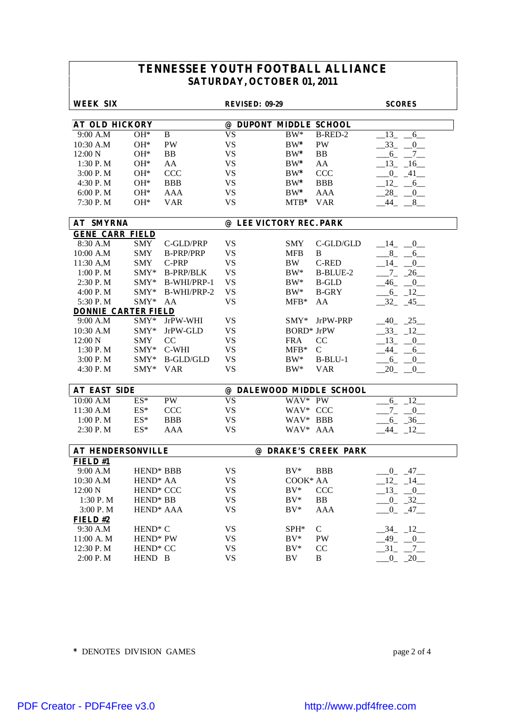| <b>WEEK SIX</b>            |                       |                  | <b>REVISED: 09-29</b>   |                   |                          | <b>SCORES</b>                             |
|----------------------------|-----------------------|------------------|-------------------------|-------------------|--------------------------|-------------------------------------------|
| <b>AT OLD HICKORY</b>      |                       |                  | @ DUPONT MIDDLE SCHOOL  |                   |                          |                                           |
| 9:00 A.M                   | $OH*$                 | B                | <b>VS</b>               | $BW^*$            | B-RED-2                  | 13<br>6                                   |
| 10:30 A.M                  | $OH*$                 | <b>PW</b>        | <b>VS</b>               | $BW^*$            | PW                       | $-33$<br>$\begin{array}{c} 0 \end{array}$ |
| 12:00 N                    | $OH*$                 | B <sub>B</sub>   | <b>VS</b>               | $BW^*$            | BB                       | $-6 - -7$                                 |
| 1:30 P.M                   | $OH*$                 | AA               | <b>VS</b>               | $BW^*$            | AA                       | $-13$ $-16$ $-$                           |
| 3:00 P.M                   | $OH*$                 | <b>CCC</b>       | <b>VS</b>               | $BW^*$            | <b>CCC</b>               | $-0$ $-41$ $-$                            |
| 4:30 P.M                   | $OH*$                 | <b>BBB</b>       | <b>VS</b>               | $BW^*$            | <b>BBB</b>               | 12<br>6                                   |
| 6:00 P.M                   | $OH*$                 | <b>AAA</b>       | <b>VS</b>               | $BW^*$            | ${\rm AAA}$              | $-28$<br>$_{0-}$                          |
| 7:30 P.M                   | $OH*$                 | <b>VAR</b>       | <b>VS</b>               | $MTB*$            | <b>VAR</b>               | $-44$ $-8$                                |
|                            |                       |                  |                         |                   |                          |                                           |
| <b>AT SMYRNA</b>           |                       |                  | @ LEE VICTORY REC. PARK |                   |                          |                                           |
| <b>GENE CARR FIELD</b>     |                       |                  |                         |                   |                          |                                           |
| 8:30 A.M                   | <b>SMY</b>            | C-GLD/PRP        | <b>VS</b>               | <b>SMY</b>        | C-GLD/GLD                | $-14$<br>$\overline{0}$                   |
| 10:00 A.M                  | <b>SMY</b>            | <b>B-PRP/PRP</b> | <b>VS</b>               | <b>MFB</b>        | B                        | $-8$ -<br>6                               |
| 11:30 A,M                  | <b>SMY</b>            | C-PRP            | <b>VS</b>               | BW                | <b>C-RED</b>             | $-14$<br>$\overline{0}$                   |
| 1:00 P. M                  | SMY*                  | <b>B-PRP/BLK</b> | <b>VS</b>               | $BW^*$            | <b>B-BLUE-2</b>          | $\overline{7}$<br>$-26$                   |
| 2:30 P.M                   | $SMY*$                | B-WHI/PRP-1      | <b>VS</b>               | $BW^*$            | <b>B-GLD</b>             | $-46$<br>$-0$                             |
| 4:00 P.M                   | $SMY*$                | B-WHI/PRP-2      | <b>VS</b>               | $BW^*$            | <b>B-GRY</b>             | $-12$<br>$-6$                             |
| 5:30 P.M                   | $SMY*$                | AA               | <b>VS</b>               | $MFB*$            | AA                       | $-32$<br>$-45$                            |
| <b>DONNIE CARTER FIELD</b> |                       |                  |                         |                   |                          |                                           |
| 9:00 A.M                   | $SMY*$                | JrPW-WHI         | <b>VS</b>               | SMY*              | JrPW-PRP                 | $-40$ $-25$                               |
| 10:30 A.M                  | $SMY*$                | JrPW-GLD         | <b>VS</b>               | <b>BORD*</b> JrPW |                          | $-33 - 12$                                |
| 12:00 N                    | <b>SMY</b>            | CC               | <b>VS</b>               | <b>FRA</b>        | CC                       | $-13$<br>$-0$                             |
| 1:30 P.M                   | SMY*                  | C-WHI            | <b>VS</b>               | $MFB*$            | $\mathsf{C}$             | $-44$<br>6                                |
| 3:00 P.M                   | $SMY*$                | <b>B-GLD/GLD</b> | <b>VS</b>               | $BW^*$            | $B-BLU-1$                | $-6$<br>$_{0-}$                           |
| 4:30 P.M                   | $SMY*$                | <b>VAR</b>       | <b>VS</b>               | $BW^*$            | <b>VAR</b>               | 20<br>$-0$                                |
|                            |                       |                  |                         |                   |                          |                                           |
| <b>AT EAST SIDE</b>        |                       |                  |                         |                   | @ DALEWOOD MIDDLE SCHOOL |                                           |
| 10:00 A.M                  | $\mathrm{ES}^*$       | PW               | <b>VS</b>               | WAV* PW           |                          | $6 - 12$                                  |
| 11:30 A.M                  | $ES^*$                | <b>CCC</b>       | <b>VS</b>               | WAV* CCC          |                          | $-7 - 0$                                  |
| 1:00 P. M                  | $\mathrm{ES}^*$       | <b>BBB</b>       | <b>VS</b>               | WAV* BBB          |                          | $6 - 36$                                  |
| 2:30 P.M                   | $ES^*$                | AAA              | <b>VS</b>               | WAV* AAA          |                          | $-44$ $-12$                               |
| <b>AT HENDERSONVILLE</b>   |                       |                  |                         |                   | @ DRAKE'S CREEK PARK     |                                           |
| FIELD #1                   |                       |                  |                         |                   |                          |                                           |
| 9:00 A.M                   | HEND <sup>*</sup> BBB |                  | <b>VS</b>               | $BV^*$            | <b>BBB</b>               | $0 - 47$                                  |
| 10:30 A.M                  | HEND <sup>*</sup> AA  |                  | <b>VS</b>               | COOK* AA          |                          | 12<br>14                                  |
| 12:00 N                    | HEND* CCC             |                  | <b>VS</b>               | $BV^*$            | CCC                      | $-13$ $-0$                                |
| 1:30 P.M                   | HEND <sup>*</sup> BB  |                  | <b>VS</b>               | $BV^*$            | BB                       | $-0$ $-32$                                |
| 3:00 P.M                   | HEND <sup>*</sup> AAA |                  | <b>VS</b>               | $BV^*$            | <b>AAA</b>               | $0 \t 47$                                 |
| FIELD#2                    |                       |                  |                         |                   |                          |                                           |
| 9:30 A.M                   | HEND <sup>*</sup> C   |                  | <b>VS</b>               | SPH*              | $\mathcal{C}$            | $-34$ $-12$                               |
| 11:00 A.M                  | HEND <sup>*</sup> PW  |                  | VS                      | $BV^*$            | PW                       | $-49$ $-0$                                |
| 12:30 P.M                  | HEND <sup>*</sup> CC  |                  | <b>VS</b>               | $BV^*$            | CC                       | $-31$ $-7$ $-$                            |
| 2:00 P.M                   | HEND B                |                  | <b>VS</b>               | BV                | B                        | $0 - 20$                                  |

**\*** DENOTES DIVISION GAMES page 2 of 4

[PDF Creator - PDF4Free v3.0 http://www.pdf4free.com](http://www.pdfpdf.com/0.htm)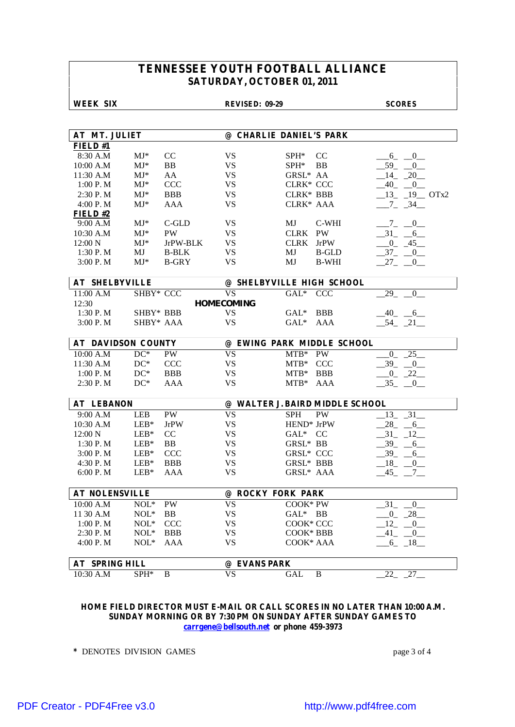### **WEEK SIX REVISED: 09-29 SCORES**

| AT MT. JULIET             |                |              |                        | @ CHARLIE DANIEL'S PARK         |                         |  |  |  |  |
|---------------------------|----------------|--------------|------------------------|---------------------------------|-------------------------|--|--|--|--|
| <b>FIELD#1</b>            |                |              |                        |                                 |                         |  |  |  |  |
| 8:30 A.M                  | $MJ^*$         | CC           | <b>VS</b>              | $SPH^*$<br><sub>CC</sub>        | $-6$ $-0$ $-$           |  |  |  |  |
| 10:00 A.M                 | $MJ^*$         | <b>BB</b>    | <b>VS</b>              | $SPH^*$<br>BB.                  | 59<br>$\overline{0}$    |  |  |  |  |
| 11:30 A.M                 | $MJ^*$         | AA           | <b>VS</b>              | GRSL* AA                        | $-14$ $-20$             |  |  |  |  |
| 1:00 P. M                 | $MJ^*$         | <b>CCC</b>   | <b>VS</b>              | CLRK* CCC                       | $-40$ $-0$              |  |  |  |  |
| 2:30 P.M                  | $MJ^*$         | <b>BBB</b>   | <b>VS</b>              | CLRK* BBB                       | $13 - 19$ OTx2          |  |  |  |  |
| 4:00 P.M                  | $MJ*$          | <b>AAA</b>   | <b>VS</b>              | CLRK* AAA                       | $-7 - 34$               |  |  |  |  |
| FIELD#2                   |                |              |                        |                                 |                         |  |  |  |  |
| 9:00 A.M                  | $MJ^*$         | C-GLD        | VS                     | MJ<br>C-WHI                     | $-7 - 0$                |  |  |  |  |
| 10:30 A.M                 | $MJ^*$         | <b>PW</b>    | <b>VS</b>              | CLRK PW                         | $-31$ $-6$              |  |  |  |  |
| 12:00 N                   | $MJ^*$         | JrPW-BLK     | <b>VS</b>              | CLRK<br><b>JrPW</b>             | $-0$ $-45$              |  |  |  |  |
| 1:30 P. M                 | MJ             | <b>B-BLK</b> | <b>VS</b>              | MJ<br><b>B-GLD</b>              | $-37 - 0$               |  |  |  |  |
| 3:00 P.M                  | $MJ^*$         | <b>B-GRY</b> | <b>VS</b>              | MJ<br><b>B-WHI</b>              | $-27$<br>$\sim 0$       |  |  |  |  |
|                           |                |              |                        |                                 |                         |  |  |  |  |
| <b>AT SHELBYVILLE</b>     |                |              |                        | @ SHELBYVILLE HIGH SCHOOL       |                         |  |  |  |  |
| 11:00 A.M                 | SHBY* CCC      |              | <b>VS</b>              | $GAL^*$<br><b>CCC</b>           | 29<br>$\overline{0}$    |  |  |  |  |
| 12:30                     |                |              | <b>HOMECOMING</b>      |                                 |                         |  |  |  |  |
| 1:30 P. M                 | SHBY* BBB      |              | <b>VS</b>              | $GAL^*$<br><b>BBB</b>           | $-40 - -6$              |  |  |  |  |
| 3:00 P.M                  | SHBY* AAA      |              | <b>VS</b>              | $GAL^*$<br>AAA                  | $-54$ $-21$             |  |  |  |  |
|                           |                |              |                        |                                 |                         |  |  |  |  |
| <b>AT DAVIDSON COUNTY</b> |                |              |                        | @ EWING PARK MIDDLE SCHOOL      |                         |  |  |  |  |
| 10:00 A.M                 | $DC^*$         | <b>PW</b>    | <b>VS</b>              | $MTB*$<br>PW                    | $\overline{0}$<br>$-25$ |  |  |  |  |
| 11:30 A.M                 | $DC^*$         | <b>CCC</b>   | <b>VS</b>              | $MTB*$<br><b>CCC</b>            | 39 0                    |  |  |  |  |
| 1:00 P. M                 | $DC^*$         | <b>BBB</b>   | <b>VS</b>              | $MTB*$<br><b>BBB</b>            | $-0$ $-22$              |  |  |  |  |
| 2:30 P.M                  | $DC^*$         | AAA          | <b>VS</b>              | $MTB*$<br><b>AAA</b>            | $-35$ $-0$              |  |  |  |  |
|                           |                |              |                        |                                 |                         |  |  |  |  |
| <b>AT LEBANON</b>         |                |              |                        | @ WALTER J. BAIRD MIDDLE SCHOOL |                         |  |  |  |  |
| 9:00 A.M                  | <b>LEB</b>     | PW           | <b>VS</b>              | <b>SPH</b><br><b>PW</b>         | $13 - 31$               |  |  |  |  |
| 10:30 A.M                 | $\text{LEB}^*$ | <b>JrPW</b>  | <b>VS</b>              | HEND <sup>*</sup> JrPW          | 28<br>$-6$              |  |  |  |  |
| 12:00 N                   | $LEB*$         | CC           | <b>VS</b>              | GAL* CC                         | $-31 - 12$              |  |  |  |  |
| 1:30 P.M                  | $LEB*$         | BB           | <b>VS</b>              | GRSL* BB                        | $-39 - 6$               |  |  |  |  |
| 3:00 P.M                  | $LEB*$         | <b>CCC</b>   | <b>VS</b>              | <b>GRSL* CCC</b>                | $-39 - 6$               |  |  |  |  |
| 4:30 P.M                  | $LEB*$         | <b>BBB</b>   | <b>VS</b>              | GRSL* BBB                       | $-18$ $-0$              |  |  |  |  |
| 6:00 P. M                 | $LEB*$         | AAA          | <b>VS</b>              | GRSL* AAA                       | $-45$<br>$\overline{7}$ |  |  |  |  |
|                           |                |              |                        |                                 |                         |  |  |  |  |
| <b>AT NOLENSVILLE</b>     |                |              | @ ROCKY FORK PARK      |                                 |                         |  |  |  |  |
| 10:00 A.M                 | $NOL^*$        | <b>PW</b>    | <b>VS</b>              | COOK* PW                        | $-31$<br>$\overline{0}$ |  |  |  |  |
| 11 30 A.M                 | $NOL*$         | <b>BB</b>    | <b>VS</b>              | GAL* BB                         | $-0$ $-28$              |  |  |  |  |
| 1:00 P. M                 | $NOL*$         | <b>CCC</b>   | <b>VS</b>              | COOK* CCC                       | $12 - 0$                |  |  |  |  |
| 2:30 P.M                  | $NOL*$         | <b>BBB</b>   | <b>VS</b>              | COOK* BBB                       | $-41$<br>$\mathbf{0}$   |  |  |  |  |
| 4:00 P.M                  | $NOL^*$        | AAA          | VS                     | COOK* AAA                       | $-6 - 18$               |  |  |  |  |
|                           |                |              |                        |                                 |                         |  |  |  |  |
| <b>AT SPRING HILL</b>     |                |              | @ EVANS PARK           |                                 |                         |  |  |  |  |
| 10:30 A.M                 | SPH*           | B            | $\overline{\text{VS}}$ | B<br>GAL                        | 22<br>27                |  |  |  |  |

### **HOME FIELD DIRECTOR MUST E-MAIL OR CALL SCORES IN NO LATER THAN 10:00 A.M. SUNDAY MORNING OR BY 7:30 PM ON SUNDAY AFTER SUNDAY GAMES TO carrgene@bellsouth.net or phone 459-3973**

**\*** DENOTES DIVISION GAMES page 3 of 4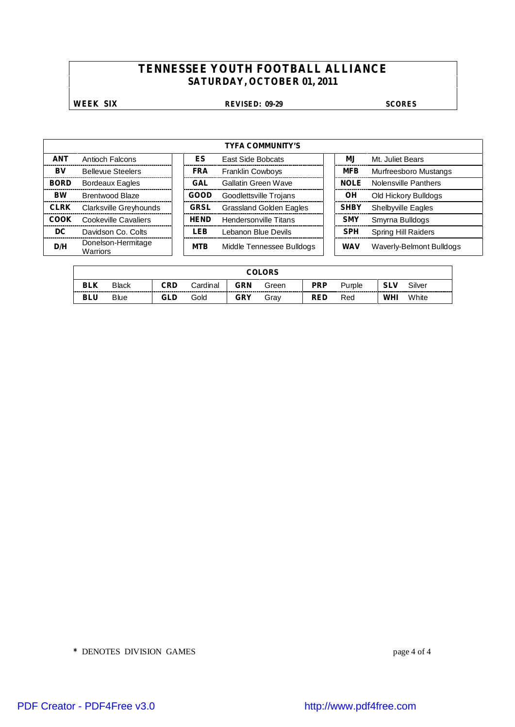### **WEEK SIX REVISED: 09-29 SCORES**

| <b>TYFA COMMUNITY'S</b> |                                       |  |             |                                |             |                            |  |  |  |  |  |
|-------------------------|---------------------------------------|--|-------------|--------------------------------|-------------|----------------------------|--|--|--|--|--|
| <b>ANT</b>              | Antioch Falcons                       |  | ES          | East Side Bobcats              | ΜJ          | Mt. Juliet Bears           |  |  |  |  |  |
| BV                      | <b>Bellevue Steelers</b>              |  | <b>FRA</b>  | <b>Franklin Cowboys</b>        | <b>MFB</b>  | Murfreesboro Mustangs      |  |  |  |  |  |
| <b>BORD</b>             | Bordeaux Eagles                       |  | GAL         | Gallatin Green Wave            | <b>NOLE</b> | Nolensville Panthers       |  |  |  |  |  |
| <b>BW</b>               | <b>Brentwood Blaze</b>                |  | GOOD        | Goodlettsville Trojans         | ΟH          | Old Hickory Bulldogs       |  |  |  |  |  |
| <b>CLRK</b>             | Clarksville Greyhounds                |  | <b>GRSL</b> | <b>Grassland Golden Eagles</b> | <b>SHBY</b> | <b>Shelbyville Eagles</b>  |  |  |  |  |  |
| COOK                    | Cookeville Cavaliers                  |  | <b>HEND</b> | Hendersonville Titans          | <b>SMY</b>  | Smyrna Bulldogs            |  |  |  |  |  |
| DC                      | Davidson Co. Colts                    |  | LEB         | Lebanon Blue Devils            | <b>SPH</b>  | <b>Spring Hill Raiders</b> |  |  |  |  |  |
| D/H                     | Donelson-Hermitage<br><b>Warriors</b> |  | <b>MTB</b>  | Middle Tennessee Bulldogs      | WAV         | Waverly-Belmont Bulldogs   |  |  |  |  |  |

|            | <b>COLORS</b> |     |               |            |       |            |        |            |        |  |  |
|------------|---------------|-----|---------------|------------|-------|------------|--------|------------|--------|--|--|
| <b>BLK</b> | <b>Black</b>  | CRD | Cardinal<br>. | GRN        | Green | <b>PRP</b> | ˈurɒle | <b>SLV</b> | Silver |  |  |
| <b>BLU</b> | <b>Blue</b>   | GLD | Gold          | <b>GRY</b> | Grav  | <b>RED</b> | Red    | WHI        | White  |  |  |

**\*** DENOTES DIVISION GAMES page 4 of 4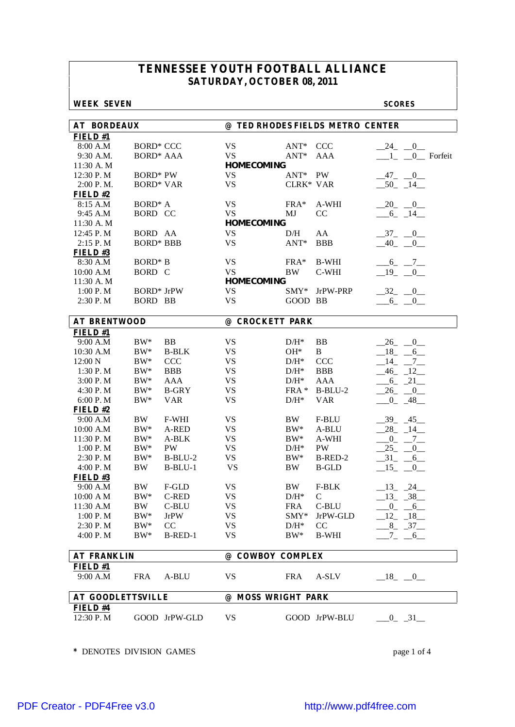### **WEEK SEVEN SCORES**

| <b>AT BORDEAUX</b>       |                   |               |                    |            | @ TED RHODES FIELDS METRO CENTER |                                 |
|--------------------------|-------------------|---------------|--------------------|------------|----------------------------------|---------------------------------|
| FIELD#1                  |                   |               |                    |            |                                  |                                 |
| 8:00 A.M                 | <b>BORD* CCC</b>  |               | <b>VS</b>          | $ANT^*$    | <b>CCC</b>                       | $24 \quad 0$                    |
| 9:30 A.M.                | <b>BORD* AAA</b>  |               | <b>VS</b>          | $ANT*$     | AAA                              | $\sim$ 1<br>0_ Forfeit          |
| 11:30 A.M                |                   |               | <b>HOMECOMING</b>  |            |                                  |                                 |
| 12:30 P.M                | <b>BORD*</b> PW   |               | <b>VS</b>          | $ANT^*$    | <b>PW</b>                        | $-47 - 0$                       |
| 2:00 P.M.                | <b>BORD* VAR</b>  |               | <b>VS</b>          | CLRK* VAR  |                                  | $-50$ $-14$                     |
| FIELD#2                  |                   |               |                    |            |                                  |                                 |
| 8:15 A.M                 | $BORD^* A$        |               | <b>VS</b>          | FRA*       | A-WHI                            | $-20$ $-0$                      |
| 9:45 A.M                 | <b>BORD CC</b>    |               | <b>VS</b>          | MJ         | CC                               | $-6 - 14$                       |
| 11:30 A.M                |                   |               | <b>HOMECOMING</b>  |            |                                  |                                 |
| 12:45 P.M                | BORD AA           |               | <b>VS</b>          | D/H        | AA                               | $-37 - 0$                       |
| 2:15 P.M                 | <b>BORD* BBB</b>  |               | <b>VS</b>          | $ANT*$     | <b>BBB</b>                       | $-40$<br>$\overline{0}$         |
| FIELD#3                  |                   |               |                    |            |                                  |                                 |
| 8:30 A.M                 | <b>BORD*</b> B    |               | <b>VS</b>          | $FRA*$     | <b>B-WHI</b>                     | $-6$ $-7$ $-$                   |
| 10:00 A.M                | BORD C            |               | <b>VS</b>          | <b>BW</b>  | C-WHI                            | $-19$ $-$<br>$\overline{0}$     |
| 11:30 A.M                |                   |               | <b>HOMECOMING</b>  |            |                                  |                                 |
| 1:00 P.M                 | <b>BORD*</b> JrPW |               | <b>VS</b>          | $SMY^*$    | JrPW-PRP                         | $-32$ $-0$                      |
| 2:30 P.M                 | <b>BORD BB</b>    |               | <b>VS</b>          | GOOD BB    |                                  | $-6 - 0$                        |
|                          |                   |               |                    |            |                                  |                                 |
| <b>AT BRENTWOOD</b>      |                   |               | @ CROCKETT PARK    |            |                                  |                                 |
| FIELD#1                  |                   |               |                    |            |                                  |                                 |
| 9:00 A.M                 | $BW^*$            | BB            | <b>VS</b>          | $D/H^*$    | BB                               | $-26$<br>$-0$                   |
| 10:30 A.M                | $\rm BW^{*}$      | <b>B-BLK</b>  | <b>VS</b>          | $OH*$      | B                                | 18<br>6                         |
| 12:00 N                  | $\rm BW^{*}$      | <b>CCC</b>    | <b>VS</b>          | $D/H^*$    | CCC                              | 14<br>$7_{-}$                   |
| 1:30 P.M                 | $\rm BW^{*}$      | <b>BBB</b>    | <b>VS</b>          | $D/H^*$    | <b>BBB</b>                       | $-46 - 12$                      |
| 3:00 P.M                 | $\rm BW^*$        | <b>AAA</b>    | <b>VS</b>          | $D/H^*$    | <b>AAA</b>                       | $-6 - 21$                       |
| 4:30 P.M                 | $BW^*$            | <b>B-GRY</b>  | <b>VS</b>          | $FRA*$     | $B-BLU-2$                        | $-26$ $-0$                      |
| 6:00 P.M                 | $BW^*$            | <b>VAR</b>    | <b>VS</b>          | $D/H^*$    | <b>VAR</b>                       | $-0$ $-48$                      |
| FIELD#2                  |                   |               |                    |            |                                  |                                 |
| 9:00 A.M                 | BW                | F-WHI         | <b>VS</b>          | BW         | F-BLU                            | $-39 - 45$                      |
| 10:00 A.M                | $BW^*$            | A-RED         | <b>VS</b>          | $BW^*$     | A-BLU                            | $28 - 14$                       |
| 11:30 P.M                | $BW^*$            | A-BLK         | <b>VS</b>          | $BW^*$     | A-WHI                            | $\overline{0}$<br>$\frac{7}{ }$ |
|                          | $BW^*$            | <b>PW</b>     | <b>VS</b>          | $D/H^*$    | PW                               | 25                              |
| 1:00 P. M                |                   | $B-BLU-2$     | <b>VS</b>          | $BW^*$     | B-RED-2                          | 0<br>$-31$ $-$                  |
| 2:30 P.M                 | $BW^*$            |               |                    |            |                                  | $6$ <sub>—</sub>                |
| 4:00 P.M                 | <b>BW</b>         | $B-BLU-1$     | <b>VS</b>          | BW         | <b>B-GLD</b>                     | $-15$ $-0$                      |
| FIELD#3                  |                   |               |                    |            |                                  |                                 |
| 9:00 A.M                 | <b>BW</b>         | F-GLD         | <b>VS</b>          | BW         | F-BLK                            | $-13$ $-24$                     |
| 10:00 AM                 | $\rm BW^{*}$      | C-RED         | <b>VS</b>          | $D/H^*$    | $\mathcal{C}$                    | $13 - 38$                       |
| 11:30 A.M                | <b>BW</b>         | C-BLU         | VS                 |            | FRA C-BLU                        | $-0$ $-6$                       |
| 1:00 P.M                 | $BW^*$            | <b>JrPW</b>   | VS                 | $SMY*$     | JrPW-GLD                         | $-12 - 18$                      |
| 2:30 P.M                 | $BW^*$            | CC            | <b>VS</b>          | $D/H^*$    | CC                               | $8 - 37$                        |
| 4:00 P.M                 | $BW^*$            | B-RED-1       | <b>VS</b>          | $BW^*$     | <b>B-WHI</b>                     | $-7 - -6$                       |
| <b>AT FRANKLIN</b>       |                   |               | @ COWBOY COMPLEX   |            |                                  |                                 |
| FIELD#1                  |                   |               |                    |            |                                  |                                 |
| 9:00 A.M                 | <b>FRA</b>        | A-BLU         | VS                 | <b>FRA</b> | A-SLV                            | $-18$ $-0$                      |
|                          |                   |               |                    |            |                                  |                                 |
| <b>AT GOODLETTSVILLE</b> |                   |               | @ MOSS WRIGHT PARK |            |                                  |                                 |
| FIELD #4<br>12:30 P.M    |                   | GOOD JrPW-GLD | VS                 |            | GOOD JrPW-BLU                    | $-0$ $-31$                      |

**\*** DENOTES DIVISION GAMES page 1 of 4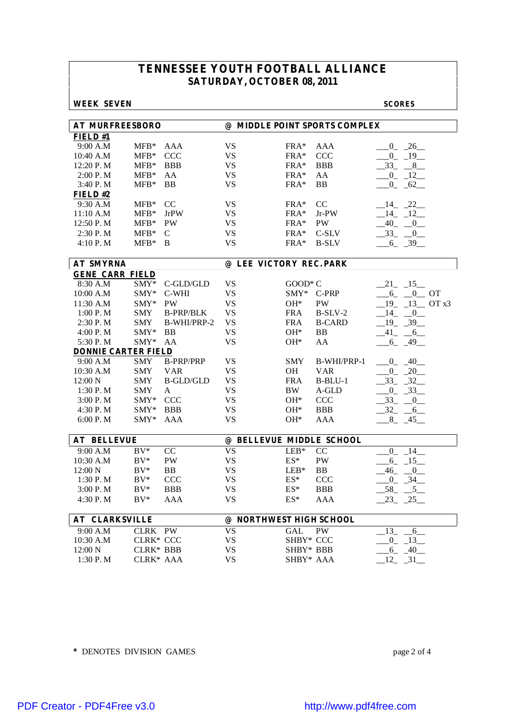### **WEEK SEVEN SCORES**

| <b>AT MURFREESBORO</b>     |                  |                  | @ MIDDLE POINT SPORTS COMPLEX         |                           |               |                         |
|----------------------------|------------------|------------------|---------------------------------------|---------------------------|---------------|-------------------------|
| $F$ <b>IELD</b> #1         |                  |                  |                                       |                           |               |                         |
| 9:00 A.M                   | $MFB*$           | <b>AAA</b>       | <b>VS</b>                             | $FRA*$                    | <b>AAA</b>    | $-0$ $-26$              |
| 10:40 A.M                  | ${\rm MFB^*}$    | <b>CCC</b>       | <b>VS</b>                             | $FRA*$                    | <b>CCC</b>    | $-0$ $-19$              |
| 12:20 P.M                  | $MFB*$           | <b>BBB</b>       | <b>VS</b>                             | $FRA*$                    | <b>BBB</b>    | $33 - 8$                |
| 2:00 P. M                  | $MFB*$           | AA               | <b>VS</b>                             | $FRA*$                    | AA            | $-0$ $-12$              |
| 3:40 P.M                   | $MFB*$           | <b>BB</b>        | <b>VS</b>                             | $FRA*$                    | BB            | $0 - 62$                |
| FIELD#2                    |                  |                  |                                       |                           |               |                         |
| 9:30 A.M                   | $MFB*$           | CC               | <b>VS</b>                             | $FRA*$                    | CC            | $-14$ $-22$             |
| 11:10 A.M                  | $MFB*$           | <b>JrPW</b>      | <b>VS</b>                             | $FRA*$                    | $Jr-PW$       | 14 12                   |
| 12:50 P.M                  | ${\rm MFB^*}$    | <b>PW</b>        | <b>VS</b>                             | $FRA*$                    | <b>PW</b>     | $-40$ $-0$              |
| 2:30 P.M                   | $MFB*$           | C                | <b>VS</b>                             | $FRA*$                    | C-SLV         | $-33 - 0$               |
| 4:10 P.M                   | $MFB*$           | B                | <b>VS</b>                             | $FRA*$                    | <b>B-SLV</b>  | $-6 - 39$               |
|                            |                  |                  |                                       |                           |               |                         |
| <b>AT SMYRNA</b>           |                  |                  | @ LEE VICTORY REC. PARK               |                           |               |                         |
| <b>GENE CARR FIELD</b>     |                  |                  |                                       |                           |               |                         |
| 8:30 A.M                   | SMY*             | C-GLD/GLD        | <b>VS</b>                             | $GOOD*C$                  |               | $-21 - 15$              |
| 10:00 A.M                  | $SMY*$           | C-WHI            | <b>VS</b>                             | $SMY*$ C-PRP              |               | $-6$ $-0$ OT            |
| 11:30 A.M                  | $SMY*$           | <b>PW</b>        | <b>VS</b>                             | $OH*$                     | PW            | 19 13 OT x3             |
| 1:00 P. M                  | <b>SMY</b>       | <b>B-PRP/BLK</b> | <b>VS</b>                             | <b>FRA</b>                | $B-SLV-2$     | $-14$ $-0$              |
| 2:30 P.M                   | <b>SMY</b>       | B-WHI/PRP-2      | <b>VS</b>                             | <b>FRA</b>                | <b>B-CARD</b> | $19 - 39$               |
| 4:00 P.M                   | $SMY*$           | <b>BB</b>        | <b>VS</b>                             | $OH*$                     | BB            | 41 6                    |
| 5:30 P.M                   | SMY*             | AA               | <b>VS</b>                             | $OH*$                     | AA            | $-6 - 49$               |
| <b>DONNIE CARTER FIELD</b> |                  |                  |                                       |                           |               |                         |
| 9:00 A.M                   | <b>SMY</b>       | <b>B-PRP/PRP</b> | <b>VS</b>                             | <b>SMY</b>                | B-WHI/PRP-1   | $0 - 40$                |
| 10:30 A.M                  | SMY              | <b>VAR</b>       | <b>VS</b>                             | OН                        | <b>VAR</b>    | $-0$ $-20$              |
| 12:00 N                    | SMY              | B-GLD/GLD        | <b>VS</b>                             | <b>FRA</b>                | $B-BLU-1$     | $-33 - 32$              |
| 1:30 P. M                  | <b>SMY</b>       | A                | <b>VS</b>                             | BW.                       | A-GLD         | $-0$ $-33$              |
| 3:00 P. M                  | $SMY*$           | <b>CCC</b>       | <b>VS</b>                             | $OH*$                     | CCC           | $-33$<br>$-0$           |
| 4:30 P.M                   | $SMY*$           | <b>BBB</b>       | <b>VS</b>                             | $OH*$                     | BBB           | $-32 - 6$               |
| 6:00 P. M                  | $SMY*$           | AAA              | VS                                    | OH*                       | AAA           | $-8$ $-45$              |
|                            |                  |                  |                                       |                           |               |                         |
| <b>AT BELLEVUE</b>         | $BV^*$           | CC               | @ BELLEVUE MIDDLE SCHOOL<br><b>VS</b> |                           | CC            |                         |
| 9:00 A.M<br>10:30 A.M      |                  | <b>PW</b>        | <b>VS</b>                             | $LEB*$<br>$\mathrm{ES}^*$ | <b>PW</b>     | $-14$<br>$\overline{0}$ |
|                            | $BV^*$           |                  |                                       |                           |               | $-6$ $-15$              |
| 12:00 N<br>1:30 P.M        | $BV^*$           | <b>BB</b>        | <b>VS</b><br><b>VS</b>                | $LEB*$<br>$\mathrm{ES}^*$ | <b>BB</b>     | $-46 - 0$               |
|                            | $BV^*$           | <b>CCC</b>       |                                       |                           | CCC           | $-0$ $-34$              |
| 3:00 P. M                  | $BV^*$           | <b>BBB</b>       | <b>VS</b>                             | $ES^*$                    | BBB           | $-58$ <sub>-</sub> $-5$ |
| 4:30 P.M                   | $BV^*$           | AAA              | <b>VS</b>                             | $ES^*$                    | AAA           | $23 - 25$               |
| <b>AT CLARKSVILLE</b>      |                  |                  | @ NORTHWEST HIGH SCHOOL               |                           |               |                         |
| 9:00 A.M                   | CLRK PW          |                  | <b>VS</b>                             | GAL                       | <b>PW</b>     | 13<br>6                 |
| 10:30 A.M                  | <b>CLRK* CCC</b> |                  | <b>VS</b>                             | SHBY* CCC                 |               | $-0$ $-13$              |
| 12:00 N                    | <b>CLRK* BBB</b> |                  | <b>VS</b>                             | SHBY* BBB                 |               | $-6 - 40$               |
| 1:30 P.M                   | CLRK* AAA        |                  | <b>VS</b>                             | SHBY* AAA                 |               | $12 - 31$               |
|                            |                  |                  |                                       |                           |               |                         |

**\*** DENOTES DIVISION GAMES page 2 of 4

[PDF Creator - PDF4Free v3.0 http://www.pdf4free.com](http://www.pdfpdf.com/0.htm)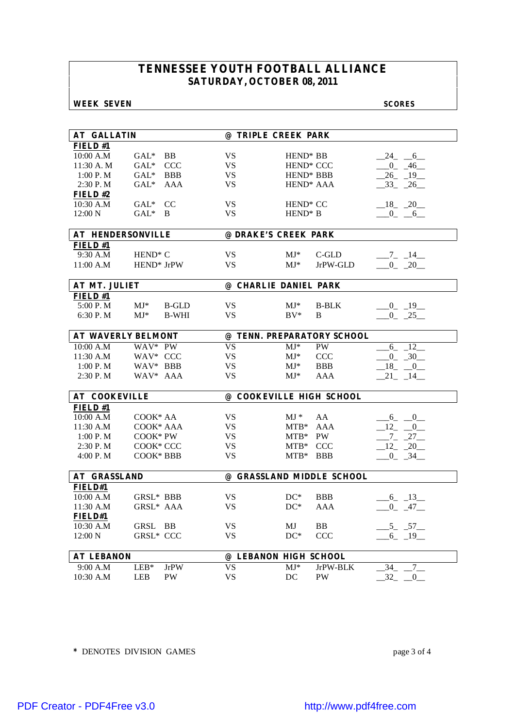### **WEEK SEVEN SCORES**

| <b>AT GALLATIN</b>        |                     |              | @ TRIPLE CREEK PARK       |                       |                            |                |
|---------------------------|---------------------|--------------|---------------------------|-----------------------|----------------------------|----------------|
| FIELD#1                   |                     |              |                           |                       |                            |                |
| 10:00 A.M                 | $GAL^*$             | BB           | <b>VS</b>                 | HEND <sup>*</sup> BB  |                            | $-24$ $-6$     |
| 11:30 A.M                 | $GAL^*$             | <b>CCC</b>   | VS                        | HEND <sup>*</sup> CCC |                            | $-0$ $-46$     |
| 1:00 P. M                 | $GAL^*$             | <b>BBB</b>   | <b>VS</b>                 | HEND <sup>*</sup> BBB |                            | $-26$ $-19$    |
| 2:30 P.M                  | $GAL^*$             | AAA          | <b>VS</b>                 | HEND <sup>*</sup> AAA |                            | $-33 - 26$     |
| FIELD#2                   |                     |              |                           |                       |                            |                |
| 10:30 A.M                 | $GAL^*$             | CC           | <b>VS</b>                 | HEND <sup>*</sup> CC  |                            | $-18$ $-20$    |
| 12:00 N                   | $GAL^*$             | - B          | <b>VS</b>                 | $HEND^* B$            |                            | $-0$ $-6$      |
|                           |                     |              |                           |                       |                            |                |
| <b>AT HENDERSONVILLE</b>  |                     |              | @ DRAKE'S CREEK PARK      |                       |                            |                |
| <b>FIELD#1</b>            |                     |              |                           |                       |                            |                |
| 9:30 A.M                  | HEND <sup>*</sup> C |              | VS                        | $MJ^*$                | C-GLD                      | $-7 - 14$      |
| 11:00 A.M                 | HEND* JrPW          |              | <b>VS</b>                 | $MJ^*$                | JrPW-GLD                   | $-0$ $-20$     |
|                           |                     |              |                           |                       |                            |                |
| AT MT. JULIET             |                     |              | @ CHARLIE DANIEL PARK     |                       |                            |                |
| FIELD#1                   |                     |              |                           |                       |                            |                |
| 5:00 P.M                  | $MJ^*$              | <b>B-GLD</b> | VS                        | $MJ^*$                | <b>B-BLK</b>               | $-0$ $-19$     |
| 6:30 P.M                  | $MJ^*$              | <b>B-WHI</b> | <b>VS</b>                 | $BV^*$                | B                          | $-0$ $-25$     |
|                           |                     |              |                           |                       |                            |                |
| <b>AT WAVERLY BELMONT</b> |                     |              |                           |                       | @ TENN. PREPARATORY SCHOOL |                |
| 10:00 A.M                 | WAV* PW             |              | <b>VS</b>                 | $MJ^*$                | <b>PW</b>                  | $6 - 12$       |
| $11:30$ A.M               | WAV* CCC            |              | <b>VS</b>                 | $MJ^*$                | <b>CCC</b>                 | $-0$ $-30$     |
| 1:00 P. M                 | WAV* BBB            |              | <b>VS</b>                 | $MJ^*$                | <b>BBB</b>                 | $-18$ $-0$     |
| 2:30 P.M                  | WAV* AAA            |              | <b>VS</b>                 | $MJ^*$                | <b>AAA</b>                 | $21 - 14$      |
|                           |                     |              |                           |                       |                            |                |
| <b>AT COOKEVILLE</b>      |                     |              | @ COOKEVILLE HIGH SCHOOL  |                       |                            |                |
| FIELD #1                  |                     |              |                           |                       |                            |                |
| 10:00 A.M                 | $COOK*AA$           |              | <b>VS</b>                 | $MJ *$                | AA                         | $6 - 0$        |
| 11:30 A.M                 | COOK* AAA           |              | <b>VS</b>                 | $MTB*$                | AAA                        | 12 0           |
| 1:00 P. M                 | COOK* PW            |              | <b>VS</b>                 | $MTB*$                | PW                         | $-7 - 27$      |
| $2:30$ P. M               | COOK* CCC           |              | <b>VS</b>                 | $MTB*$                | <b>CCC</b>                 | $-12 - 20$     |
| 4:00 P.M                  | COOK* BBB           |              | <b>VS</b>                 | $MTB*$                | <b>BBB</b>                 | $-0$ $-34$     |
|                           |                     |              |                           |                       |                            |                |
| <b>AT GRASSLAND</b>       |                     |              | @ GRASSLAND MIDDLE SCHOOL |                       |                            |                |
| FIELD#1                   |                     |              |                           |                       |                            |                |
| 10:00 A.M                 | GRSL* BBB           |              | <b>VS</b>                 | $DC^*$                | <b>BBB</b>                 | $-6 - 13$      |
| 11:30 A.M                 | GRSL* AAA           |              | <b>VS</b>                 | $DC^*$                | <b>AAA</b>                 | $-0$ $-47$     |
| FIELD#1                   |                     |              |                           |                       |                            |                |
| 10:30 A.M                 | GRSL BB             |              | VS                        | MJ                    | BB                         | $-5$ $-57$ $-$ |
| 12:00 N                   | <b>GRSL* CCC</b>    |              | <b>VS</b>                 | $DC^*$                | <b>CCC</b>                 | $6 - 19$       |
|                           |                     |              |                           |                       |                            |                |
| <b>AT LEBANON</b>         |                     |              | @ LEBANON HIGH SCHOOL     |                       |                            |                |
| 9:00 A.M                  | $LEB*$              | <b>JrPW</b>  | <b>VS</b>                 | $MJ^*$                | JrPW-BLK                   | 7<br>$34_{-}$  |
| 10:30 A.M                 | LEB                 | PW           | <b>VS</b>                 | DC                    | PW                         | 32<br>0        |

**\*** DENOTES DIVISION GAMES page 3 of 4

[PDF Creator - PDF4Free v3.0 http://www.pdf4free.com](http://www.pdfpdf.com/0.htm)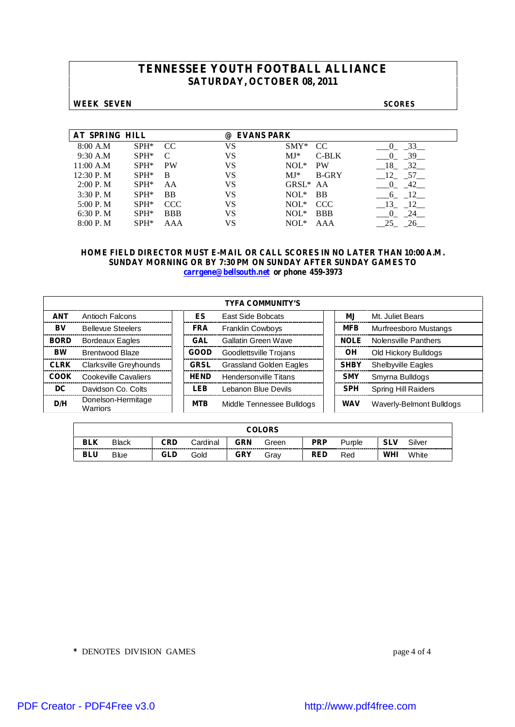### **WEEK SEVEN SCORES**

| AT SPRING HILL |         |            | <b>EVANS PARK</b><br>(a) |                       |            |
|----------------|---------|------------|--------------------------|-----------------------|------------|
| 8:00 A.M       | $SPH^*$ | CC.        | VS                       | $SMY*$<br>CC.         | 33         |
| 9:30 A.M       | $SPH^*$ | C          | VS                       | $MJ*$<br>$C-BLK$      | 39         |
| 11:00 A.M      | $SPH^*$ | <b>PW</b>  | VS                       | $NOL*$<br><b>PW</b>   | 32<br>- 18 |
| 12:30 P.M      | $SPH^*$ | B          | VS                       | $MJ*$<br>B-GRY        | 12<br>57   |
| 2:00 P. M      | $SPH^*$ | AA         | VS                       | GRSL <sup>*</sup> AA  | 42         |
| 3:30P. M       | $SPH^*$ | <b>BB</b>  | VS                       | $NOL*$<br><b>BB</b>   | 12<br>6    |
| 5:00 P. M      | $SPH*$  | CCC.       | VS                       | $NOL^*$<br><b>CCC</b> | - 13<br>12 |
| 6:30P. M       | $SPH^*$ | <b>BBB</b> | VS                       | $NOL^*$<br><b>BBB</b> |            |
| 8:00 P. M      | $SPH*$  | AAA        | VS                       | $NOL^*$<br>AAA        | 25         |

### **HOME FIELD DIRECTOR MUST E-MAIL OR CALL SCORES IN NO LATER THAN 10:00 A.M. SUNDAY MORNING OR BY 7:30 PM ON SUNDAY AFTER SUNDAY GAMES TO carrgene@bellsouth.net or phone 459-3973**

|             | <b>TYFA COMMUNITY'S</b>        |  |             |                                |  |             |                            |  |  |  |  |  |
|-------------|--------------------------------|--|-------------|--------------------------------|--|-------------|----------------------------|--|--|--|--|--|
| <b>ANT</b>  | Antioch Falcons                |  | ES          | <b>East Side Bobcats</b>       |  | МJ          | Mt. Juliet Bears           |  |  |  |  |  |
| BV          | <b>Bellevue Steelers</b>       |  | <b>FRA</b>  | <b>Franklin Cowboys</b>        |  | <b>MFB</b>  | Murfreesboro Mustangs      |  |  |  |  |  |
| <b>BORD</b> | Bordeaux Eagles                |  | <b>GAL</b>  | Gallatin Green Wave            |  | <b>NOLE</b> | Nolensville Panthers       |  |  |  |  |  |
| <b>BW</b>   | Brentwood Blaze                |  | <b>GOOD</b> | Goodlettsville Trojans         |  | OН          | Old Hickory Bulldogs       |  |  |  |  |  |
| <b>CLRK</b> | Clarksville Greyhounds         |  | <b>GRSL</b> | <b>Grassland Golden Eagles</b> |  | <b>SHBY</b> | <b>Shelbyville Eagles</b>  |  |  |  |  |  |
| COOK        | Cookeville Cavaliers           |  | <b>HEND</b> | Hendersonville Titans          |  | <b>SMY</b>  | Smyrna Bulldogs            |  |  |  |  |  |
| DC          | Davidson Co. Colts             |  | LEB         | Lebanon Blue Devils            |  | <b>SPH</b>  | <b>Spring Hill Raiders</b> |  |  |  |  |  |
| D/H         | Donelson-Hermitage<br>Warriors |  | <b>MTB</b>  | Middle Tennessee Bulldogs      |  | <b>WAV</b>  | Waverly-Belmont Bulldogs   |  |  |  |  |  |

| <b>COLORS</b> |                                                                                                |     |                     |                             |      |            |                                      |     |       |  |
|---------------|------------------------------------------------------------------------------------------------|-----|---------------------|-----------------------------|------|------------|--------------------------------------|-----|-------|--|
| <b>BLK</b>    | <b>PRP</b><br>CRD<br>GRN<br><b>SLV</b><br>Silver<br><b>Black</b><br>Cardinal<br>Green<br>Pumle |     |                     |                             |      |            |                                      |     |       |  |
| <b>BLU</b>    | -------<br><b>Blue</b>                                                                         | GLD | -----------<br>Gold | -------------<br><b>GRY</b> | Grav | <b>RED</b> | -----------------------------<br>Red | WHI | White |  |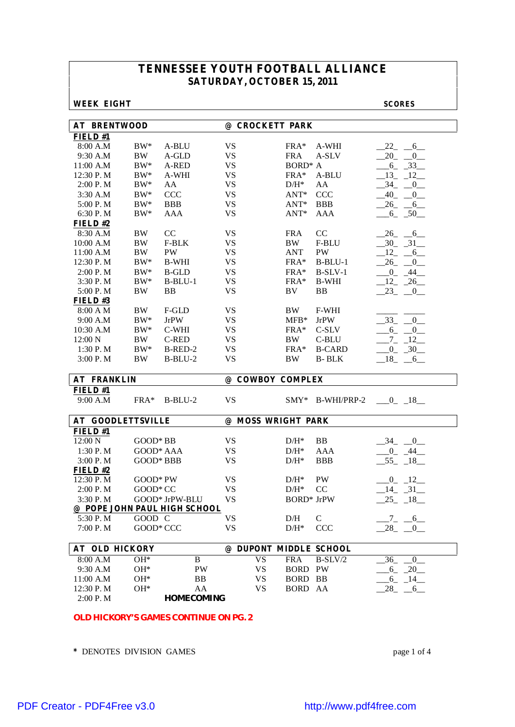### **WEEK EIGHT SCORES**

| <b>AT BRENTWOOD</b>      |              |                              | @ CROCKETT PARK        |                           |               |                                  |
|--------------------------|--------------|------------------------------|------------------------|---------------------------|---------------|----------------------------------|
| FIELD#1                  |              |                              |                        |                           |               |                                  |
| 8:00 A.M                 | $BW^*$       | A-BLU                        | <b>VS</b>              | FRA*                      | A-WHI         | $-22$<br>$-6$                    |
| 9:30 A.M                 | <b>BW</b>    | A-GLD                        | <b>VS</b>              | <b>FRA</b>                | A-SLV         | 20<br>0                          |
| 11:00 A.M                | $BW^*$       | A-RED                        | <b>VS</b>              | BORD <sup>*</sup> A       |               | $6 - 33$                         |
| 12:30 P.M                | $\rm BW^{*}$ | A-WHI                        | <b>VS</b>              | FRA*                      | A-BLU         | 13<br>$-12$                      |
| 2:00 P.M                 | $\rm BW^*$   | AA                           | <b>VS</b>              | $D/H^*$                   | AA            | $-34$<br>$-0$                    |
| 3:30 A.M                 | $\rm BW^*$   | CCC                          | <b>VS</b>              | $ANT*$                    | CCC           | $-40 - 0$                        |
| 5:00 P.M                 | $BW^*$       | <b>BBB</b>                   | <b>VS</b>              | $ANT*$                    | <b>BBB</b>    | $-26$ $-6$                       |
| 6:30 P.M                 | $BW^*$       | <b>AAA</b>                   | <b>VS</b>              | $ANT*$                    | <b>AAA</b>    | $-6 - 50$                        |
| FIELD#2                  |              |                              |                        |                           |               |                                  |
| 8:30 A.M                 | <b>BW</b>    | CC                           | <b>VS</b>              | <b>FRA</b>                | $\rm CC$      | $-26 - 6$                        |
| 10:00 A.M                | <b>BW</b>    | F-BLK                        | <b>VS</b>              | BW                        | F-BLU         | $-30 - 31$                       |
| 11:00 A.M                | <b>BW</b>    | <b>PW</b>                    | <b>VS</b>              | <b>ANT</b>                | PW            | 12<br>$-6$                       |
| 12:30 P.M                | $\rm BW^*$   | <b>B-WHI</b>                 | <b>VS</b>              | FRA*                      | $B-BLU-1$     | $26 - 0$                         |
| 2:00 P.M                 | $BW^*$       | <b>B-GLD</b>                 | <b>VS</b>              | $FRA*$                    | $B-SLV-1$     | $-0$ $-44$                       |
| 3:30 P.M                 | $BW^*$       | $B-BLU-1$                    | <b>VS</b>              | FRA*                      | <b>B-WHI</b>  | $-12 - 26$                       |
| 5:00 P.M                 | <b>BW</b>    | <b>BB</b>                    | <b>VS</b>              | BV                        | <b>BB</b>     | $-23$<br>$\overline{\mathbf{0}}$ |
| FIELD#3                  |              |                              |                        |                           |               |                                  |
| 8:00 A M                 | <b>BW</b>    | F-GLD                        | <b>VS</b>              | BW                        | F-WHI         |                                  |
| 9:00 A.M                 | $\rm BW^*$   | <b>JrPW</b>                  | <b>VS</b>              | $MFB*$                    | <b>JrPW</b>   | $-33$<br>$\overline{0}$          |
| 10:30 A.M                | $BW^*$       | $C-WHI$                      | <b>VS</b>              | $FRA*$                    | C-SLV         | $-6 - -0$                        |
| 12:00 N                  | <b>BW</b>    | <b>C-RED</b>                 | <b>VS</b>              | BW                        | $C-BLU$       | $-7 - 12$                        |
| 1:30 P.M                 | $BW^*$       | B-RED-2                      | <b>VS</b>              | $FRA*$                    | <b>B-CARD</b> | $-0$ $-30$                       |
| 3:00 P.M                 | <b>BW</b>    | $B-BLU-2$                    | <b>VS</b>              | BW                        | <b>B-BLK</b>  | $-18$<br>$-6$                    |
|                          |              |                              |                        |                           |               |                                  |
| <b>AT FRANKLIN</b>       |              |                              | @ COWBOY COMPLEX       |                           |               |                                  |
|                          |              |                              |                        |                           |               |                                  |
| FIELD#1                  |              |                              |                        |                           |               |                                  |
| 9:00 A.M                 | FRA*         | $B-BLU-2$                    | <b>VS</b>              | $SMY*$                    | B-WHI/PRP-2   | $-0$ $18$                        |
|                          |              |                              |                        |                           |               |                                  |
| <b>AT GOODLETTSVILLE</b> |              |                              | @ MOSS WRIGHT PARK     |                           |               |                                  |
| FIELD#1                  |              |                              |                        |                           |               |                                  |
| 12:00 N                  | GOOD* BB     |                              | <b>VS</b>              | $D/H^*$                   | BB            | $-34$<br>$-0$                    |
| 1:30 P.M                 | GOOD* AAA    |                              | <b>VS</b>              | $D/H^*$                   | <b>AAA</b>    | $-0$ $-44$                       |
| 3:00 P.M                 | GOOD* BBB    |                              | <b>VS</b>              | $D/H^*$                   | <b>BBB</b>    | $-55 - 18$                       |
| FIELD#2                  |              |                              |                        |                           |               |                                  |
| 12:30 P.M                | GOOD* PW     |                              | <b>VS</b>              | $D/H^*$                   | PW            | $0 - 12$                         |
| 2:00 P.M                 | GOOD* CC     |                              | <b>VS</b>              | $D/H^*$                   | CC            | $-14$ $-31$                      |
| 3:30 P.M                 |              | GOOD* JrPW-BLU               | <b>VS</b>              | <b>BORD*</b> JrPW         |               | $-25 - 18$                       |
|                          |              | @ POPE JOHN PAUL HIGH SCHOOL |                        |                           |               |                                  |
| 5:30 P.M                 | GOOD C       |                              | <b>VS</b>              | D/H                       | $\mathsf{C}$  | $-7$ $-6$ $-$                    |
| 7:00 P.M                 | GOOD* CCC    |                              | VS                     | $\mathrm{D/H^{*}}$        | <b>CCC</b>    | 28                               |
| <b>AT OLD HICKORY</b>    |              |                              | @ DUPONT MIDDLE SCHOOL |                           |               |                                  |
| 8:00 A.M                 | $OH*$        | B                            |                        |                           | $B-SLV/2$     | $\overline{0}$                   |
| 9:30 A.M                 | $OH*$        | PW                           | <b>VS</b><br>VS        | <b>FRA</b><br><b>BORD</b> | PW            | 36<br>$6_{-}$                    |
| 11:00 A.M                | $OH*$        |                              |                        |                           |               | $-20$                            |
|                          | $OH*$        | BB<br>AA                     | <b>VS</b><br><b>VS</b> | BORD BB<br>BORD AA        |               | $-14$<br>$6_{-}$<br>$-6$         |
| 12:30 P.M<br>2:00 P.M    |              | <b>HOMECOMING</b>            |                        |                           |               | 28                               |

**\*** DENOTES DIVISION GAMES page 1 of 4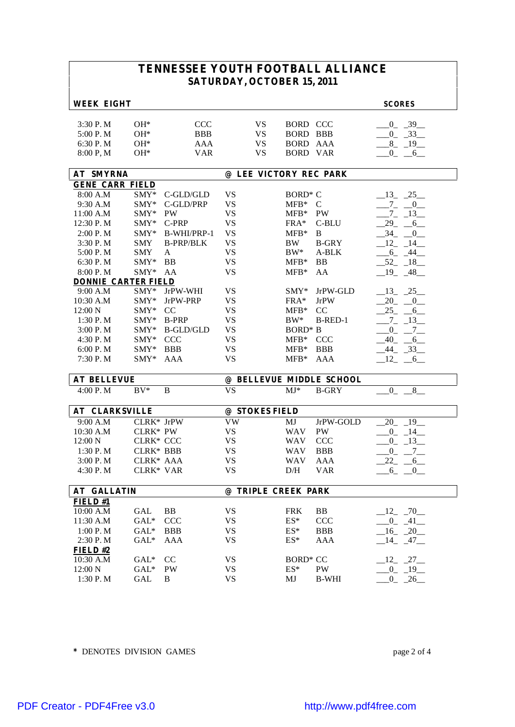| <b>WEEK EIGHT</b>                             |                                  |                                                      |           |                                    |                                                            |                          | <b>SCORES</b>                                         |
|-----------------------------------------------|----------------------------------|------------------------------------------------------|-----------|------------------------------------|------------------------------------------------------------|--------------------------|-------------------------------------------------------|
| 3:30P. M<br>5:00 P.M<br>6:30 P.M<br>8:00 P, M | $OH*$<br>$OH*$<br>$OH*$<br>$OH*$ | <b>CCC</b><br><b>BBB</b><br><b>AAA</b><br><b>VAR</b> |           | <b>VS</b><br>VS<br>VS<br><b>VS</b> | BORD CCC<br>BORD BBB<br><b>BORD AAA</b><br><b>BORD VAR</b> |                          | $-0$ $-39$<br>$-0$ $-33$<br>$-8$ $-19$<br>$0 \quad 6$ |
| <b>AT SMYRNA</b>                              |                                  |                                                      |           |                                    |                                                            | @ LEE VICTORY REC PARK   |                                                       |
| <b>GENE CARR FIELD</b>                        |                                  |                                                      |           |                                    |                                                            |                          |                                                       |
| 8:00 A.M                                      | $SMY*$                           | C-GLD/GLD                                            | <b>VS</b> |                                    | BORD <sup>*</sup> C                                        |                          | $-13$ $-25$                                           |
| 9:30 A.M                                      | SMY*                             | C-GLD/PRP                                            | <b>VS</b> |                                    | $MFB*$                                                     | $\mathcal{C}$            | $7_{-}$<br>$\overline{0}$                             |
| 11:00 A.M                                     | $SMY*$                           | <b>PW</b>                                            | <b>VS</b> |                                    | $MFB*$                                                     | <b>PW</b>                | $7\overline{ }$<br>13                                 |
| 12:30 P.M                                     | $SMY*$                           | C-PRP                                                | <b>VS</b> |                                    | $FRA*$                                                     | C-BLU                    | 29<br>$6\overline{6}$                                 |
| 2:00 P. M                                     | $SMY*$                           | B-WHI/PRP-1                                          | <b>VS</b> |                                    | $MFB*$                                                     | B                        | 34<br>$\overline{0}$                                  |
| 3:30 P.M                                      | <b>SMY</b>                       | <b>B-PRP/BLK</b>                                     | <b>VS</b> |                                    | <b>BW</b>                                                  | <b>B-GRY</b>             | $12 \t 14$                                            |
| 5:00 P.M                                      | <b>SMY</b>                       | A                                                    | <b>VS</b> |                                    | $BW^*$                                                     | A-BLK                    | $-6 - 44$                                             |
| 6:30 P.M                                      | $SMY*$                           | <b>BB</b>                                            | <b>VS</b> |                                    | $MFB*$                                                     | BB                       | $-52 - 18$                                            |
| 8:00 P.M                                      | SMY*                             | AA                                                   | <b>VS</b> |                                    | $MFB*$                                                     | AA                       | $19 - 48$                                             |
| <b>DONNIE CARTER FIELD</b>                    |                                  |                                                      |           |                                    |                                                            |                          |                                                       |
| 9:00 A.M                                      | $SMY*$                           | JrPW-WHI                                             | <b>VS</b> |                                    | $SMY*$                                                     | JrPW-GLD                 | 13 25                                                 |
| 10:30 A.M                                     | $SMY*$                           | JrPW-PRP                                             | <b>VS</b> |                                    | $FRA*$                                                     | <b>JrPW</b>              | $20 - 0$                                              |
| 12:00 N                                       | $SMY*$                           | CC                                                   | <b>VS</b> |                                    | $MFB*$                                                     | CC                       | 25<br>$6\overline{6}$                                 |
| 1:30 P.M                                      | $SMY*$                           | <b>B-PRP</b>                                         | <b>VS</b> |                                    | $BW^*$                                                     | B-RED-1                  | $-7 - 13$                                             |
| 3:00 P.M                                      | $SMY*$                           | <b>B-GLD/GLD</b>                                     | <b>VS</b> |                                    | BORD <sup>*</sup> B                                        |                          | $-7$<br>$\overline{0}$                                |
| 4:30 P.M                                      | $SMY*$                           | <b>CCC</b>                                           | <b>VS</b> |                                    | $MFB*$                                                     | <b>CCC</b>               | 40<br>6                                               |
| 6:00 P.M                                      | $SMY*$                           | <b>BBB</b>                                           | <b>VS</b> |                                    | $MFB*$                                                     | <b>BBB</b>               | 44<br>$-33$                                           |
| 7:30 P.M                                      | $SMY*$                           | AAA                                                  | <b>VS</b> |                                    | $MFB*$                                                     | <b>AAA</b>               | 12<br>6                                               |
| <b>AT BELLEVUE</b>                            |                                  |                                                      |           |                                    |                                                            | @ BELLEVUE MIDDLE SCHOOL |                                                       |
| 4:00 P.M                                      | $BV^*$                           | B                                                    | <b>VS</b> |                                    | $MJ*$                                                      | <b>B-GRY</b>             | $\overline{0}$<br>8                                   |
|                                               |                                  |                                                      |           |                                    |                                                            |                          |                                                       |
| <b>AT CLARKSVILLE</b>                         |                                  |                                                      |           | @ STOKES FIELD                     |                                                            |                          |                                                       |
| 9:00 A.M                                      | CLRK* JrPW                       |                                                      | <b>VW</b> |                                    | MJ                                                         | JrPW-GOLD                | 20<br>19                                              |
| 10:30 A.M                                     | CLRK* PW                         |                                                      | <b>VS</b> |                                    | <b>WAV</b>                                                 | PW                       | $\mathbf{0}$<br>14                                    |
| 12:00 N                                       | <b>CLRK* CCC</b>                 |                                                      | <b>VS</b> |                                    | <b>WAV</b>                                                 | CCC                      | $\overline{0}$<br>$-13$                               |
| 1:30 P.M                                      | <b>CLRK* BBB</b>                 |                                                      | <b>VS</b> |                                    | <b>WAV</b>                                                 | <b>BBB</b>               | $0\qquad 7$                                           |
| 3:00 P.M                                      | $CIRK* AAA$                      |                                                      | <b>VS</b> |                                    | <b>WAV</b>                                                 | <b>AAA</b>               | 22<br>$6_{-}$                                         |
| 4:30 P.M                                      | <b>CLRK* VAR</b>                 |                                                      | VS        |                                    | D/H                                                        | <b>VAR</b>               | $6_{-}$<br>$_{0}$                                     |
| <b>AT GALLATIN</b>                            |                                  |                                                      |           | @ TRIPLE CREEK PARK                |                                                            |                          |                                                       |
| FIELD #1                                      |                                  |                                                      |           |                                    |                                                            |                          |                                                       |
| 10:00 A.M                                     | GAL                              | BB                                                   | <b>VS</b> |                                    | FRK                                                        | BB                       | $-12$ $-70$                                           |
| 11:30 A.M                                     | $GAL*$                           | <b>CCC</b>                                           | <b>VS</b> |                                    | $ES^*$                                                     | CCC                      | $0 - 41$                                              |
| 1:00 P.M                                      | $GAL^*$                          | <b>BBB</b>                                           | <b>VS</b> |                                    | $ES^*$                                                     | <b>BBB</b>               | $-20$<br>16                                           |
| 2:30 P.M                                      | $GAL^*$                          | AAA                                                  | VS        |                                    | $ES^*$                                                     | AAA                      | $14 - 47$                                             |
| FIELD#2                                       |                                  |                                                      |           |                                    |                                                            |                          |                                                       |
| 10:30 A.M                                     | $GAL^*$                          | CC                                                   | <b>VS</b> |                                    | <b>BORD* CC</b>                                            |                          | $12 - 27$                                             |
| 12:00 N                                       | $GAL^*$                          | PW                                                   | VS        |                                    | $ES^*$                                                     | PW                       | $-0$ $-19$                                            |
| 1:30 P.M                                      | GAL                              | B                                                    | VS        |                                    | MJ                                                         | <b>B-WHI</b>             | $0 - 26$                                              |

**\*** DENOTES DIVISION GAMES page 2 of 4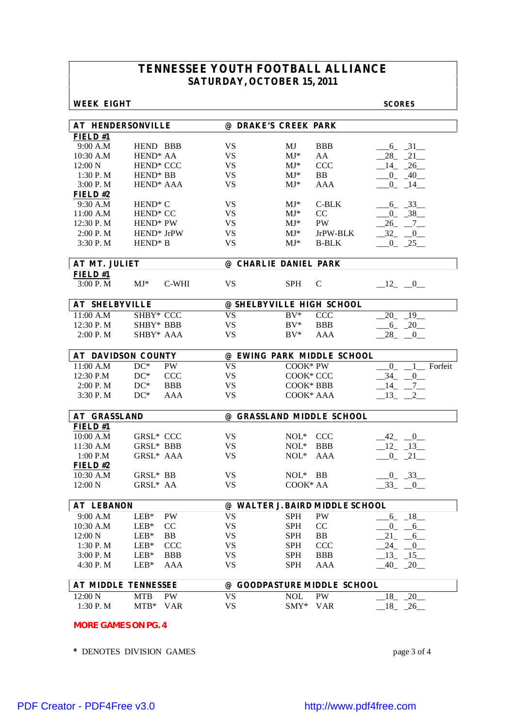### **WEEK EIGHT SCORES**

| <b>AT HENDERSONVILLE</b>   |                                        |           | @ DRAKE'S CREEK PARK            |                             |  |  |  |  |  |  |
|----------------------------|----------------------------------------|-----------|---------------------------------|-----------------------------|--|--|--|--|--|--|
| FIELD#1                    |                                        |           |                                 |                             |  |  |  |  |  |  |
| 9:00 A.M                   | HEND BBB                               | VS        | MJ<br><b>BBB</b>                | $-6 - 31$                   |  |  |  |  |  |  |
| 10:30 A.M                  | HEND <sup>*</sup> AA                   | <b>VS</b> | $MJ^*$<br>AA                    | $28 - 21$                   |  |  |  |  |  |  |
| 12:00 N                    | HEND* CCC                              | <b>VS</b> | CCC<br>$MJ^*$                   | $-14$ $-26$                 |  |  |  |  |  |  |
| 1:30 P.M                   | HEND <sup>*</sup> BB                   | <b>VS</b> | $MJ^*$<br><b>BB</b>             | $-0$ $-40$                  |  |  |  |  |  |  |
| 3:00 P.M                   | HEND <sup>*</sup> AAA                  | <b>VS</b> | $MJ^*$<br><b>AAA</b>            | $-0$ $-14$ $-$              |  |  |  |  |  |  |
| FIELD#2                    |                                        |           |                                 |                             |  |  |  |  |  |  |
| 9:30 A.M                   | HEND <sup>*</sup> C                    | VS        | $MJ^*$<br>$C-BLK$               | $6 - 33$                    |  |  |  |  |  |  |
| 11:00 A.M                  | HEND <sup>*</sup> CC                   | <b>VS</b> | CC<br>$MJ^*$                    | $-0$ $-38$                  |  |  |  |  |  |  |
| 12:30 P.M                  | HEND <sup>*</sup> PW                   | <b>VS</b> | <b>PW</b><br>$MJ^*$             | $-26$ <sub>-</sub> $-7$     |  |  |  |  |  |  |
| 2:00 P. M                  | HEND* JrPW                             | <b>VS</b> | $MJ^*$<br>JrPW-BLK              | $-32 - 0$                   |  |  |  |  |  |  |
| 3:30 P.M                   | HEND <sup>*</sup> B                    | <b>VS</b> | $MJ^*$<br><b>B-BLK</b>          | $-0$ $-25$                  |  |  |  |  |  |  |
|                            |                                        |           |                                 |                             |  |  |  |  |  |  |
|                            | AT MT. JULIET<br>@ CHARLIE DANIEL PARK |           |                                 |                             |  |  |  |  |  |  |
| FIELD#1                    |                                        |           |                                 |                             |  |  |  |  |  |  |
| 3:00 P.M                   | $MJ^*$<br>C-WHI                        | <b>VS</b> | <b>SPH</b><br>$\mathsf{C}$      | $-12$ $-0$                  |  |  |  |  |  |  |
|                            |                                        |           |                                 |                             |  |  |  |  |  |  |
| <b>AT SHELBYVILLE</b>      |                                        |           | @ SHELBYVILLE HIGH SCHOOL       |                             |  |  |  |  |  |  |
| 11:00 A.M                  | SHBY* CCC                              | <b>VS</b> | $BV^*$<br><b>CCC</b>            | 20 19                       |  |  |  |  |  |  |
| 12:30 P.M                  | SHBY* BBB                              | <b>VS</b> | <b>BBB</b><br>$BV^*$            | $-6 - 20$                   |  |  |  |  |  |  |
| 2:00 P.M                   | SHBY* AAA                              | <b>VS</b> | $BV^*$<br><b>AAA</b>            | $-28$ $-0$                  |  |  |  |  |  |  |
|                            |                                        |           |                                 |                             |  |  |  |  |  |  |
|                            | <b>AT DAVIDSON COUNTY</b>              |           | @ EWING PARK MIDDLE SCHOOL      |                             |  |  |  |  |  |  |
| 11:00 A.M                  | $DC^*$<br><b>PW</b>                    | <b>VS</b> | COOK* PW                        | 1 Forfeit<br>$\overline{0}$ |  |  |  |  |  |  |
| 12:30 P.M                  | $DC^*$<br><b>CCC</b>                   | <b>VS</b> | COOK* CCC                       | $-34$<br>0                  |  |  |  |  |  |  |
| 2:00 P.M                   | $DC^*$<br><b>BBB</b>                   | <b>VS</b> | COOK* BBB                       | $-14$<br>$_{-7}$            |  |  |  |  |  |  |
| 3:30 P.M                   | $DC^*$<br>AAA                          | <b>VS</b> | COOK* AAA                       | $_{13}$<br>2                |  |  |  |  |  |  |
|                            |                                        |           |                                 |                             |  |  |  |  |  |  |
| <b>AT GRASSLAND</b>        |                                        |           | @ GRASSLAND MIDDLE SCHOOL       |                             |  |  |  |  |  |  |
| FIELD#1                    |                                        |           |                                 |                             |  |  |  |  |  |  |
| 10:00 A.M                  | <b>GRSL* CCC</b>                       | <b>VS</b> | NOL* CCC                        | 42 0                        |  |  |  |  |  |  |
| 11:30 A.M                  | GRSL* BBB                              | <b>VS</b> | $NOL^*$<br><b>BBB</b>           | $12 - 13$                   |  |  |  |  |  |  |
| 1:00 P.M                   | GRSL* AAA                              | <b>VS</b> | $NOL^*$<br>AAA                  | $-0$ $-21$                  |  |  |  |  |  |  |
| FIELD $#2$                 |                                        |           |                                 |                             |  |  |  |  |  |  |
| 10:30 A.M                  | GRSL* BB                               | VS        | $NOL^*$ BB                      | $-0$ $-33$                  |  |  |  |  |  |  |
| 12:00 N                    | GRSL* AA                               | <b>VS</b> | COOK* AA                        | $-33$ $-0$                  |  |  |  |  |  |  |
|                            |                                        |           |                                 |                             |  |  |  |  |  |  |
| <b>AT LEBANON</b>          |                                        |           | @ WALTER J. BAIRD MIDDLE SCHOOL |                             |  |  |  |  |  |  |
| 9:00 A.M                   | <b>PW</b><br>$LEB*$                    | <b>VS</b> | PW<br><b>SPH</b>                | $-18$<br>6                  |  |  |  |  |  |  |
| 10:30 A.M                  | $LEB*$<br>CC                           | <b>VS</b> | <b>SPH</b><br>CC                | $0_{-}$<br>$-6$             |  |  |  |  |  |  |
| 12:00 N                    | $LEB*$<br>BB                           | <b>VS</b> | <b>SPH</b><br>BB                | 21<br>6                     |  |  |  |  |  |  |
| 1:30 P.M                   | $LEB*$<br><b>CCC</b>                   | <b>VS</b> | <b>SPH</b><br><b>CCC</b>        | 24<br>$\overline{0}$        |  |  |  |  |  |  |
| 3:00 P.M                   | $LEB*$<br><b>BBB</b>                   | <b>VS</b> | <b>SPH</b><br><b>BBB</b>        | 13<br>$-15$                 |  |  |  |  |  |  |
| 4:30 P.M                   | $LEB*$<br><b>AAA</b>                   | <b>VS</b> | <b>SPH</b><br><b>AAA</b>        | $-40 - 20$                  |  |  |  |  |  |  |
|                            |                                        |           |                                 |                             |  |  |  |  |  |  |
|                            | <b>AT MIDDLE TENNESSEE</b>             |           | @ GOODPASTURE MIDDLE SCHOOL     |                             |  |  |  |  |  |  |
| 12:00 N                    | PW<br><b>MTB</b>                       | <b>VS</b> | <b>NOL</b><br>PW                | 18<br>20                    |  |  |  |  |  |  |
| 1:30 P.M                   | $MTB*$<br>VAR                          | <b>VS</b> | $SMY*$<br><b>VAR</b>            | $\_18$ <sub>-</sub> $\_26$  |  |  |  |  |  |  |
|                            |                                        |           |                                 |                             |  |  |  |  |  |  |
| <b>MORE GAMES ON PG. 4</b> |                                        |           |                                 |                             |  |  |  |  |  |  |

**\*** DENOTES DIVISION GAMES page 3 of 4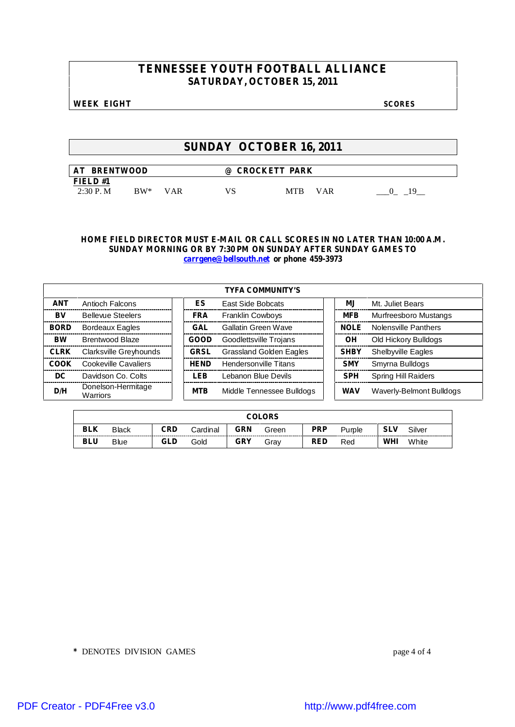### **WEEK EIGHT SCORES**

## **SUNDAY OCTOBER 16, 2011**

| <b>BRENTWOOD</b><br>AT |               |     | $\omega$ | <b>CROCKETT PARK</b> |  |
|------------------------|---------------|-----|----------|----------------------|--|
| FIELD #1               |               |     |          |                      |  |
| $2:30$ P.M             | $\rm{RW^{*}}$ | VAR | VS       | MTB<br><b>VAR</b>    |  |

### **HOME FIELD DIRECTOR MUST E-MAIL OR CALL SCORES IN NO LATER THAN 10:00 A.M. SUNDAY MORNING OR BY 7:30 PM ON SUNDAY AFTER SUNDAY GAMES TO carrgene@bellsouth.net or phone 459-3973**

|             |                                |             | <b>TYFA COMMUNITY'S</b>   |             |                            |
|-------------|--------------------------------|-------------|---------------------------|-------------|----------------------------|
| <b>ANT</b>  | <b>Antioch Falcons</b>         | ES          | <b>East Side Bobcats</b>  | MJ.         | Mt. Juliet Bears           |
| BV          | <b>Bellevue Steelers</b>       | <b>FRA</b>  | <b>Franklin Cowboys</b>   | <b>MFB</b>  | Murfreesboro Mustangs      |
| <b>BORD</b> | <b>Bordeaux Eagles</b>         | <b>GAL</b>  | Gallatin Green Wave       | <b>NOLE</b> | Nolensville Panthers       |
| <b>BW</b>   | Brentwood Blaze                | <b>GOOD</b> | Goodlettsville Trojans    | ΟH          | Old Hickory Bulldogs       |
| <b>CLRK</b> | Clarksville Greyhounds         | <b>GRSL</b> | Grassland Golden Eagles   | <b>SHBY</b> | <b>Shelbyville Eagles</b>  |
| COOK        | Cookeville Cavaliers           | <b>HFND</b> | Hendersonville Titans     | <b>SMY</b>  | Smyrna Bulldogs            |
| DC.         | Davidson Co. Colts             | LEB         | Lebanon Blue Devils       | <b>SPH</b>  | <b>Spring Hill Raiders</b> |
| D/H         | Donelson-Hermitage<br>Warriors | <b>MTB</b>  | Middle Tennessee Bulldogs | <b>WAV</b>  | Waverly-Belmont Bulldogs   |

| COLORS     |                                                                                                |     |      |            |      |            |     |     |       |  |
|------------|------------------------------------------------------------------------------------------------|-----|------|------------|------|------------|-----|-----|-------|--|
| <b>BLK</b> | <b>GRN</b><br><b>PRP</b><br>Silver<br>CRD<br>Black<br>Cardinal<br><b>SLV</b><br>Green<br>Pumle |     |      |            |      |            |     |     |       |  |
| <b>BLU</b> | <b>Blue</b>                                                                                    | GLD | Gold | <b>GRY</b> | Grav | <b>RED</b> | Red | WHI | White |  |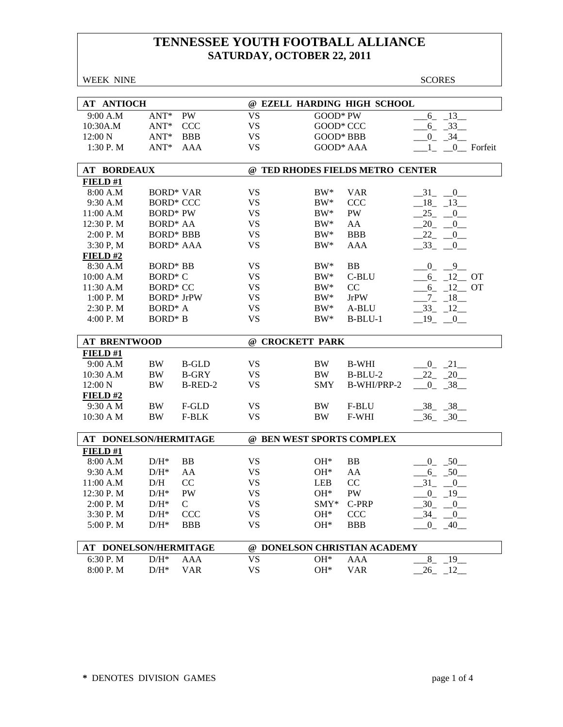| <b>WEEK NINE</b>      |                     |                   |                        |                           |                                  | <b>SCORES</b>                              |
|-----------------------|---------------------|-------------------|------------------------|---------------------------|----------------------------------|--------------------------------------------|
|                       |                     |                   |                        |                           |                                  |                                            |
| <b>AT ANTIOCH</b>     |                     |                   |                        |                           | @ EZELL HARDING HIGH SCHOOL      |                                            |
| 9:00 A.M              | $ANT*$              | <b>PW</b>         | <b>VS</b>              | GOOD* PW                  |                                  | 13<br>6                                    |
| 10:30A.M              | $ANT*$              | <b>CCC</b>        | <b>VS</b>              | GOOD* CCC                 |                                  | $-6 - 33$                                  |
| 12:00 N               | $ANT*$              | <b>BBB</b>        | <b>VS</b>              | GOOD* BBB                 |                                  | $0 - 34$                                   |
| 1:30 P.M              | $ANT^*$             | AAA               | <b>VS</b>              | GOOD* AAA                 |                                  | $1_{-}$ $0_{-}$ Forfeit                    |
|                       |                     |                   |                        |                           |                                  |                                            |
| <b>AT BORDEAUX</b>    |                     |                   |                        |                           | @ TED RHODES FIELDS METRO CENTER |                                            |
| FIELD#1               |                     |                   |                        |                           |                                  |                                            |
| 8:00 A.M              |                     | <b>BORD* VAR</b>  | <b>VS</b>              | $BW^*$                    | <b>VAR</b>                       | 31 0                                       |
| 9:30 A.M              |                     | <b>BORD* CCC</b>  | <b>VS</b>              | $BW^*$                    | <b>CCC</b>                       | $-18$ $-13$                                |
| 11:00 A.M             | <b>BORD*</b> PW     |                   | <b>VS</b>              | $BW^*$                    | PW                               | $25 - 0$                                   |
| 12:30 P.M             | <b>BORD* AA</b>     |                   | <b>VS</b>              | $BW^*$                    | AA                               | $20 - 0$                                   |
| 2:00 P.M              |                     | <b>BORD* BBB</b>  | <b>VS</b>              | $BW^*$                    | <b>BBB</b>                       | $22 - 0$                                   |
| 3:30 P, M             |                     | <b>BORD* AAA</b>  | <b>VS</b>              | $BW^*$                    | <b>AAA</b>                       | $-33$ $-0$                                 |
| FIELD#2               |                     |                   |                        |                           |                                  |                                            |
| 8:30 A.M              | <b>BORD* BB</b>     |                   | <b>VS</b>              | $BW^*$                    | <b>BB</b>                        | $\overline{0}$<br>$_{0}$                   |
| 10:00 A.M             | <b>BORD* C</b>      |                   | <b>VS</b>              | $BW^*$                    | C-BLU                            | $-6$ $-12$ OT                              |
| 11:30 A.M             | <b>BORD* CC</b>     |                   | <b>VS</b>              | $BW^*$                    | CC                               | $6 - 12$ OT                                |
| 1:00 P.M              |                     | <b>BORD*</b> JrPW | <b>VS</b>              | $BW^*$                    | <b>JrPW</b>                      | $-7 - 18$                                  |
| 2:30 P.M              | BORD <sup>*</sup> A |                   | <b>VS</b>              | $BW^*$                    | A-BLU                            | $-33 - 12$                                 |
| 4:00 P.M              | <b>BORD*</b> B      |                   | <b>VS</b>              | $BW^*$                    | $B-BLU-1$                        | $-19$ $-0$                                 |
|                       |                     |                   |                        |                           |                                  |                                            |
|                       | <b>AT BRENTWOOD</b> |                   |                        |                           |                                  |                                            |
|                       |                     |                   |                        | @ CROCKETT PARK           |                                  |                                            |
| FIELD#1               |                     |                   |                        |                           |                                  |                                            |
| 9:00 A.M              | <b>BW</b>           | <b>B-GLD</b>      | <b>VS</b>              | BW                        | <b>B-WHI</b>                     | $0 - 21$                                   |
| 10:30 A.M             | <b>BW</b>           | <b>B-GRY</b>      | <b>VS</b>              | BW                        | $B-BLU-2$                        | $22 - 20$                                  |
| 12:00 N               | <b>BW</b>           | B-RED-2           | <b>VS</b>              | <b>SMY</b>                | B-WHI/PRP-2                      | $0 - 38$                                   |
|                       |                     |                   |                        |                           |                                  |                                            |
| $FIED$ #2<br>9:30 A M | <b>BW</b>           | F-GLD             | <b>VS</b>              | <b>BW</b>                 | F-BLU                            |                                            |
| 10:30 A M             | BW                  | F-BLK             | <b>VS</b>              | <b>BW</b>                 | F-WHI                            | $-38$ $-38$                                |
|                       |                     |                   |                        |                           |                                  | $-36$ $-30$                                |
| AT DONELSON/HERMITAGE |                     |                   |                        | @ BEN WEST SPORTS COMPLEX |                                  |                                            |
| FIELD #1              |                     |                   |                        |                           |                                  |                                            |
| 8:00 A.M              | $D/H^*$             | <b>BB</b>         | <b>VS</b>              | $OH*$                     | <b>BB</b>                        | $0 - 50$                                   |
| 9:30 A.M              | $\mathrm{D/H^{*}}$  | AA                | <b>VS</b>              | $OH*$                     | AA                               | $6 - 50$                                   |
| 11:00 A.M             | D/H                 | CC                | <b>VS</b>              | <b>LEB</b>                | CC                               | 31<br>$\hspace{1.6cm} 0 \hspace{1.5cm}$    |
| 12:30 P.M             | $D/H^*$             | PW                | <b>VS</b>              | OH*                       | PW                               |                                            |
|                       |                     | $\mathsf{C}$      |                        |                           | C-PRP                            | $-0$ $-19$<br>$\overline{0}$               |
| 2:00 P.M              | $D/H^*$             |                   | <b>VS</b>              | SMY*                      |                                  | 30                                         |
| 3:30 P.M              | $\mathrm{D/H^{*}}$  | <b>CCC</b>        | <b>VS</b><br><b>VS</b> | $OH*$<br>$OH*$            | CCC                              | $34_{-}$<br>$\overline{0}$<br>$\mathbf{0}$ |
| 5:00 P.M              | $\mathrm{D/H^{*}}$  | <b>BBB</b>        |                        |                           | <b>BBB</b>                       | $-40$                                      |
| AT DONELSON/HERMITAGE |                     |                   |                        |                           | @ DONELSON CHRISTIAN ACADEMY     |                                            |
| 6:30 P.M              | $\mathrm{D/H^{*}}$  | AAA               | <b>VS</b>              | OH*                       | <b>AAA</b>                       | $8_{-}$<br>$-19$                           |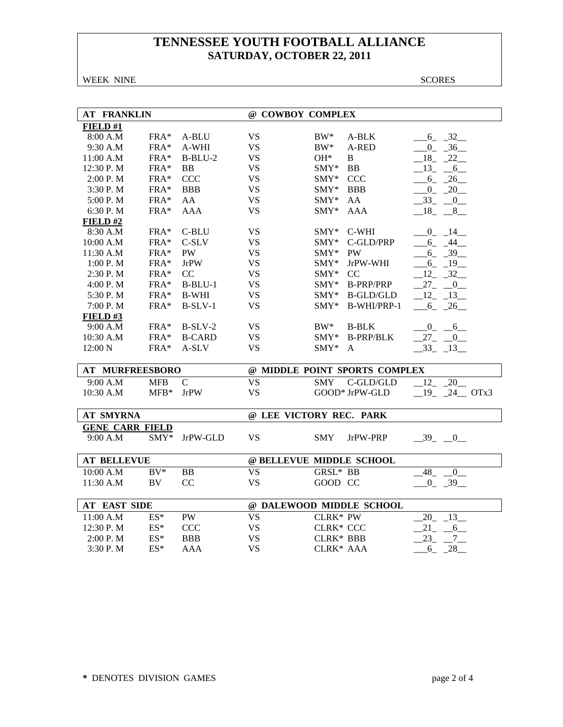WEEK NINE SCORES

| <b>AT FRANKLIN</b>     |            |               |                          | @ COWBOY COMPLEX                              |  |  |  |  |  |  |
|------------------------|------------|---------------|--------------------------|-----------------------------------------------|--|--|--|--|--|--|
| FIELD#1                |            |               |                          |                                               |  |  |  |  |  |  |
| 8:00 A.M               | FRA*       | A-BLU         | <b>VS</b>                | $-6 - 32$<br>$BW^*$<br>A-BLK                  |  |  |  |  |  |  |
| 9:30 A.M               | $FRA*$     | A-WHI         | <b>VS</b>                | $0 - 36$<br>$BW^*$<br>A-RED                   |  |  |  |  |  |  |
| 11:00 A.M              | FRA*       | $B-BLU-2$     | <b>VS</b>                | $18 - 22$<br>$OH^*$<br>B                      |  |  |  |  |  |  |
| 12:30 P.M              | FRA*       | <b>BB</b>     | <b>VS</b>                | <b>BB</b><br>$\text{SMY*}$<br>$-13$<br>$-6$   |  |  |  |  |  |  |
| 2:00 P. M              | FRA*       | <b>CCC</b>    | <b>VS</b>                | <b>CCC</b><br>6 26<br>$\text{SMY*}$           |  |  |  |  |  |  |
| 3:30 P.M               | FRA*       | <b>BBB</b>    | <b>VS</b>                | $0 - 20$<br>SMY*<br><b>BBB</b>                |  |  |  |  |  |  |
| 5:00 P.M               | $FRA*$     | AA            | <b>VS</b>                | AA<br>33 0<br>$SMY^*$                         |  |  |  |  |  |  |
| 6:30 P.M               | FRA*       | <b>AAA</b>    | <b>VS</b>                | SMY*<br><b>AAA</b><br>$-18$ $-8$ $-$          |  |  |  |  |  |  |
| FIELD#2                |            |               |                          |                                               |  |  |  |  |  |  |
| 8:30 A.M               | FRA*       | C-BLU         | <b>VS</b>                | $C-WHI$<br>$\text{SMY*}$<br>$0 \t 14$         |  |  |  |  |  |  |
| 10:00 A.M              | FRA*       | C-SLV         | <b>VS</b>                | C-GLD/PRP<br>$SMY^*$<br>$-6 - 44$             |  |  |  |  |  |  |
| 11:30 A.M              | FRA*       | <b>PW</b>     | <b>VS</b>                | <b>PW</b><br>$SMY^*$<br>$-6$ $-39$            |  |  |  |  |  |  |
| 1:00 P.M               | $FRA*$     | <b>JrPW</b>   | <b>VS</b>                | JrPW-WHI<br>19<br>$SMY^*$<br>$6_{-}$          |  |  |  |  |  |  |
| 2:30 P.M               | FRA*       | CC            | <b>VS</b>                | $12 - 32$<br>CC<br>SMY*                       |  |  |  |  |  |  |
| 4:00 P.M               | FRA*       | $B-BLU-1$     | <b>VS</b>                | $27 - 0$<br>$\text{SMY*}$<br><b>B-PRP/PRP</b> |  |  |  |  |  |  |
| 5:30 P.M               | FRA*       | <b>B-WHI</b>  | <b>VS</b>                | <b>B-GLD/GLD</b><br>$SMY^*$<br>$12 - 13$      |  |  |  |  |  |  |
| 7:00 P.M               | FRA*       | $B-SLV-1$     | <b>VS</b>                | $SMY*$<br>B-WHI/PRP-1<br>6<br>26              |  |  |  |  |  |  |
| FIELD#3                |            |               |                          |                                               |  |  |  |  |  |  |
| 9:00 A.M               | FRA*       | $B-SLV-2$     | <b>VS</b>                | $BW^*$<br><b>B-BLK</b><br>$-0$ $-6$           |  |  |  |  |  |  |
| 10:30 A.M              | $FRA*$     | <b>B-CARD</b> | <b>VS</b>                | $SMY^*$<br><b>B-PRP/BLK</b><br>$27 - 0$       |  |  |  |  |  |  |
| 12:00 N                | FRA*       | A-SLV         | <b>VS</b>                | SMY*<br>$-33 - 13$<br>A                       |  |  |  |  |  |  |
|                        |            |               |                          |                                               |  |  |  |  |  |  |
| <b>AT MURFREESBORO</b> |            |               |                          | @ MIDDLE POINT SPORTS COMPLEX                 |  |  |  |  |  |  |
| 9:00 A.M               | <b>MFB</b> | $\mathbf C$   | <b>VS</b>                | 20<br>C-GLD/GLD<br>12<br><b>SMY</b>           |  |  |  |  |  |  |
| 10:30 A.M              | $MFB*$     | <b>JrPW</b>   | <b>VS</b>                | GOOD* JrPW-GLD<br>$-19$ $-24$ OTx3            |  |  |  |  |  |  |
|                        |            |               |                          |                                               |  |  |  |  |  |  |
| <b>AT SMYRNA</b>       |            |               |                          | @ LEE VICTORY REC. PARK                       |  |  |  |  |  |  |
| <b>GENE CARR FIELD</b> |            |               |                          |                                               |  |  |  |  |  |  |
| 9:00 A.M               | $SMY^*$    | JrPW-GLD      | <b>VS</b>                | <b>SMY</b><br>JrPW-PRP<br>$-39$ $-0$          |  |  |  |  |  |  |
|                        |            |               |                          |                                               |  |  |  |  |  |  |
| <b>AT BELLEVUE</b>     |            |               |                          | @ BELLEVUE MIDDLE SCHOOL                      |  |  |  |  |  |  |
| 10:00 A.M              | $BV^*$     | <b>BB</b>     | $\overline{\mathrm{VS}}$ | $GRSL^*$ BB<br>48<br>$\overline{0}$           |  |  |  |  |  |  |
| 11:30 A.M              | BV         | CC            | <b>VS</b>                | GOOD CC<br>$0 - 39$                           |  |  |  |  |  |  |
| <b>AT EAST SIDE</b>    |            |               |                          | @ DALEWOOD MIDDLE SCHOOL                      |  |  |  |  |  |  |
| 11:00 A.M              | $ES^*$     | <b>PW</b>     | <b>VS</b>                | <b>CLRK* PW</b><br>20<br>$-13$                |  |  |  |  |  |  |
| 12:30 P.M              | $ES^*$     | <b>CCC</b>    | <b>VS</b>                | 21<br>CLRK* CCC<br>$6_{-}$                    |  |  |  |  |  |  |
| 2:00 P.M               | $ES^*$     | <b>BBB</b>    | <b>VS</b>                | <b>CLRK* BBB</b><br>23<br>$7\overline{ }$     |  |  |  |  |  |  |
| 3:30 P.M               | ES*        | <b>AAA</b>    | <b>VS</b>                | CLRK* AAA<br>$6 - 28$                         |  |  |  |  |  |  |
|                        |            |               |                          |                                               |  |  |  |  |  |  |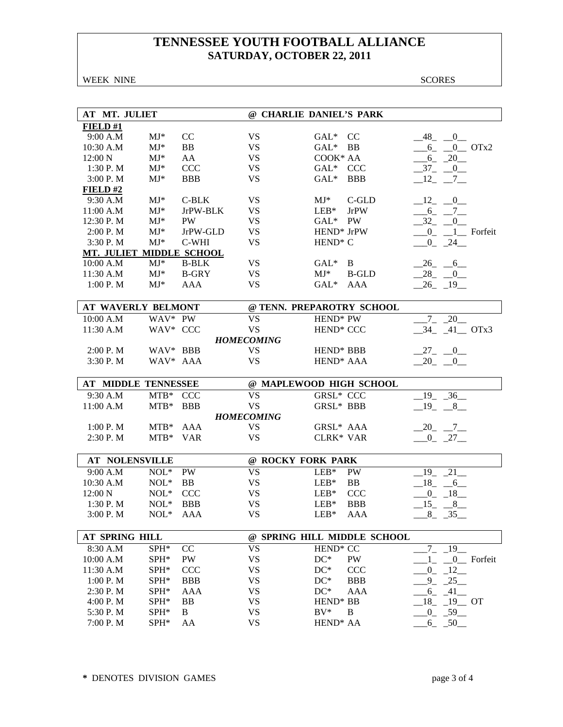WEEK NINE SCORES

| AT MT. JULIET             |                |              |                        | @ CHARLIE DANIEL'S PARK             |                            |
|---------------------------|----------------|--------------|------------------------|-------------------------------------|----------------------------|
| FIELD#1                   |                |              |                        |                                     |                            |
| 9:00 A.M                  | $MJ*$          | CC           | <b>VS</b>              | $GAL^*$<br><sub>CC</sub>            | $-48$ <sub>-</sub> $-0$    |
| 10:30 A.M                 | $MJ*$          | BB           | <b>VS</b>              | $GAL^*$<br>BB                       | $6 - 0$ OTx2               |
| 12:00 N                   | $MJ*$          | AA           | <b>VS</b>              | COOK* AA                            | $-6 - 20$                  |
| 1:30 P. M                 | $MJ^*$         | <b>CCC</b>   | <b>VS</b>              | GAL* CCC                            | $-37 - 0$                  |
| 3:00 P.M                  | $MJ*$          | <b>BBB</b>   | <b>VS</b>              | $GAL^*$<br><b>BBB</b>               | $-12$ $-7$                 |
| FIELD#2                   |                |              |                        |                                     |                            |
| 9:30 A.M                  | $MJ*$          | C-BLK        | <b>VS</b>              | $MJ^*$<br>C-GLD                     | $-12$ $-0$                 |
| 11:00 A.M                 | $MJ^*$         | JrPW-BLK     | <b>VS</b>              | $LEB*$<br>JrPW                      | $-6 - 7$                   |
| 12:30 P.M                 | $MJ*$          | <b>PW</b>    | <b>VS</b>              | GAL* PW                             | $-32$ $-0$                 |
| 2:00 P.M                  | $MJ*$          | JrPW-GLD     | <b>VS</b>              | HEND <sup>*</sup> JrPW              | $-0$ <sub>-1</sub> Forfeit |
| 3:30 P.M                  | $MJ*$          | C-WHI        | <b>VS</b>              | HEND <sup>*</sup> C                 | $-0$ $-24$                 |
| MT. JULIET MIDDLE SCHOOL  |                |              |                        |                                     |                            |
| 10:00 A.M                 | $MJ*$          | <b>B-BLK</b> | <b>VS</b>              | $GAL^*$<br>B                        | $-26 - 6$                  |
| 11:30 A.M                 | $MJ*$          | <b>B-GRY</b> | <b>VS</b>              | $MJ^*$<br><b>B-GLD</b>              | $28 - 0$                   |
| 1:00 P.M                  | $MJ*$          | <b>AAA</b>   | <b>VS</b>              | $GAL*$<br>AAA                       | $-26$ $-19$                |
|                           |                |              |                        |                                     |                            |
| <b>AT WAVERLY BELMONT</b> |                |              |                        | @ TENN. PREPAROTRY SCHOOL           |                            |
| 10:00 A.M                 | WAV* PW        |              | <b>VS</b>              | HEND <sup>*</sup> PW                | 20<br>$7^{\circ}$          |
| 11:30 A.M                 | WAV* CCC       |              | <b>VS</b>              | HEND <sup>*</sup> CCC               | 34 41 OTx3                 |
|                           |                |              | <b>HOMECOMING</b>      |                                     |                            |
| 2:00 P. M                 | WAV* BBB       |              | <b>VS</b>              | HEND <sup>*</sup> BBB               | $27 - 0$                   |
| 3:30 P.M                  | WAV* AAA       |              | <b>VS</b>              | HEND <sup>*</sup> AAA               | $-20$ $-0$                 |
|                           |                |              |                        |                                     |                            |
| AT MIDDLE TENNESSEE       |                |              |                        | @ MAPLEWOOD HIGH SCHOOL             |                            |
|                           |                |              |                        |                                     |                            |
| 9:30 A.M                  | MTB* CCC       |              | <b>VS</b>              | <b>GRSL* CCC</b>                    | $19 - 36$                  |
| 11:00 A.M                 | $MTB*$         | <b>BBB</b>   | <b>VS</b>              | GRSL* BBB                           | $-19$ $-8$ $-$             |
|                           |                |              | <b>HOMECOMING</b>      |                                     |                            |
| 1:00 P.M                  | $MTB*$         | AAA          | <b>VS</b>              | GRSL* AAA                           | $-20$ $-7$ $-$             |
| 2:30 P.M                  | MTB* VAR       |              | <b>VS</b>              | <b>CLRK* VAR</b>                    | $-0$ $-27$                 |
|                           |                |              |                        |                                     |                            |
| <b>AT NOLENSVILLE</b>     |                |              |                        | @ ROCKY FORK PARK                   |                            |
| 9:00 A.M                  | $NOL*$         | PW           | <b>VS</b>              | $LEB*$<br>PW                        | 19<br>21                   |
| 10:30 A.M                 | $\text{NOL}^*$ | <b>BB</b>    | <b>VS</b>              | BB<br>$LEB*$                        | 18 6                       |
| 12:00 N                   | $NOL*$         | <b>CCC</b>   | <b>VS</b>              | $LEB*$<br><b>CCC</b>                | $0 - 18$                   |
| 1:30 P.M                  | $NOL*$         | <b>BBB</b>   | <b>VS</b>              | $\text{LEB}^*$<br><b>BBB</b>        | $-15$ $-8$                 |
| 3:00 P.M                  | $\text{NOL}^*$ | AAA          | <b>VS</b>              | $LEB*$<br>AAA                       | $8$ <sub>-</sub><br>$-35$  |
|                           |                |              |                        |                                     |                            |
| AT SPRING HILL            |                |              |                        | @ SPRING HILL MIDDLE SCHOOL         |                            |
| 8:30 A.M                  | SPH*           | CC           | <b>VS</b>              | HEND <sup>*</sup> CC                | $-19$<br>$7\overline{ }$   |
| 10:00 A.M                 | SPH*           | <b>PW</b>    | <b>VS</b>              | $DC^*$<br>PW                        | 0 Forfeit<br>1             |
| 11:30 A.M                 | $SPH*$         | <b>CCC</b>   | <b>VS</b>              | $DC^*$<br><b>CCC</b>                | $0 - 12$                   |
| 1:00 P.M                  | $SPH*$         | <b>BBB</b>   | <b>VS</b>              | $DC^*$<br><b>BBB</b>                | $-9 - 25$                  |
| 2:30 P. M                 | SPH*           | AAA          | <b>VS</b>              | $DC^*$<br>AAA                       | $6 - 41$                   |
| 4:00 P. M                 | SPH*           | <b>BB</b>    | <b>VS</b>              | HEND <sup>*</sup> BB                | $-18$ $-19$ OT             |
| 5:30 P.M<br>7:00 P.M      | SPH*<br>SPH*   | B<br>AA      | <b>VS</b><br><b>VS</b> | $BV^*$<br>B<br>HEND <sup>*</sup> AA | $-0$ $-59$ $-$<br>$6 - 50$ |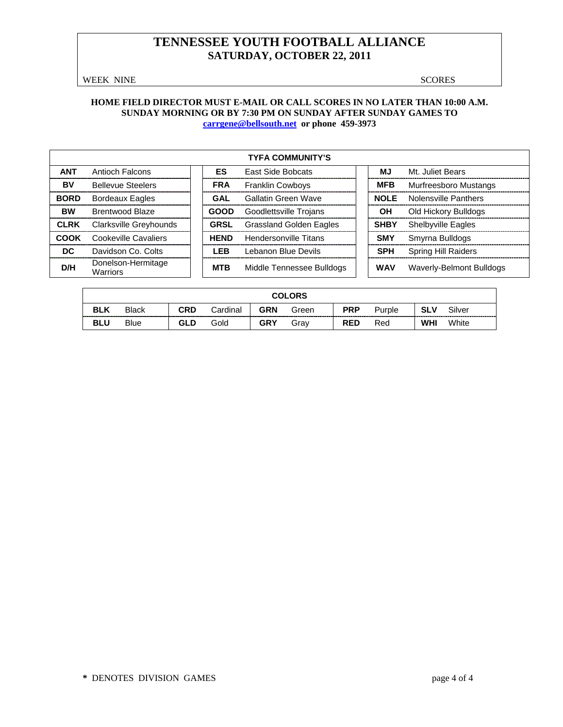WEEK NINE SCORES

### **HOME FIELD DIRECTOR MUST E-MAIL OR CALL SCORES IN NO LATER THAN 10:00 A.M. SUNDAY MORNING OR BY 7:30 PM ON SUNDAY AFTER SUNDAY GAMES TO [carrgene@bellsouth.net](mailto:carrgene@bellsouth.net) or phone 459-3973**

|             | <b>TYFA COMMUNITY'S</b>        |  |             |                                |  |             |                            |  |  |  |  |
|-------------|--------------------------------|--|-------------|--------------------------------|--|-------------|----------------------------|--|--|--|--|
| <b>ANT</b>  | Antioch Falcons                |  | <b>ES</b>   | <b>East Side Bobcats</b>       |  | MJ          | Mt. Juliet Bears           |  |  |  |  |
| BV          | <b>Bellevue Steelers</b>       |  | <b>FRA</b>  | <b>Franklin Cowboys</b>        |  | <b>MFB</b>  | Murfreesboro Mustangs      |  |  |  |  |
| <b>BORD</b> | <b>Bordeaux Eagles</b>         |  | GAL         | Gallatin Green Wave            |  | <b>NOLE</b> | Nolensville Panthers       |  |  |  |  |
| <b>BW</b>   | <b>Brentwood Blaze</b>         |  | GOOD        | Goodlettsville Trojans         |  | OH          | Old Hickory Bulldogs       |  |  |  |  |
| <b>CLRK</b> | <b>Clarksville Greyhounds</b>  |  | <b>GRSL</b> | <b>Grassland Golden Eagles</b> |  | <b>SHBY</b> | <b>Shelbyville Eagles</b>  |  |  |  |  |
| <b>COOK</b> | Cookeville Cavaliers           |  | <b>HEND</b> | <b>Hendersonville Titans</b>   |  | <b>SMY</b>  | Smyrna Bulldogs            |  |  |  |  |
| DC.         | Davidson Co. Colts             |  | LEB         | Lebanon Blue Devils            |  | <b>SPH</b>  | <b>Spring Hill Raiders</b> |  |  |  |  |
| D/H         | Donelson-Hermitage<br>Warriors |  | <b>MTB</b>  | Middle Tennessee Bulldogs      |  | <b>WAV</b>  | Waverly-Belmont Bulldogs   |  |  |  |  |

| <b>COLORS</b> |                                                                                                               |            |      |            |      |            |     |            |       |  |
|---------------|---------------------------------------------------------------------------------------------------------------|------------|------|------------|------|------------|-----|------------|-------|--|
| <b>BLK</b>    | <b>PRP</b><br><b>CRD</b><br><b>GRN</b><br><b>SLV</b><br>Silver<br><b>Black</b><br>Cardinal<br>Green<br>Purple |            |      |            |      |            |     |            |       |  |
| <b>BLU</b>    | <b>Blue</b>                                                                                                   | <b>GLD</b> | Gold | <b>GRY</b> | Grav | <b>RED</b> | Red | <b>WHI</b> | White |  |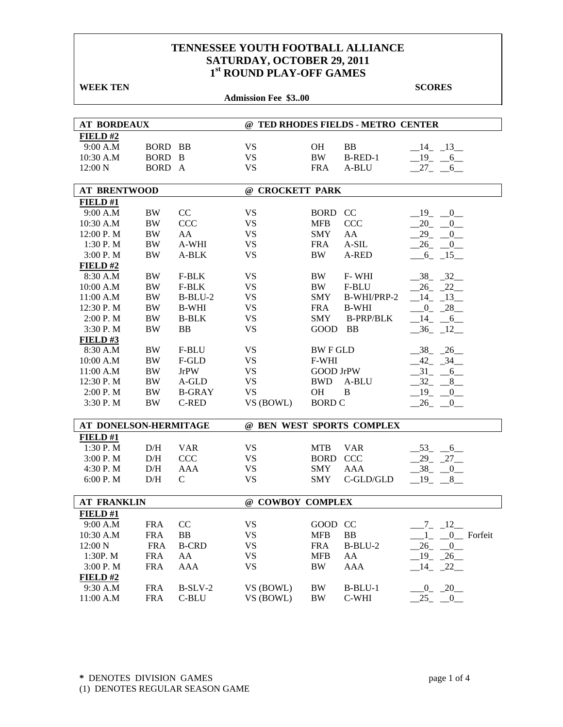| <b>WEEK TEN</b>       |                |               |                            |                  |                                    | <b>SCORES</b>                    |
|-----------------------|----------------|---------------|----------------------------|------------------|------------------------------------|----------------------------------|
|                       |                |               | <b>Admission Fee \$300</b> |                  |                                    |                                  |
|                       |                |               |                            |                  |                                    |                                  |
| <b>AT BORDEAUX</b>    |                |               |                            |                  | @ TED RHODES FIELDS - METRO CENTER |                                  |
| FIELD#2               |                |               |                            |                  |                                    |                                  |
| 9:00 A.M              | <b>BORD BB</b> |               | <b>VS</b>                  | OН               | <b>BB</b>                          | $-14$ $-13$                      |
| 10:30 A.M             | BORD B         |               | <b>VS</b>                  | <b>BW</b>        | B-RED-1                            | $-19$ $-6$                       |
| 12:00 N               | BORD A         |               | <b>VS</b>                  | <b>FRA</b>       | A-BLU                              | $27 - 6$                         |
| <b>AT BRENTWOOD</b>   |                |               | @ CROCKETT PARK            |                  |                                    |                                  |
| FIELD#1               |                |               |                            |                  |                                    |                                  |
| 9:00 A.M              | BW             | CC            | <b>VS</b>                  | BORD CC          |                                    | 19<br>$\overline{0}$             |
| 10:30 A.M             | BW             | <b>CCC</b>    | <b>VS</b>                  | <b>MFB</b>       | <b>CCC</b>                         | 20<br>$\mathbf{0}$               |
| 12:00 P.M             | <b>BW</b>      | AA            | <b>VS</b>                  | <b>SMY</b>       | AA                                 | 29<br>0                          |
| 1:30P. M              | BW             | A-WHI         | <b>VS</b>                  | <b>FRA</b>       | A-SIL                              | 26<br>$\overline{0}$             |
| 3:00 P. M             | <b>BW</b>      | A-BLK         | <b>VS</b>                  | BW               | A-RED                              | $-6$ $-15$                       |
| FIELD#2               |                |               |                            |                  |                                    |                                  |
| 8:30 A.M              | BW             | F-BLK         | <b>VS</b>                  | BW               | F-WHI                              | $-38$ $-32$                      |
| 10:00 A.M             | BW             | F-BLK         | <b>VS</b>                  | BW               | F-BLU                              | $26 - 22$                        |
| 11:00 A.M             | <b>BW</b>      | $B-BLU-2$     | <b>VS</b>                  | <b>SMY</b>       | B-WHI/PRP-2                        | $-14$ $-13$                      |
| 12:30 P.M             | BW             | <b>B-WHI</b>  | <b>VS</b>                  | <b>FRA</b>       | <b>B-WHI</b>                       | $-0$ $-28$                       |
| 2:00 P. M             | <b>BW</b>      | <b>B-BLK</b>  | VS                         | <b>SMY</b>       | <b>B-PRP/BLK</b>                   | $-14$ $-6$                       |
| 3:30 P.M              | <b>BW</b>      | <b>BB</b>     | <b>VS</b>                  | GOOD             | BB                                 | $-36$ $-12$                      |
| $FIED$ #3             |                |               |                            |                  |                                    |                                  |
| 8:30 A.M              | BW             | F-BLU         | <b>VS</b>                  | <b>BWFGLD</b>    |                                    | $-38$ $-26$                      |
| 10:00 A.M             | <b>BW</b>      | F-GLD         | <b>VS</b>                  | F-WHI            |                                    | $-42$ $-34$ $-$                  |
| 11:00 A.M             | BW             | <b>JrPW</b>   | <b>VS</b>                  | <b>GOOD JrPW</b> |                                    | $-31 - 6$                        |
| 12:30 P.M             | BW             | A-GLD         | VS                         | <b>BWD</b>       | A-BLU                              | 32<br>8                          |
| 2:00 P. M             | <b>BW</b>      | <b>B-GRAY</b> | <b>VS</b>                  | OH               | $\, {\bf B}$                       | $-19$<br>$\overline{0}$          |
| 3:30 P.M              | BW             | <b>C-RED</b>  | VS (BOWL)                  | <b>BORD C</b>    |                                    | $-26$ $-$<br>$\mathbf{0}$        |
|                       |                |               |                            |                  |                                    |                                  |
| AT DONELSON-HERMITAGE |                |               |                            |                  | @ BEN WEST SPORTS COMPLEX          |                                  |
| FIELD#1               |                |               |                            |                  |                                    |                                  |
| 1:30 P.M              | D/H            | <b>VAR</b>    | VS                         | <b>MTB</b>       | <b>VAR</b>                         | $53 - 6$                         |
| 3:00 P.M              | D/H            | CCC           | <b>VS</b>                  | <b>BORD</b>      | <b>CCC</b>                         | $29 - 27$                        |
| 4:30 P.M              | D/H            | AAA           | <b>VS</b>                  | <b>SMY</b>       | <b>AAA</b>                         | $-38$ <sub>-</sub> $-0$          |
| 6:00 P. M             | D/H            | $\mathsf{C}$  | <b>VS</b>                  | <b>SMY</b>       | C-GLD/GLD                          | $-19$<br>8                       |
| <b>AT FRANKLIN</b>    |                |               | @ COWBOY COMPLEX           |                  |                                    |                                  |
| FIELD#1               |                |               |                            |                  |                                    |                                  |
| 9:00 A.M              | <b>FRA</b>     | CC            | <b>VS</b>                  | <b>GOOD</b>      | <b>CC</b>                          | $7 - 12$                         |
| 10:30 A.M             | <b>FRA</b>     | <b>BB</b>     | <b>VS</b>                  | <b>MFB</b>       | <b>BB</b>                          | 1<br>$\_{0}$ Forfeit             |
| 12:00 N               | <b>FRA</b>     | <b>B-CRD</b>  | <b>VS</b>                  | <b>FRA</b>       | B-BLU-2                            | 26<br>$\overline{\phantom{0}}^0$ |
| 1:30P. M              | <b>FRA</b>     | AA            | <b>VS</b>                  | <b>MFB</b>       | AA                                 | $-19$ $-26$                      |
| 3:00 P.M              | <b>FRA</b>     | AAA           | <b>VS</b>                  | BW               | AAA                                | $-14$ $-22$ $-$                  |
| FIELD #2              |                |               |                            |                  |                                    |                                  |
| 9:30 A.M              | <b>FRA</b>     | $B-SLV-2$     | VS (BOWL)                  | BW               | $B-BLU-1$                          | $-0$ $-20$                       |
| 11:00 A.M             | <b>FRA</b>     | C-BLU         | VS (BOWL)                  | BW               | C-WHI                              | 25<br>$-0$                       |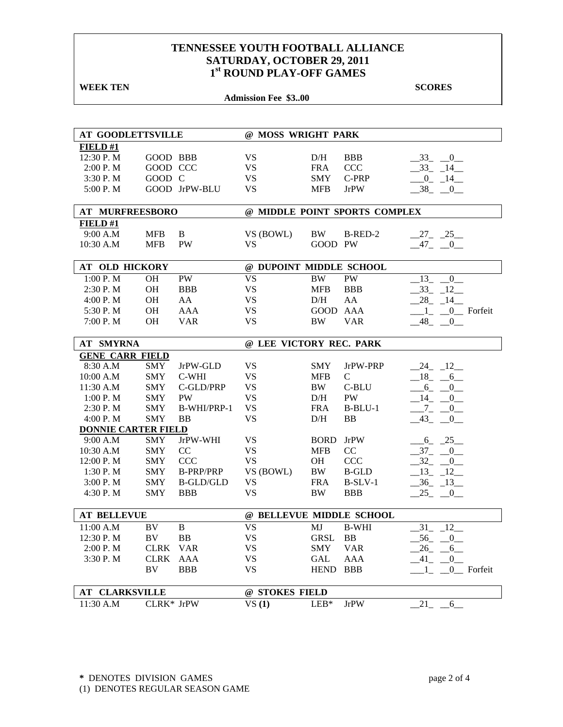| <b>WEEK TEN</b>            |             |                  |                            |             |                               | <b>SCORES</b>           |
|----------------------------|-------------|------------------|----------------------------|-------------|-------------------------------|-------------------------|
|                            |             |                  | <b>Admission Fee \$300</b> |             |                               |                         |
|                            |             |                  |                            |             |                               |                         |
|                            |             |                  |                            |             |                               |                         |
| <b>AT GOODLETTSVILLE</b>   |             |                  | @ MOSS WRIGHT PARK         |             |                               |                         |
| FIELD#1                    |             |                  |                            |             |                               |                         |
| 12:30 P.M                  | GOOD BBB    |                  | VS                         | D/H         | <b>BBB</b>                    | $-33$ $-0$              |
| 2:00 P. M                  | GOOD CCC    |                  | VS                         | <b>FRA</b>  | <b>CCC</b>                    | $-33$ $-14$             |
| 3:30 P.M                   | GOOD C      |                  | <b>VS</b>                  | <b>SMY</b>  | C-PRP                         | $-0$ $-14$              |
| 5:00 P.M                   |             | GOOD JrPW-BLU    | <b>VS</b>                  | <b>MFB</b>  | <b>JrPW</b>                   | $-38$ $-0$              |
| <b>AT MURFREESBORO</b>     |             |                  |                            |             | @ MIDDLE POINT SPORTS COMPLEX |                         |
| FIELD#1                    |             |                  |                            |             |                               |                         |
| 9:00 A.M                   | <b>MFB</b>  | B                | VS (BOWL)                  | BW          | B-RED-2                       | $27 - 25$               |
| 10:30 A.M                  | <b>MFB</b>  | <b>PW</b>        | <b>VS</b>                  | GOOD PW     |                               | $-47$ $-0$              |
|                            |             |                  |                            |             |                               |                         |
| <b>AT OLD HICKORY</b>      |             |                  | @ DUPOINT MIDDLE SCHOOL    |             |                               |                         |
| 1:00 P.M                   | <b>OH</b>   | PW               | <b>VS</b>                  | <b>BW</b>   | PW                            | 13<br>$\overline{0}$    |
| 2:30 P.M                   | <b>OH</b>   | <b>BBB</b>       | <b>VS</b>                  | <b>MFB</b>  | <b>BBB</b>                    | $-33 - 12$              |
| 4:00 P. M                  | <b>OH</b>   | AA               | <b>VS</b>                  | D/H         | AA                            | $-28$ <sub>-14</sub>    |
| 5:30 P.M                   | <b>OH</b>   | <b>AAA</b>       | <b>VS</b>                  | <b>GOOD</b> | AAA                           | $1_{-}$ $0_{-}$ Forfeit |
| 7:00 P.M                   | <b>OH</b>   | <b>VAR</b>       | <b>VS</b>                  | BW          | <b>VAR</b>                    | $-48$ <sub>-</sub> $-0$ |
|                            |             |                  |                            |             |                               |                         |
| <b>AT SMYRNA</b>           |             |                  | @ LEE VICTORY REC. PARK    |             |                               |                         |
| <b>GENE CARR FIELD</b>     |             |                  |                            |             |                               |                         |
| 8:30 A.M                   | <b>SMY</b>  | JrPW-GLD         | VS                         | <b>SMY</b>  | JrPW-PRP                      | $-24$ $-12$             |
| 10:00 A.M                  | <b>SMY</b>  | C-WHI            | <b>VS</b>                  | <b>MFB</b>  | $\mathsf{C}$                  | $-18$ $-6$              |
| 11:30 A.M                  | <b>SMY</b>  | C-GLD/PRP        | <b>VS</b>                  | BW          | C-BLU                         | $-6 - 0$                |
| 1:00 P. M                  | <b>SMY</b>  | <b>PW</b>        | <b>VS</b>                  | D/H         | PW                            | $-14$<br>$\overline{0}$ |
| 2:30P. M                   | <b>SMY</b>  | B-WHI/PRP-1      | <b>VS</b>                  | <b>FRA</b>  | $B-BLU-1$                     | $-7-$<br>$_{0-}$        |
| 4:00 P. M                  | <b>SMY</b>  | <b>BB</b>        | <b>VS</b>                  | D/H         | <b>BB</b>                     | $-43$<br>$\overline{0}$ |
| <b>DONNIE CARTER FIELD</b> |             |                  |                            |             |                               |                         |
| 9:00 A.M                   | <b>SMY</b>  | JrPW-WHI         | <b>VS</b>                  | <b>BORD</b> | <b>JrPW</b>                   | $-6 - 25$               |
| 10:30 A.M                  | <b>SMY</b>  | CC               | <b>VS</b>                  | <b>MFB</b>  | CC                            | $-37 - 0$               |
| 12:00 P.M                  | <b>SMY</b>  | <b>CCC</b>       | <b>VS</b>                  | <b>OH</b>   | <b>CCC</b>                    | $-32$ $-$<br>0          |
| 1:30 P. M                  | <b>SMY</b>  | <b>B-PRP/PRP</b> | VS (BOWL)                  | <b>BW</b>   | <b>B-GLD</b>                  | $-13 - 12$              |
| 3:00 P. M                  | <b>SMY</b>  | <b>B-GLD/GLD</b> | <b>VS</b>                  | <b>FRA</b>  | $B-SLV-1$                     | $-36 - 13$              |
| 4:30 P.M                   | SMY         | <b>BBB</b>       | VS                         | BW          | BBB                           | $-25$ $-0$ $-$          |
| <b>AT BELLEVUE</b>         |             |                  | @ BELLEVUE MIDDLE SCHOOL   |             |                               |                         |
| 11:00 A.M                  | BV          | $\bf{B}$         | <b>VS</b>                  | MJ          | <b>B-WHI</b>                  | 12<br>31                |
| 12:30 P.M                  | BV          | BB               | <b>VS</b>                  | <b>GRSL</b> | BB                            | 56 0                    |
| 2:00 P.M                   | <b>CLRK</b> | <b>VAR</b>       | VS                         | <b>SMY</b>  | <b>VAR</b>                    | 26<br>6                 |
| 3:30 P.M                   | <b>CLRK</b> | AAA              | VS                         | GAL         | AAA                           | 41<br>$\overline{0}$    |
|                            | BV          | <b>BBB</b>       | <b>VS</b>                  | <b>HEND</b> | BBB                           | 0 Forfeit<br>1          |
|                            |             |                  |                            |             |                               |                         |
| <b>AT CLARKSVILLE</b>      |             |                  | @ STOKES FIELD             |             |                               |                         |
| 11:30 A.M                  | CLRK* JrPW  |                  | VS(1)                      | $LEB*$      | <b>JrPW</b>                   | 21<br>6                 |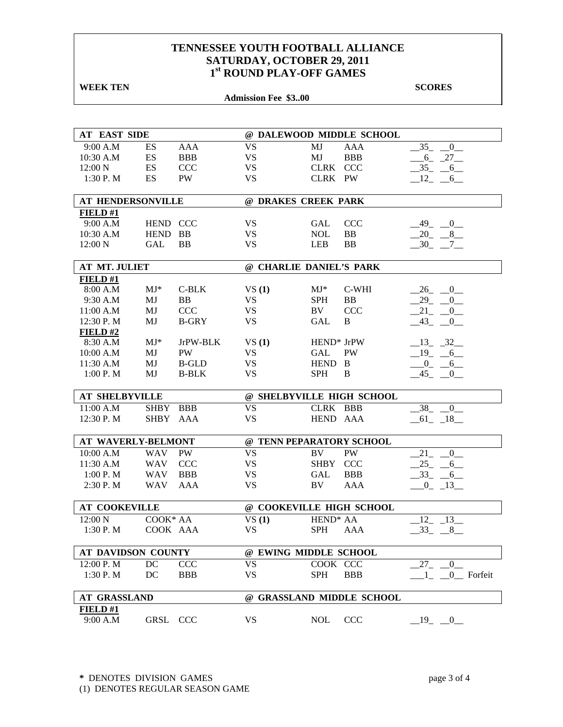| <b>WEEK TEN</b>           |             |              |                            |                           |            | <b>SCORES</b>                  |
|---------------------------|-------------|--------------|----------------------------|---------------------------|------------|--------------------------------|
|                           |             |              | <b>Admission Fee \$300</b> |                           |            |                                |
|                           |             |              |                            |                           |            |                                |
|                           |             |              |                            |                           |            |                                |
| <b>AT EAST SIDE</b>       |             |              |                            | @ DALEWOOD MIDDLE SCHOOL  |            |                                |
| 9:00 A.M                  | ES          | <b>AAA</b>   | <b>VS</b>                  | MJ                        | <b>AAA</b> | $-35$<br>$\overline{0}$        |
| 10:30 A.M                 | ES          | <b>BBB</b>   | <b>VS</b>                  | MJ                        | <b>BBB</b> | $-6 - 27$                      |
| 12:00 N                   | ES          | <b>CCC</b>   | VS                         | CLRK                      | <b>CCC</b> | $-35 - 6$                      |
| 1:30P. M                  | ES          | PW           | <b>VS</b>                  | CLRK PW                   |            | $-12$ $-6$                     |
| <b>AT HENDERSONVILLE</b>  |             |              |                            | @ DRAKES CREEK PARK       |            |                                |
| FIELD#1                   |             |              |                            |                           |            |                                |
| 9:00 A.M                  | HEND CCC    |              | VS                         | <b>GAL</b>                | <b>CCC</b> | _49_<br>$-0$                   |
| 10:30 A.M                 | <b>HEND</b> | <b>BB</b>    | <b>VS</b>                  | <b>NOL</b>                | <b>BB</b>  | $-20 - 8$                      |
| 12:00 N                   | <b>GAL</b>  | <b>BB</b>    | VS                         | <b>LEB</b>                | <b>BB</b>  | $-30$ $-7$ $-$                 |
| <b>AT MT. JULIET</b>      |             |              |                            | @ CHARLIE DANIEL'S PARK   |            |                                |
| FIELD#1                   |             |              |                            |                           |            |                                |
| 8:00 A.M                  | $MJ^*$      | $C-BLK$      | VS(1)                      | $MJ^*$                    | C-WHI      | $26 - 0$                       |
| 9:30 A.M                  | MJ          | <b>BB</b>    | VS                         | <b>SPH</b>                | <b>BB</b>  | $-29 - 0$                      |
| 11:00 A.M                 | MJ          | <b>CCC</b>   | VS                         | BV.                       | <b>CCC</b> | 21<br>$\overline{0}$           |
| 12:30 P.M                 | MJ          | <b>B-GRY</b> | <b>VS</b>                  | GAL                       | B          | $-43$<br>$\overline{0}$        |
| <b>FIELD #2</b>           |             |              |                            |                           |            |                                |
| 8:30 A.M                  | $MJ^*$      | JrPW-BLK     | VS(1)                      | HEND <sup>*</sup> JrPW    |            | $-13$ $-32$                    |
| 10:00 A.M                 | MJ          | PW           | VS                         | <b>GAL</b>                | <b>PW</b>  | $_{-19}$<br>$-6$               |
| 11:30 A.M                 | MJ          | <b>B-GLD</b> | <b>VS</b>                  | <b>HEND</b>               | B          | $_{0_{-}}$<br>6                |
| 1:00 P. M                 | MJ          | <b>B-BLK</b> | <b>VS</b>                  | <b>SPH</b>                | B          | 45<br>$\overline{0}$           |
|                           |             |              |                            |                           |            |                                |
| <b>AT SHELBYVILLE</b>     |             |              |                            | @ SHELBYVILLE HIGH SCHOOL |            |                                |
| 11:00 A.M                 | <b>SHBY</b> | <b>BBB</b>   | <b>VS</b>                  | CLRK BBB                  |            | $-38$<br>$\overline{0}$        |
| 12:30 P.M                 | <b>SHBY</b> | AAA          | <b>VS</b>                  | HEND AAA                  |            | $-61$ $-18$                    |
|                           |             |              |                            |                           |            |                                |
| <b>AT WAVERLY-BELMONT</b> |             |              |                            | @ TENN PEPARATORY SCHOOL  |            |                                |
| 10:00 A.M                 | <b>WAV</b>  | PW           | <b>VS</b>                  | BV                        | PW         | 21<br>$\overline{0}$           |
| 11:30 A.M                 | <b>WAV</b>  | <b>CCC</b>   | <b>VS</b>                  | <b>SHBY</b>               | <b>CCC</b> | 25<br>$-6$                     |
| 1:00 P.M                  | <b>WAV</b>  | <b>BBB</b>   | <b>VS</b>                  | GAL                       | <b>BBB</b> | 33<br>6                        |
| 2:30P. M                  | <b>WAV</b>  | AAA          | <b>VS</b>                  | BV                        | <b>AAA</b> | $\overline{0}$<br>13           |
| <b>AT COOKEVILLE</b>      |             |              |                            | @ COOKEVILLE HIGH SCHOOL  |            |                                |
| $12:00\text{ N}$          | COOK* AA    |              | VS(1)                      | HEND <sup>*</sup> AA      |            | $-12$ $-13$                    |
| 1:30 P. M                 | COOK AAA    |              | VS                         | <b>SPH</b>                | AAA        | $-33 - 8$                      |
| <b>AT DAVIDSON COUNTY</b> |             |              |                            | @ EWING MIDDLE SCHOOL     |            |                                |
|                           |             |              |                            |                           |            |                                |
| 12:00 P. M                | DC          | <b>CCC</b>   | <b>VS</b>                  | COOK CCC                  |            | 27<br>$\theta$                 |
| 1:30 P. M                 | DC          | <b>BBB</b>   | VS                         | <b>SPH</b>                | <b>BBB</b> | $-1$ <sub>-</sub> $-0$ Forfeit |
| <b>AT GRASSLAND</b>       |             |              |                            | @ GRASSLAND MIDDLE SCHOOL |            |                                |
| <b>FIELD #1</b>           |             |              |                            |                           |            |                                |
| 9:00 A.M                  | GRSL CCC    |              | VS.                        | <b>NOL</b>                | CCC        | 19<br>$\bf{0}$                 |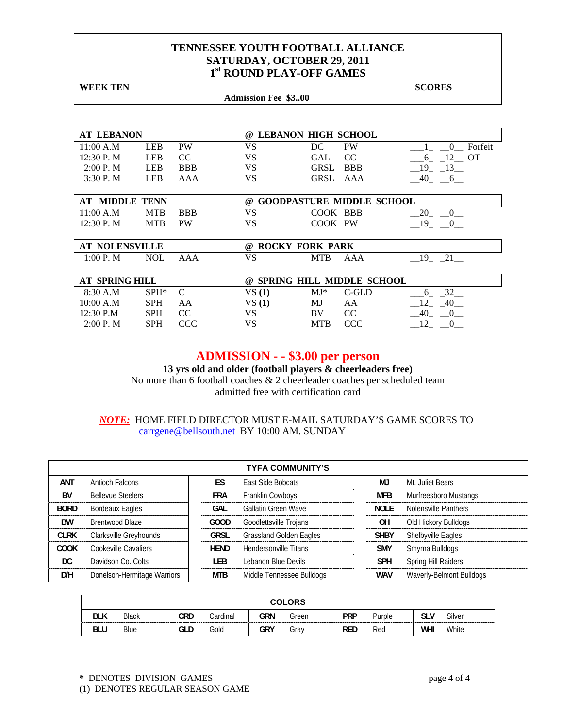**WEEK TEN** SCORES  **Admission Fee \$3..00 AT LEBANON @ LEBANON HIGH SCHOOL**  11:00 A.M LEB PW VS DC PW  $1-\frac{1}{2}$  0 Forfeit 12:30 P. M LEB CC VS GAL CC \_\_\_6\_ \_12\_\_ OT 2:00 P. M LEB BBB VS GRSL BBB  $\frac{19}{213}$ 3:30 P. M LEB AAA VS GRSL AAA  $\_40\_ 6\_$ **AT MIDDLE TENN @ GOODPASTURE MIDDLE SCHOOL**  11:00 A.M MTB BBB VS COOK BBB \_\_20\_ \_0\_ 12:30 P. M MTB PW VS COOK PW  $19 - 0$ **AT NOLENSVILLE @ ROCKY FORK PARK**  1:00 P. M NOL AAA VS MTB AAA \_\_19\_ \_21\_\_ **AT SPRING HILL @ SPRING HILL MIDDLE SCHOOL**  8:30 A.M SPH\* C VS (1) MJ\* C-GLD <u>6</u> 32 10:00 A.M SPH AA VS **(1)** MJ AA \_\_12\_ \_40\_\_ 12:30 P.M SPH CC VS BV CC  $-40$   $-0$ <br>2:00 P.M SPH CCC VS MTB CCC 12 0 2:00 P. M SPH CCC VS MTB CCC 12 0

## **ADMISSION - - \$3.00 per person**

**13 yrs old and older (football players & cheerleaders free)**  No more than 6 football coaches & 2 cheerleader coaches per scheduled team admitted free with certification card

### *NOTE:* HOME FIELD DIRECTOR MUST E-MAIL SATURDAY'S GAME SCORES TO carrgene@bellsouth.net BY 10:00 AM. SUNDAY

|             | <b>TYFA COMMUNITY'S</b>     |  |             |                                |  |             |                            |  |  |  |  |  |
|-------------|-----------------------------|--|-------------|--------------------------------|--|-------------|----------------------------|--|--|--|--|--|
| ANT         | Antioch Falcons             |  | <b>FS</b>   | <b>Fast Side Bobcats</b>       |  | MJ          | Mt. Juliet Bears           |  |  |  |  |  |
| <b>BV</b>   | <b>Bellevue Steelers</b>    |  | <b>FRA</b>  | <b>Franklin Cowboys</b>        |  | <b>MFB</b>  | Murfreesboro Mustangs      |  |  |  |  |  |
| <b>BORD</b> | <b>Bordeaux Eagles</b>      |  | GAL         | Gallatin Green Wave            |  | NOI F       | Nolensville Panthers       |  |  |  |  |  |
| BW          | Brentwood Blaze             |  | GOOD        | Goodlettsville Trojans         |  | OΗ          | Old Hickory Bulldogs       |  |  |  |  |  |
| <b>CLRK</b> | Clarksville Greyhounds      |  | GRSL        | <b>Grassland Golden Eagles</b> |  | <b>SHBY</b> | Shelbyville Eagles         |  |  |  |  |  |
| <b>COOK</b> | Cookeville Cavaliers        |  | <b>HEND</b> | Hendersonville Titans          |  | <b>SMY</b>  | Smyrna Bulldogs            |  |  |  |  |  |
| DC.         | Davidson Co. Colts          |  | I FB        | Lebanon Blue Devils            |  | <b>SPH</b>  | <b>Spring Hill Raiders</b> |  |  |  |  |  |
| D/H         | Donelson-Hermitage Warriors |  | <b>MTB</b>  | Middle Tennessee Bulldogs      |  | <b>WAV</b>  | Waverly-Belmont Bulldogs   |  |  |  |  |  |

| <b>COLORS</b> |              |     |          |     |       |            |        |     |        |
|---------------|--------------|-----|----------|-----|-------|------------|--------|-----|--------|
| BLK           | <b>Black</b> | CRD | Cardinal | GRN | Green | <b>PRP</b> | Purple | slv | Silver |
| <b>BLU</b>    | Blue         | GLD | Gold     | GRY | Gray  | <b>RED</b> | Red    | WHI | White  |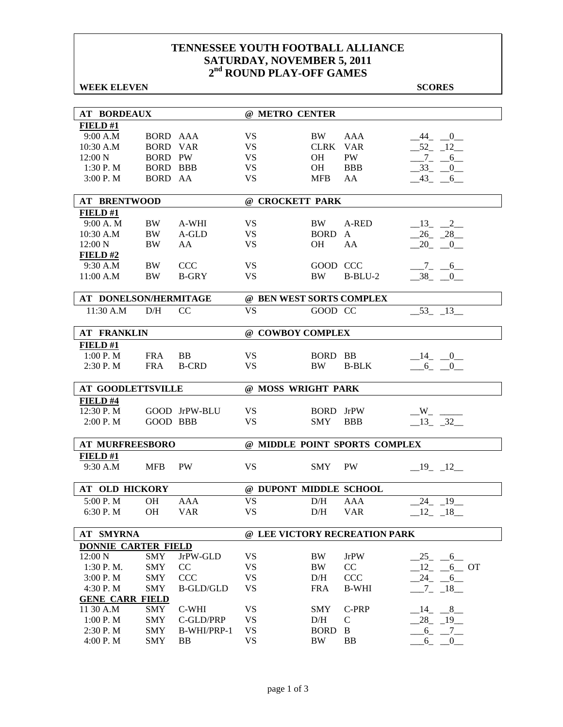### **WEEK ELEVEN SCORES**

| <b>AT BORDEAUX</b>       |                 |                  | @ METRO CENTER           |             |                               |                          |
|--------------------------|-----------------|------------------|--------------------------|-------------|-------------------------------|--------------------------|
| FIELD#1                  |                 |                  |                          |             |                               |                          |
| 9:00 A.M                 | BORD AAA        |                  | <b>VS</b>                | BW          | <b>AAA</b>                    | $-44$ $-0$ $-$           |
| 10:30 A.M                | <b>BORD VAR</b> |                  | <b>VS</b>                | <b>CLRK</b> | <b>VAR</b>                    | $-52 - 12$               |
| 12:00 N                  | <b>BORD PW</b>  |                  | VS                       | OН          | PW                            | $-7 - -6$                |
| 1:30 P. M                | <b>BORD BBB</b> |                  | <b>VS</b>                | OH          | <b>BBB</b>                    | $-33$ $-0$               |
| 3:00 P.M                 | BORD AA         |                  | <b>VS</b>                | <b>MFB</b>  | AA                            | $-43$ $-6$               |
| <b>AT BRENTWOOD</b>      |                 |                  | @ CROCKETT PARK          |             |                               |                          |
| FIELD#1                  |                 |                  |                          |             |                               |                          |
| 9:00 A.M                 | BW              | A-WHI            | VS.                      | BW          | A-RED                         | $-13$ $-2$               |
| 10:30 A.M                | <b>BW</b>       | A-GLD            | <b>VS</b>                | <b>BORD</b> | $\mathbf{A}$                  | $-26 - 28$               |
| 12:00 N                  | BW              | AA               | <b>VS</b>                | <b>OH</b>   | AA                            | $20 - 0$                 |
| FIELD#2                  |                 |                  |                          |             |                               |                          |
| 9:30 A.M                 | BW              | <b>CCC</b>       | <b>VS</b>                | GOOD CCC    |                               | $-7 - 6$                 |
| 11:00 A.M                | BW              | <b>B-GRY</b>     | VS                       | <b>BW</b>   | $B-BLU-2$                     | $-38$ $-0$               |
|                          |                 |                  |                          |             |                               |                          |
| AT DONELSON/HERMITAGE    |                 |                  | @ BEN WEST SORTS COMPLEX |             |                               |                          |
| 11:30 A.M                | D/H             | CC               | <b>VS</b>                | GOOD CC     |                               | $-53$ $-13$              |
| <b>AT FRANKLIN</b>       |                 |                  | @ COWBOY COMPLEX         |             |                               |                          |
| FIELD#1                  |                 |                  |                          |             |                               |                          |
| 1:00 P. M                | <b>FRA</b>      | <b>BB</b>        | VS.                      | <b>BORD</b> | BB                            | $-14$ $-0$ $-$           |
| 2:30 P.M                 | <b>FRA</b>      | <b>B-CRD</b>     | <b>VS</b>                | <b>BW</b>   | <b>B-BLK</b>                  | 6 0                      |
|                          |                 |                  |                          |             |                               |                          |
| <b>AT GOODLETTSVILLE</b> |                 |                  | @ MOSS WRIGHT PARK       |             |                               |                          |
| FIELD #4                 |                 |                  |                          |             |                               |                          |
| 12:30 P.M                |                 | GOOD JrPW-BLU    | VS.                      | BORD JrPW   |                               | $W_{-}$ $\qquad$         |
| 2:00 P. M                | <b>GOOD BBB</b> |                  | <b>VS</b>                | <b>SMY</b>  | <b>BBB</b>                    | 13 32                    |
| <b>AT MURFREESBORO</b>   |                 |                  |                          |             | @ MIDDLE POINT SPORTS COMPLEX |                          |
| FIELD#1                  |                 |                  |                          |             |                               |                          |
| 9:30 A.M                 | <b>MFB</b>      | <b>PW</b>        | <b>VS</b>                | SMY         | <b>PW</b>                     | $-19$ $-12$              |
|                          |                 |                  |                          |             |                               |                          |
| <b>AT OLD HICKORY</b>    |                 |                  | @ DUPONT MIDDLE SCHOOL   |             |                               |                          |
| 5:00 P.M                 | <b>OH</b>       | AAA              | <b>VS</b>                | D/H         | AAA                           | $-24$ $-19$              |
| 6:30 P.M                 | OH              | <b>VAR</b>       | VS                       | D/H         | <b>VAR</b>                    | $-12$ $-18$ $-$          |
| AT SMYRNA                |                 |                  |                          |             | @ LEE VICTORY RECREATION PARK |                          |
| DONNIE CARTER FIELD      |                 |                  |                          |             |                               |                          |
| 12:00 N                  | <b>SMY</b>      | JrPW-GLD         | VS                       | <b>BW</b>   | <b>JrPW</b>                   | $-25$<br>$6\overline{6}$ |
| $1:30$ P. M.             | <b>SMY</b>      | CC               | VS                       | <b>BW</b>   | CC                            | $12 - 6$ OT              |
| 3:00 P.M                 | <b>SMY</b>      | <b>CCC</b>       | <b>VS</b>                | $\rm{D/H}$  | CCC                           | $-24$ $-6$               |
| 4:30 P.M                 | <b>SMY</b>      | <b>B-GLD/GLD</b> | <b>VS</b>                | <b>FRA</b>  | <b>B-WHI</b>                  | $-7 - 18$                |
| <b>GENE CARR FIELD</b>   |                 |                  |                          |             |                               |                          |
| 11 30 A.M                | SMY             | C-WHI            | VS                       | <b>SMY</b>  | C-PRP                         | $-14$ $-8$               |
| 1:00 P.M                 | <b>SMY</b>      | C-GLD/PRP        | VS                       | D/H         | $\mathsf{C}$                  | $28 - 19$                |
| 2:30 P.M                 | <b>SMY</b>      | B-WHI/PRP-1      | VS                       | <b>BORD</b> | B                             | $6_{-}$<br>$-7$          |
| 4:00 P.M                 | <b>SMY</b>      | <b>BB</b>        | <b>VS</b>                | <b>BW</b>   | <b>BB</b>                     | $6_{-}$<br>0             |
|                          |                 |                  |                          |             |                               |                          |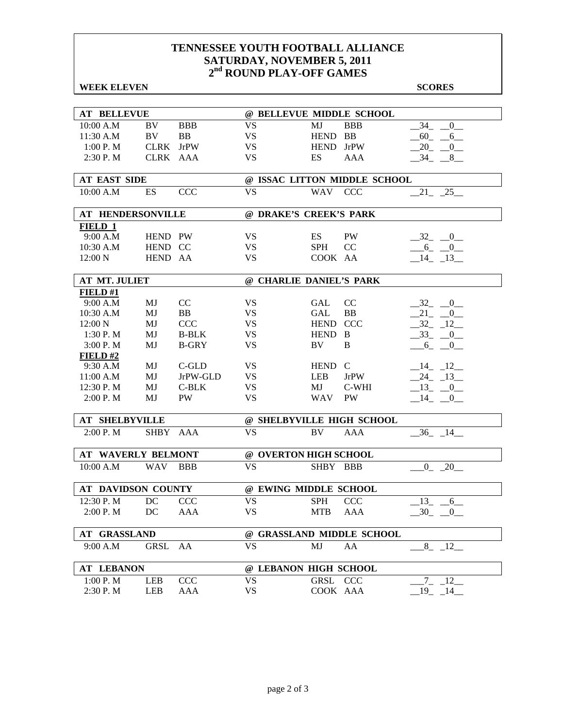### **WEEK ELEVEN** SCORES

| <b>AT BELLEVUE</b>        |             |              |                         |             | @ BELLEVUE MIDDLE SCHOOL     |                                           |
|---------------------------|-------------|--------------|-------------------------|-------------|------------------------------|-------------------------------------------|
| 10:00 A.M                 | BV          | <b>BBB</b>   | <b>VS</b>               | MJ          | <b>BBB</b>                   | 34<br>$\mathbf{0}$                        |
| 11:30 A.M                 | BV          | <b>BB</b>    | <b>VS</b>               | <b>HEND</b> | <b>BB</b>                    | 60<br>6                                   |
| 1:00 P. M                 | <b>CLRK</b> | <b>JrPW</b>  | <b>VS</b>               | <b>HEND</b> | <b>JrPW</b>                  | 20<br>$\overline{0}$                      |
| 2:30 P.M                  | CLRK AAA    |              | <b>VS</b>               | ES          | <b>AAA</b>                   | $-34$<br>8                                |
|                           |             |              |                         |             |                              |                                           |
| <b>AT EAST SIDE</b>       |             |              |                         |             | @ ISSAC LITTON MIDDLE SCHOOL |                                           |
| 10:00 A.M                 | ES          | <b>CCC</b>   | <b>VS</b>               | WAV         | <b>CCC</b>                   | 21 25                                     |
|                           |             |              |                         |             |                              |                                           |
| <b>AT HENDERSONVILLE</b>  |             |              | @ DRAKE'S CREEK'S PARK  |             |                              |                                           |
| FIELD 1                   |             |              |                         |             |                              |                                           |
| 9:00 A.M                  | HEND PW     |              | <b>VS</b>               | <b>ES</b>   | <b>PW</b>                    | $-32$<br>$\overline{0}$                   |
| 10:30 A.M                 | HEND CC     |              | <b>VS</b>               | <b>SPH</b>  | CC                           | $-6$ -<br>0                               |
| 12:00 N                   | HEND AA     |              | <b>VS</b>               | COOK AA     |                              | $-14$ $-13$                               |
|                           |             |              |                         |             |                              |                                           |
| <b>AT MT. JULIET</b>      |             |              | @ CHARLIE DANIEL'S PARK |             |                              |                                           |
| FIELD#1                   |             |              |                         |             |                              |                                           |
| 9:00 A.M                  | MJ          | CC           | VS                      | <b>GAL</b>  | CC                           | $-32$<br>$\begin{array}{c} 0 \end{array}$ |
| 10:30 A.M                 | MJ          | <b>BB</b>    | <b>VS</b>               | GAL         | <b>BB</b>                    | 21<br>$\overline{0}$                      |
| 12:00 N                   | MJ          | <b>CCC</b>   | <b>VS</b>               | <b>HEND</b> | <b>CCC</b>                   | 32<br>12                                  |
| 1:30 P. M                 | MJ          | <b>B-BLK</b> | <b>VS</b>               | <b>HEND</b> | B                            | 33<br>$\overline{\phantom{0}}^0$          |
| 3:00 P. M                 | MJ          | <b>B-GRY</b> | <b>VS</b>               | BV          | B                            | $6_{-}$<br>$_{-0}$                        |
| FIELD#2                   |             |              |                         |             |                              |                                           |
| 9:30 A.M                  | MJ          | $C$ -GLD     | <b>VS</b>               | <b>HEND</b> | C                            | $-14$ $-12$                               |
| 11:00 A.M                 | MJ          | JrPW-GLD     | VS                      | <b>LEB</b>  | <b>JrPW</b>                  | $-24$ $-13$                               |
| 12:30 P.M                 | MJ          | $C-BLK$      | VS                      | MJ          | C-WHI                        | $-13$ $-0$                                |
| 2:00 P. M                 | MJ          | <b>PW</b>    | <b>VS</b>               | <b>WAV</b>  | PW                           | $-14$ $-0$                                |
|                           |             |              |                         |             |                              |                                           |
| <b>AT SHELBYVILLE</b>     |             |              |                         |             | @ SHELBYVILLE HIGH SCHOOL    |                                           |
| 2:00 P.M                  | SHBY AAA    |              | <b>VS</b>               | <b>BV</b>   | AAA                          | $-36$ $-14$                               |
|                           |             |              |                         |             |                              |                                           |
| <b>AT WAVERLY BELMONT</b> |             |              | @ OVERTON HIGH SCHOOL   |             |                              |                                           |
| 10:00 A.M                 | <b>WAV</b>  | <b>BBB</b>   | <b>VS</b>               | SHBY BBB    |                              | $0 - 20$                                  |
|                           |             |              |                         |             |                              |                                           |
| <b>AT DAVIDSON COUNTY</b> |             |              | @ EWING MIDDLE SCHOOL   |             |                              |                                           |
| 12:30 P.M                 | DC          | <b>CCC</b>   | <b>VS</b>               | <b>SPH</b>  | <b>CCC</b>                   | 13<br>6                                   |
| 2:00 P.M                  | $\rm DC$    | AAA          | <b>VS</b>               | MTB AAA     |                              | $-30$ $-0$                                |
|                           |             |              |                         |             |                              |                                           |
| <b>AT GRASSLAND</b>       |             |              |                         |             | @ GRASSLAND MIDDLE SCHOOL    |                                           |
| 9:00 A.M                  | GRSL        | AA           | <b>VS</b>               | MJ          | AA                           | $-8$ $-12$                                |
|                           |             |              |                         |             |                              |                                           |
| <b>AT LEBANON</b>         |             |              | @ LEBANON HIGH SCHOOL   |             |                              |                                           |
| 1:00 P.M                  | LEB         | CCC          | VS                      | GRSL CCC    |                              | 7 12                                      |
| 2:30 P.M                  | LEB         | AAA          | <b>VS</b>               | COOK AAA    |                              | $19 - 14$                                 |
|                           |             |              |                         |             |                              |                                           |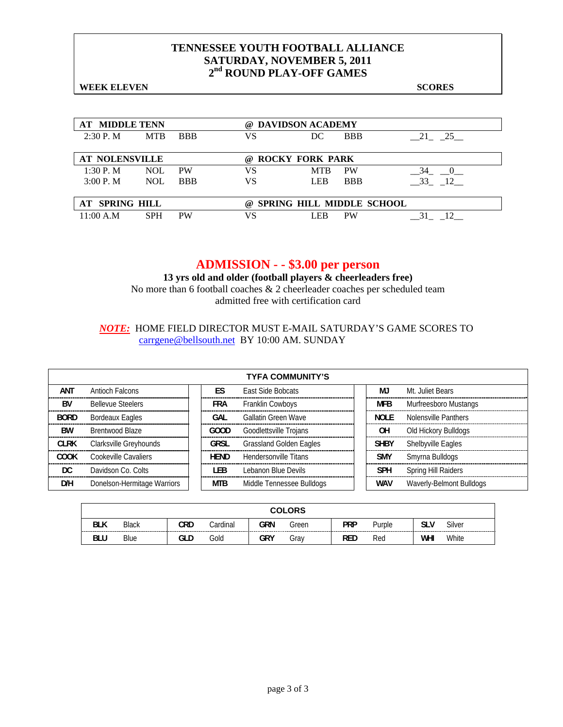**WEEK ELEVEN** SCORES

| <b>AT MIDDLE TENN</b> |            |            | (a) | <b>DAVIDSON ACADEMY</b>          |            |          |  |  |
|-----------------------|------------|------------|-----|----------------------------------|------------|----------|--|--|
| 2:30P. M              | <b>MTB</b> | <b>BBB</b> | VS  | DC                               | <b>BBB</b> | 21 25    |  |  |
|                       |            |            |     |                                  |            |          |  |  |
| <b>AT NOLENSVILLE</b> |            |            | (a) | <b>ROCKY FORK PARK</b>           |            |          |  |  |
| 1:30 P. M             | <b>NOL</b> | <b>PW</b>  | VS  | <b>MTR</b>                       | <b>PW</b>  | 34       |  |  |
| 3:00 P. M             | <b>NOL</b> | <b>BBB</b> | VS  | <b>LEB</b>                       | <b>BBB</b> | 12<br>33 |  |  |
|                       |            |            |     |                                  |            |          |  |  |
| <b>AT SPRING HILL</b> |            |            | (a) | <b>SPRING HILL MIDDLE SCHOOL</b> |            |          |  |  |
| 11:00 A.M             | <b>SPH</b> | <b>PW</b>  | VS  | LEB                              | <b>PW</b>  |          |  |  |

## **ADMISSION - - \$3.00 per person**

**13 yrs old and older (football players & cheerleaders free)**  No more than 6 football coaches & 2 cheerleader coaches per scheduled team admitted free with certification card

### *NOTE:* HOME FIELD DIRECTOR MUST E-MAIL SATURDAY'S GAME SCORES TO carrgene@bellsouth.net BY 10:00 AM. SUNDAY

|             | <b>TYFA COMMUNITY'S</b>     |  |             |                                |  |             |                            |  |  |  |  |  |
|-------------|-----------------------------|--|-------------|--------------------------------|--|-------------|----------------------------|--|--|--|--|--|
| ANT         | Antioch Falcons             |  | FS          | East Side Bobcats              |  | MJ          | Mt. Juliet Bears           |  |  |  |  |  |
| <b>BV</b>   | <b>Bellevue Steelers</b>    |  | <b>FRA</b>  | <b>Franklin Cowboys</b>        |  | <b>MFB</b>  | Murfreesboro Mustangs      |  |  |  |  |  |
| <b>BORD</b> | <b>Bordeaux Eagles</b>      |  | GAL         | Gallatin Green Wave            |  | <b>NOLE</b> | Nolensville Panthers       |  |  |  |  |  |
| <b>BW</b>   | Brentwood Blaze             |  | GOOD        | Goodlettsville Trojans         |  | <b>OH</b>   | Old Hickory Bulldogs       |  |  |  |  |  |
| <b>CLRK</b> | Clarksville Greyhounds      |  | GRSL        | <b>Grassland Golden Eagles</b> |  | <b>SHBY</b> | Shelbyville Eagles         |  |  |  |  |  |
| <b>COOK</b> | Cookeville Cavaliers        |  | <b>HEND</b> | Hendersonville Titans          |  | <b>SMY</b>  | Smyrna Bulldogs            |  |  |  |  |  |
| DC          | Davidson Co. Colts          |  | LEB         | Lebanon Blue Devils            |  | <b>SPH</b>  | <b>Spring Hill Raiders</b> |  |  |  |  |  |
| D/H         | Donelson-Hermitage Warriors |  | <b>MTB</b>  | Middle Tennessee Bulldogs      |  | <b>WAV</b>  | Waverly-Belmont Bulldogs   |  |  |  |  |  |

|            | <b>COLORS</b> |     |          |     |       |            |        |     |        |  |
|------------|---------------|-----|----------|-----|-------|------------|--------|-----|--------|--|
| <b>BLK</b> | <b>Black</b>  | CRD | Cardinal | GRN | Green | <b>PRP</b> | Purple | slv | Silver |  |
| <b>BLU</b> | Blue          | GLD | Gold     | GRY | Gray  | <b>RED</b> | Red    | WHI | White  |  |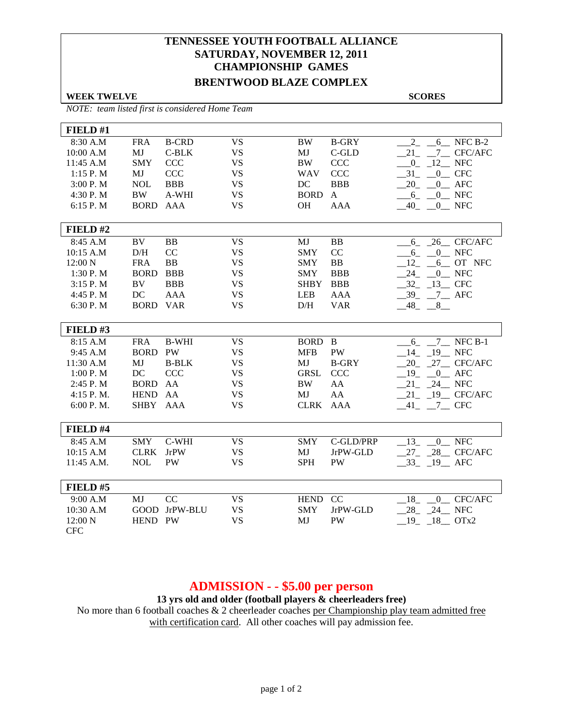# **TENNESSEE YOUTH FOOTBALL ALLIANCE SATURDAY, NOVEMBER 12, 2011 CHAMPIONSHIP GAMES**

## **BRENTWOOD BLAZE COMPLEX**

**WEEK TWELVE SCORES** 

*NOTE: team listed first is considered Home Team*

| FIELD#1    |                |              |                        |             |              |                             |
|------------|----------------|--------------|------------------------|-------------|--------------|-----------------------------|
| 8:30 A.M   | <b>FRA</b>     | <b>B-CRD</b> | $\overline{\text{VS}}$ | <b>BW</b>   | <b>B-GRY</b> | $\overline{2}$<br>6 NFC B-2 |
| 10:00 A.M  | MJ             | $C-BLK$      | <b>VS</b>              | MJ          | $C$ -GLD     | 21<br>7 CFC/AFC             |
| 11:45 A.M  | <b>SMY</b>     | <b>CCC</b>   | <b>VS</b>              | <b>BW</b>   | <b>CCC</b>   | 12 NFC<br>$\overline{0}$    |
| 1:15 P.M   | MJ             | <b>CCC</b>   | <b>VS</b>              | <b>WAV</b>  | <b>CCC</b>   | $-0$ CFC<br>31              |
| 3:00 P. M  | <b>NOL</b>     | <b>BBB</b>   | <b>VS</b>              | DC          | <b>BBB</b>   | $-20$ $-0$ AFC              |
| 4:30 P.M   | <b>BW</b>      | A-WHI        | <b>VS</b>              | <b>BORD</b> | $\mathbf{A}$ | $6 - 0$ NFC                 |
| 6:15 P.M   | <b>BORD</b>    | AAA          | <b>VS</b>              | <b>OH</b>   | <b>AAA</b>   | $40 - 0$ NFC                |
|            |                |              |                        |             |              |                             |
| FIELD#2    |                |              |                        |             |              |                             |
| $8:45$ A.M | BV             | <b>BB</b>    | <b>VS</b>              | MJ          | <b>BB</b>    | 6 26 CFC/AFC                |
| 10:15 A.M  | D/H            | CC           | <b>VS</b>              | <b>SMY</b>  | CC           | 0 NFC<br>6                  |
| 12:00 N    | <b>FRA</b>     | <b>BB</b>    | <b>VS</b>              | <b>SMY</b>  | <b>BB</b>    | 12<br>6 OT NFC              |
| 1:30 P.M   | <b>BORD</b>    | <b>BBB</b>   | <b>VS</b>              | <b>SMY</b>  | <b>BBB</b>   | $24 - 0$ NFC                |
| 3:15 P. M  | BV             | <b>BBB</b>   | <b>VS</b>              | <b>SHBY</b> | <b>BBB</b>   | $-32 - 13$ CFC              |
| 4:45 P.M   | DC             | <b>AAA</b>   | <b>VS</b>              | <b>LEB</b>  | <b>AAA</b>   | $-39 - 7 -$ AFC             |
| 6:30 P.M   | <b>BORD</b>    | <b>VAR</b>   | <b>VS</b>              | D/H         | <b>VAR</b>   | $-48$ <sub>-</sub> $-8$     |
|            |                |              |                        |             |              |                             |
| FIELD#3    |                |              |                        |             |              |                             |
| 8:15 A.M   | <b>FRA</b>     | <b>B-WHI</b> | <b>VS</b>              | BORD B      |              | 7 NFC B-1<br>6              |
| 9:45 A.M   | <b>BORD PW</b> |              | <b>VS</b>              | <b>MFB</b>  | PW           | 19 NFC<br>14                |
| 11:30 A.M  | MJ             | <b>B-BLK</b> | <b>VS</b>              | MJ          | <b>B-GRY</b> | 20 27 CFC/AFC               |
| 1:00P. M   | DC             | <b>CCC</b>   | <b>VS</b>              | GRSL        | <b>CCC</b>   | $19 \t 0$ AFC               |
| 2:45 P.M   | <b>BORD</b>    | AA           | <b>VS</b>              | <b>BW</b>   | AA           | $21 - 24$ NFC               |
| 4:15 P.M.  | <b>HEND</b>    | AA           | <b>VS</b>              | MJ          | AA           | $21 - 19$ CFC/AFC           |
| 6:00 P.M.  | SHBY AAA       |              | <b>VS</b>              | <b>CLRK</b> | <b>AAA</b>   | $-41$ $-7$ CFC              |
|            |                |              |                        |             |              |                             |
| FIELD #4   |                |              |                        |             |              |                             |
| 8:45 A.M   | <b>SMY</b>     | C-WHI        | <b>VS</b>              | <b>SMY</b>  | C-GLD/PRP    | 13 0 NFC                    |
| 10:15 A.M  | <b>CLRK</b>    | <b>JrPW</b>  | <b>VS</b>              | MJ          | JrPW-GLD     | 27 28 CFC/AFC               |
| 11:45 A.M. | <b>NOL</b>     | PW           | <b>VS</b>              | <b>SPH</b>  | <b>PW</b>    | $-33$ $-19$ AFC             |
|            |                |              |                        |             |              |                             |
| FIELD#5    |                |              |                        |             |              |                             |
| 9:00 A.M   | MJ             | CC           | <b>VS</b>              | <b>HEND</b> | CC           | 18<br>0 CFC/AFC             |
| 10:30 A.M  | <b>GOOD</b>    | JrPW-BLU     | <b>VS</b>              | <b>SMY</b>  | JrPW-GLD     | $28 - 24$ NFC               |
| 12:00 N    | <b>HEND</b>    | <b>PW</b>    | <b>VS</b>              | MJ          | <b>PW</b>    | $19 - 18$ OTx2              |
| <b>CFC</b> |                |              |                        |             |              |                             |

## **ADMISSION - - \$5.00 per person**

**13 yrs old and older (football players & cheerleaders free)**

No more than 6 football coaches & 2 cheerleader coaches per Championship play team admitted free with certification card. All other coaches will pay admission fee.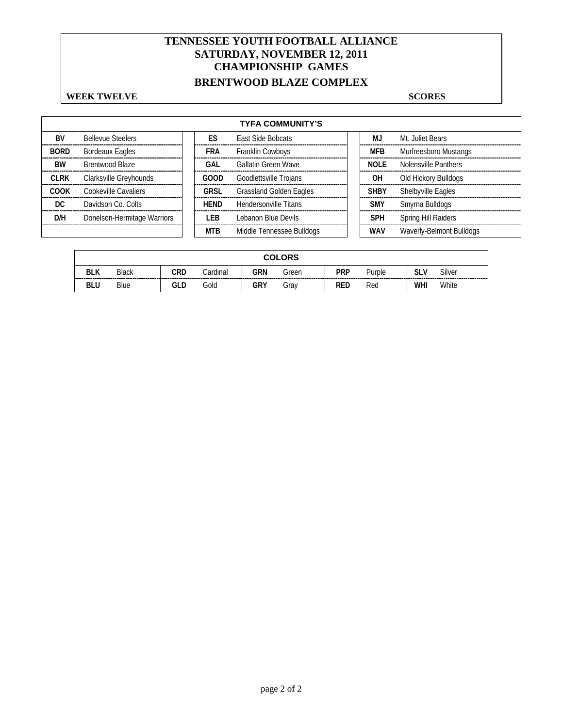# **TENNESSEE YOUTH FOOTBALL ALLIANCE SATURDAY, NOVEMBER 12, 2011 CHAMPIONSHIP GAMES**

# **BRENTWOOD BLAZE COMPLEX**

### **WEEK TWELVE** SCORES

|             | <b>TYFA COMMUNITY'S</b>     |  |             |                                |  |             |                          |  |  |  |  |
|-------------|-----------------------------|--|-------------|--------------------------------|--|-------------|--------------------------|--|--|--|--|
| <b>BV</b>   | <b>Bellevue Steelers</b>    |  | ES          | East Side Bobcats              |  | MJ          | Mt. Juliet Bears         |  |  |  |  |
| <b>BORD</b> | <b>Bordeaux Eagles</b>      |  | FRA         | Franklin Cowboys               |  | <b>MFB</b>  | Murfreesboro Mustangs    |  |  |  |  |
| BW          | Brentwood Blaze             |  | GAL         | <b>Gallatin Green Wave</b>     |  | <b>NOLE</b> | Nolensville Panthers     |  |  |  |  |
| <b>CLRK</b> | Clarksville Greyhounds      |  | GOOD        | Goodlettsville Trojans         |  | OΗ          | Old Hickory Bulldogs     |  |  |  |  |
| <b>COOK</b> | Cookeville Cavaliers        |  | <b>GRSL</b> | <b>Grassland Golden Eagles</b> |  | <b>SHBY</b> | Shelbyville Eagles       |  |  |  |  |
| DC          | Davidson Co. Colts          |  | <b>HEND</b> | Hendersonville Titans          |  | <b>SMY</b>  | Smyrna Bulldogs          |  |  |  |  |
| D/H         | Donelson-Hermitage Warriors |  | I FB        | Lebanon Blue Devils            |  | <b>SPH</b>  | Spring Hill Raiders      |  |  |  |  |
|             |                             |  | <b>MTB</b>  | Middle Tennessee Bulldogs      |  | <b>WAV</b>  | Waverly-Belmont Bulldogs |  |  |  |  |

| <b>COLORS</b> |              |     |          |     |       |            |        |          |                          |
|---------------|--------------|-----|----------|-----|-------|------------|--------|----------|--------------------------|
| <b>BLK</b>    | <b>Black</b> | CRD | Cardinal | GRN | Green | PRP        | Purple | slv<br>. | Silver<br>-------------- |
| <b>BLU</b>    | Blue         | GLD | Gold     | GRY | Grav  | <b>RED</b> | Red    | WHI      | White                    |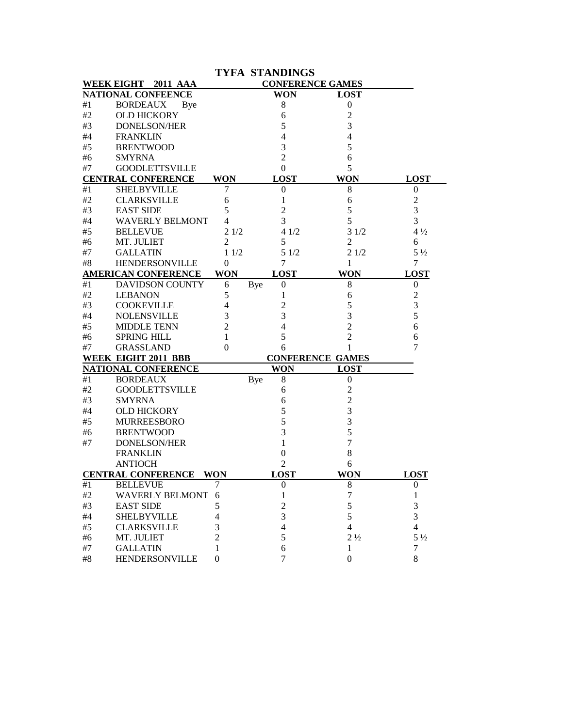|       |                               |                |     | <b>TYFA STANDINGS</b> |                         |                          |
|-------|-------------------------------|----------------|-----|-----------------------|-------------------------|--------------------------|
|       | 2011 AAA<br><b>WEEK EIGHT</b> |                |     |                       | <b>CONFERENCE GAMES</b> |                          |
|       | NATIONAL CONFEENCE            |                |     | WON                   | <b>LOST</b>             |                          |
| #1    | <b>BORDEAUX</b><br>Bye        |                |     | 8                     | $\boldsymbol{0}$        |                          |
| #2    | <b>OLD HICKORY</b>            |                |     | 6                     | 2                       |                          |
| #3    | <b>DONELSON/HER</b>           |                |     | 5                     | 3                       |                          |
| #4    | <b>FRANKLIN</b>               |                |     | 4                     | 4                       |                          |
| #5    | <b>BRENTWOOD</b>              |                |     | 3                     | 5                       |                          |
| #6    | <b>SMYRNA</b>                 |                |     | $\overline{2}$        | 6                       |                          |
| #7    | <b>GOODLETTSVILLE</b>         |                |     | $\theta$              | 5                       |                          |
|       | <b>CENTRAL CONFERENCE</b>     | <b>WON</b>     |     | <b>LOST</b>           | <b>WON</b>              | <b>LOST</b>              |
| #1    | <b>SHELBYVILLE</b>            | 7              |     | 0                     | 8                       | $\boldsymbol{0}$         |
| #2    | <b>CLARKSVILLE</b>            | 6              |     | 1                     | 6                       | $\overline{c}$           |
| #3    | <b>EAST SIDE</b>              | 5              |     | 2                     | 5                       | 3                        |
| #4    | <b>WAVERLY BELMONT</b>        | 4              |     | 3                     | 5                       | 3                        |
| #5    | <b>BELLEVUE</b>               | 21/2           |     | 41/2                  | 31/2                    | $4\frac{1}{2}$           |
| #6    | MT. JULIET                    | 2              |     | 5                     | 2                       | 6                        |
| #7    | <b>GALLATIN</b>               | 11/2           |     | 51/2                  | 21/2                    | $5\frac{1}{2}$           |
| #8    | <b>HENDERSONVILLE</b>         | 0              |     | 7                     | 1                       | 7                        |
|       | <b>AMERICAN CONFERENCE</b>    | <b>WON</b>     |     | <b>LOST</b>           | <b>WON</b>              | <b>LOST</b>              |
| $\#1$ | <b>DAVIDSON COUNTY</b>        | 6              | Bye | $\boldsymbol{0}$      | 8                       | $\boldsymbol{0}$         |
| #2    | <b>LEBANON</b>                | 5              |     | 1                     | 6                       | $\boldsymbol{2}$         |
| #3    | <b>COOKEVILLE</b>             | 4              |     | 2                     | 5                       | 3                        |
| #4    | <b>NOLENSVILLE</b>            | 3              |     | 3                     | 3                       | 5                        |
| #5    | <b>MIDDLE TENN</b>            | $\overline{c}$ |     | 4                     | $\overline{2}$          | 6                        |
| #6    | <b>SPRING HILL</b>            | 1              |     | 5                     | 2                       | 6                        |
| #7    | <b>GRASSLAND</b>              | 0              |     | 6                     |                         | 7                        |
|       | WEEK EIGHT 2011 BBB           |                |     |                       | <b>CONFERENCE GAMES</b> |                          |
|       | NATIONAL CONFERENCE           |                |     | <b>WON</b>            | <b>LOST</b>             |                          |
| #1    | <b>BORDEAUX</b>               |                | Bye | 8                     | $\boldsymbol{0}$        |                          |
| #2    | <b>GOODLETTSVILLE</b>         |                |     | 6                     | $\overline{c}$          |                          |
| #3    | <b>SMYRNA</b>                 |                |     | 6                     | $\overline{c}$          |                          |
| #4    | <b>OLD HICKORY</b>            |                |     | 5                     | 3                       |                          |
| #5    | <b>MURREESBORO</b>            |                |     | 5                     | 3                       |                          |
| #6    | <b>BRENTWOOD</b>              |                |     | 3                     | 5                       |                          |
| #7    | <b>DONELSON/HER</b>           |                |     | 1                     | 7                       |                          |
|       | <b>FRANKLIN</b>               |                |     | 0                     | 8                       |                          |
|       | <b>ANTIOCH</b>                |                |     | $\overline{c}$        | 6                       |                          |
|       | <b>CENTRAL CONFERENCE</b>     | <b>WON</b>     |     | <b>LOST</b>           | <b>WON</b>              | <b>LOST</b>              |
| #1    | <b>BELLEVUE</b>               | 7              |     | $\boldsymbol{0}$      | $8\,$                   | $\boldsymbol{0}$         |
| $\#2$ | <b>WAVERLY BELMONT</b>        | 6              |     | 1                     | 7                       | 1                        |
| $\#3$ | <b>EAST SIDE</b>              | 5              |     | 2                     | 5                       | 3                        |
| $#4$  | <b>SHELBYVILLE</b>            | 4              |     | 3                     | 5                       | 3                        |
| #5    | <b>CLARKSVILLE</b>            | 3              |     | 4                     | 4                       | $\overline{\mathcal{L}}$ |
| #6    | MT. JULIET                    | 2              |     | 5                     | $2\frac{1}{2}$          | $5\frac{1}{2}$           |
| #7    | <b>GALLATIN</b>               | 1              |     | 6                     | 1                       | 7                        |
| $\#8$ | <b>HENDERSONVILLE</b>         | $\overline{0}$ |     | 7                     | $\boldsymbol{0}$        | $8\,$                    |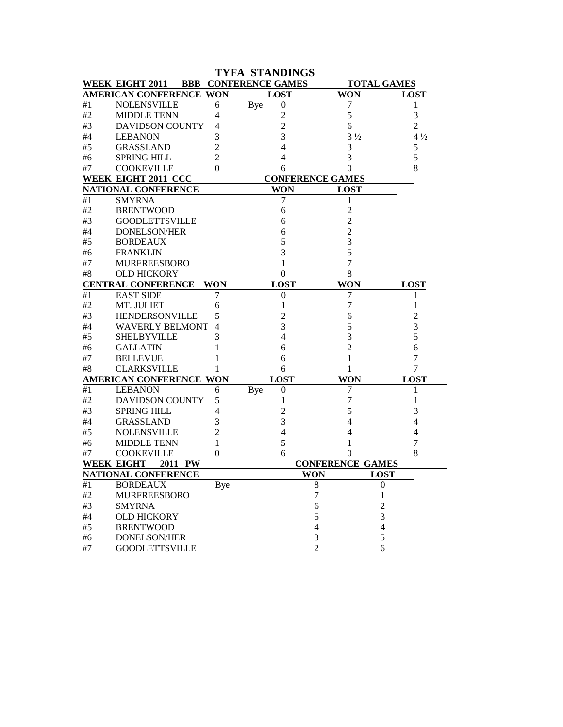| <b>TYFA STANDINGS</b>                                                       |                                |            |                                |                         |                  |  |  |  |  |  |
|-----------------------------------------------------------------------------|--------------------------------|------------|--------------------------------|-------------------------|------------------|--|--|--|--|--|
| <b>BBB CONFERENCE GAMES</b><br><b>WEEK EIGHT 2011</b><br><b>TOTAL GAMES</b> |                                |            |                                |                         |                  |  |  |  |  |  |
|                                                                             | <b>AMERICAN CONFERENCE WON</b> |            | <b>LOST</b>                    | <b>WON</b>              | <b>LOST</b>      |  |  |  |  |  |
| #1                                                                          | NOLENSVILLE                    | 6          | <b>Bye</b><br>$\boldsymbol{0}$ | 7                       | 1                |  |  |  |  |  |
| #2                                                                          | <b>MIDDLE TENN</b>             | 4          | 2                              | 5                       | 3                |  |  |  |  |  |
| #3                                                                          | <b>DAVIDSON COUNTY</b>         | 4          | 2                              | 6                       | $\overline{c}$   |  |  |  |  |  |
| #4                                                                          | <b>LEBANON</b>                 | 3          | 3                              | $3\frac{1}{2}$          | $4\frac{1}{2}$   |  |  |  |  |  |
| #5                                                                          | <b>GRASSLAND</b>               | 2          | 4                              | 3                       | 5                |  |  |  |  |  |
| #6                                                                          | <b>SPRING HILL</b>             | 2          | 4                              | 3                       | 5                |  |  |  |  |  |
| #7                                                                          | <b>COOKEVILLE</b>              | 0          | 6                              | $\overline{0}$          | 8                |  |  |  |  |  |
| WEEK EIGHT 2011 CCC<br><b>CONFERENCE GAMES</b>                              |                                |            |                                |                         |                  |  |  |  |  |  |
|                                                                             | NATIONAL CONFERENCE            |            | <b>WON</b>                     | <b>LOST</b>             |                  |  |  |  |  |  |
| #1                                                                          | <b>SMYRNA</b>                  |            | 7                              | 1                       |                  |  |  |  |  |  |
| #2                                                                          | <b>BRENTWOOD</b>               |            | 6                              | $\overline{c}$          |                  |  |  |  |  |  |
| #3                                                                          | <b>GOODLETTSVILLE</b>          |            | 6                              | 2                       |                  |  |  |  |  |  |
| #4                                                                          | <b>DONELSON/HER</b>            |            | 6                              | $\overline{c}$          |                  |  |  |  |  |  |
| #5                                                                          | <b>BORDEAUX</b>                |            | 5                              | 3                       |                  |  |  |  |  |  |
| #6                                                                          | <b>FRANKLIN</b>                |            | 3                              | 5                       |                  |  |  |  |  |  |
| #7                                                                          | <b>MURFREESBORO</b>            |            | 1                              | 7                       |                  |  |  |  |  |  |
| #8                                                                          | <b>OLD HICKORY</b>             |            | 0                              | 8                       |                  |  |  |  |  |  |
|                                                                             | <b>CENTRAL CONFERENCE</b>      | WON        | <b>LOST</b>                    | WON                     | <b>LOST</b>      |  |  |  |  |  |
| #1                                                                          | <b>EAST SIDE</b>               | 7          | $\boldsymbol{0}$               | 7                       | 1                |  |  |  |  |  |
| #2                                                                          | MT. JULIET                     | 6          | 1                              | 7                       | 1                |  |  |  |  |  |
| #3                                                                          | HENDERSONVILLE                 | 5          | 2                              | 6                       | 2                |  |  |  |  |  |
| #4                                                                          | <b>WAVERLY BELMONT</b>         | 4          | 3                              | 5                       | 3                |  |  |  |  |  |
| #5                                                                          | <b>SHELBYVILLE</b>             | 3          | 4                              | 3                       | 5                |  |  |  |  |  |
| #6                                                                          | <b>GALLATIN</b>                | 1          | 6                              | 2                       | 6                |  |  |  |  |  |
| #7                                                                          | <b>BELLEVUE</b>                | ı          | 6                              | 1                       | 7                |  |  |  |  |  |
| #8                                                                          | <b>CLARKSVILLE</b>             | 1          | 6                              | 1                       | 7                |  |  |  |  |  |
|                                                                             | <b>AMERICAN CONFERENCE WON</b> |            | <b>LOST</b>                    | WON                     | <b>LOST</b>      |  |  |  |  |  |
| #1                                                                          | <b>LEBANON</b>                 | 6          | Bye<br>$\boldsymbol{0}$        | 7                       | 1                |  |  |  |  |  |
| #2                                                                          | <b>DAVIDSON COUNTY</b>         | 5          | 1                              | 7                       | 1                |  |  |  |  |  |
| #3                                                                          | <b>SPRING HILL</b>             | 4          | 2                              | 5                       | 3                |  |  |  |  |  |
| #4                                                                          | <b>GRASSLAND</b>               | 3          | 3                              | 4                       | 4                |  |  |  |  |  |
| #5                                                                          | <b>NOLENSVILLE</b>             | 2          | 4                              | 4                       | 4                |  |  |  |  |  |
| #6                                                                          | <b>MIDDLE TENN</b>             | 1          | 5                              |                         | 7                |  |  |  |  |  |
| #7                                                                          | <b>COOKEVILLE</b>              | 0          | 6                              | 0                       | 8                |  |  |  |  |  |
|                                                                             | <b>WEEK EIGHT</b><br>2011 PW   |            |                                | <b>CONFERENCE GAMES</b> |                  |  |  |  |  |  |
|                                                                             | <b>NATIONAL CONFERENCE</b>     |            | WON                            |                         | <b>LOST</b>      |  |  |  |  |  |
| #1                                                                          | <b>BORDEAUX</b>                | <b>Bye</b> | $\,$ 8 $\,$                    |                         | $\boldsymbol{0}$ |  |  |  |  |  |
| #2                                                                          | <b>MURFREESBORO</b>            |            | 7                              |                         | 1                |  |  |  |  |  |
| #3                                                                          | <b>SMYRNA</b>                  |            | 6                              |                         | $\overline{c}$   |  |  |  |  |  |
| #4                                                                          | <b>OLD HICKORY</b>             |            | 5                              |                         | 3                |  |  |  |  |  |
| #5                                                                          | <b>BRENTWOOD</b>               |            | $\overline{\mathcal{L}}$       |                         | $\overline{4}$   |  |  |  |  |  |
| #6                                                                          | DONELSON/HER                   |            | 3                              |                         | 5                |  |  |  |  |  |
| $\#7$                                                                       | <b>GOODLETTSVILLE</b>          |            | $\overline{2}$                 |                         | 6                |  |  |  |  |  |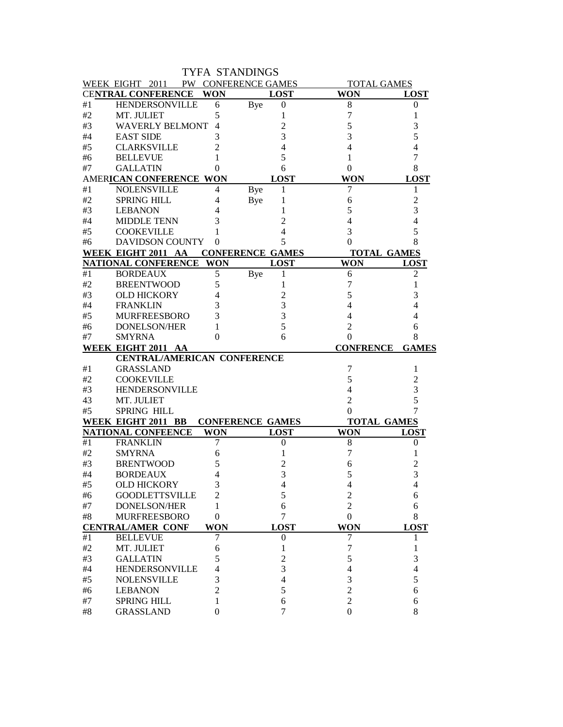|             |                                                          |               | <b>TYFA STANDINGS</b>   |                                    |                  |
|-------------|----------------------------------------------------------|---------------|-------------------------|------------------------------------|------------------|
|             | WEEK EIGHT 2011                                          |               | PW CONFERENCE GAMES     | <b>TOTAL GAMES</b>                 |                  |
|             | <b>CENTRAL CONFERENCE</b>                                | <b>WON</b>    | <b>LOST</b>             | <b>WON</b>                         | <b>LOST</b>      |
| #1          | <b>HENDERSONVILLE</b>                                    | 6             | Bye<br>$\boldsymbol{0}$ | 8                                  | 0                |
| #2          | MT. JULIET                                               | 5             | 1                       | 7                                  | 1                |
| #3          | <b>WAVERLY BELMONT</b>                                   | 4             | 2                       | 5                                  | 3                |
| #4          | <b>EAST SIDE</b>                                         | 3             | 3                       | 3                                  | 5                |
| #5          | <b>CLARKSVILLE</b>                                       | 2             | 4                       | 4                                  | 4                |
| #6          | <b>BELLEVUE</b>                                          | 1             | 5                       | 1                                  | 7                |
| #7          | <b>GALLATIN</b>                                          | 0             | 6                       | 0                                  | 8                |
|             | AMERICAN CONFERENCE WON                                  |               | <b>LOST</b>             | <b>WON</b>                         | <b>LOST</b>      |
| #1          | <b>NOLENSVILLE</b>                                       | 4             | <b>Bye</b><br>1         | 7                                  | 1                |
| #2          | <b>SPRING HILL</b>                                       | 4             | <b>Bye</b><br>1         | 6                                  | 2                |
| #3          | <b>LEBANON</b>                                           | 4             | 1                       | 5                                  | 3                |
| #4          | <b>MIDDLE TENN</b>                                       | 3             | $\overline{c}$          | 4                                  | 4                |
| #5          | <b>COOKEVILLE</b>                                        |               | 4                       | 3                                  | 5                |
| #6          | <b>DAVIDSON COUNTY</b>                                   | 0             | 5                       | 0                                  | 8                |
|             | WEEK EIGHT 2011 AA                                       |               | <b>CONFERENCE GAMES</b> | <b>TOTAL GAMES</b>                 |                  |
|             | NATIONAL CONFERENCE                                      | <b>WON</b>    | <b>LOST</b>             | <b>WON</b>                         | <b>LOST</b>      |
| #1          | <b>BORDEAUX</b>                                          | 5             | Bye<br>1                | 6                                  | 2                |
| #2          | <b>BREENTWOOD</b>                                        | 5             | 1                       | 7                                  | 1                |
| #3          | <b>OLD HICKORY</b>                                       | 4             | 2                       | 5                                  | 3                |
| #4          | <b>FRANKLIN</b>                                          | 3             | 3                       | 4                                  |                  |
| #5          | <b>MURFREESBORO</b>                                      | 3             | 3                       |                                    | 4                |
| #6          | <b>DONELSON/HER</b>                                      | 1             | 5                       | 2                                  | 6                |
| #7          | <b>SMYRNA</b>                                            | 0             | 6                       | 0                                  | 8                |
|             |                                                          |               |                         |                                    |                  |
|             |                                                          |               |                         |                                    |                  |
|             | WEEK EIGHT 2011 AA<br><b>CENTRAL/AMERICAN CONFERENCE</b> |               |                         | <b>CONFRENCE</b>                   | <b>GAMES</b>     |
| #1          | <b>GRASSLAND</b>                                         |               |                         | 7                                  | 1                |
| #2          | <b>COOKEVILLE</b>                                        |               |                         | 5                                  | 2                |
| #3          | <b>HENDERSONVILLE</b>                                    |               |                         | 4                                  | 3                |
| 43          | MT. JULIET                                               |               |                         | $\overline{2}$                     | 5                |
| #5          | <b>SPRING HILL</b>                                       |               |                         | 0                                  | 7                |
|             | WEEK EIGHT 2011 BB                                       |               | <b>CONFERENCE GAMES</b> | <b>TOTAL GAMES</b>                 |                  |
|             | <b>NATIONAL CONFEENCE</b>                                | <b>WON</b>    | <b>LOST</b>             | <b>WON</b>                         | <b>LOST</b>      |
| #1          | <b>FRANKLIN</b>                                          | 7             | $\boldsymbol{0}$        | 8                                  | $\boldsymbol{0}$ |
| #2          | <b>SMYRNA</b>                                            | 6             |                         | 7                                  |                  |
| #3          | <b>BRENTWOOD</b>                                         | 5             | 2                       | 6                                  | 2                |
| $\#4$       | <b>BORDEAUX</b>                                          | 4             | 3                       | 5                                  | 3                |
| #5          | <b>OLD HICKORY</b>                                       | 3             | 4                       | 4                                  | 4                |
| #6          | <b>GOODLETTSVILLE</b>                                    | 2             | 5                       | $\overline{c}$                     | 6                |
| #7          | DONELSON/HER                                             | 1             | 6                       | 2                                  | 6                |
| $\#8$       | <b>MURFREESBORO</b>                                      | $\theta$      | 7                       | $\boldsymbol{0}$                   | 8                |
|             | <b>CENTRAL/AMER CONF</b>                                 | <b>WON</b>    | <b>LOST</b>             | <b>WON</b>                         | <b>LOST</b>      |
| #1          | <b>BELLEVUE</b>                                          | 7             | 0                       | 7                                  |                  |
| $\#2$       | MT. JULIET                                               | 6             | 1                       | 7                                  |                  |
| $\#3$       | <b>GALLATIN</b>                                          | 5             | $\overline{c}$          | 5                                  | 3                |
| $\#4$       | <b>HENDERSONVILLE</b>                                    | 4             | 3                       | 4                                  | 4                |
| $\#5$       | <b>NOLENSVILLE</b>                                       | 3             | 4                       | 3                                  | 5                |
| #6          | <b>LEBANON</b>                                           | 2             | 5                       | $\overline{2}$                     | 6                |
| #7<br>$\#8$ | <b>SPRING HILL</b><br><b>GRASSLAND</b>                   | 1<br>$\theta$ | 6<br>7                  | $\overline{2}$<br>$\boldsymbol{0}$ | 6<br>8           |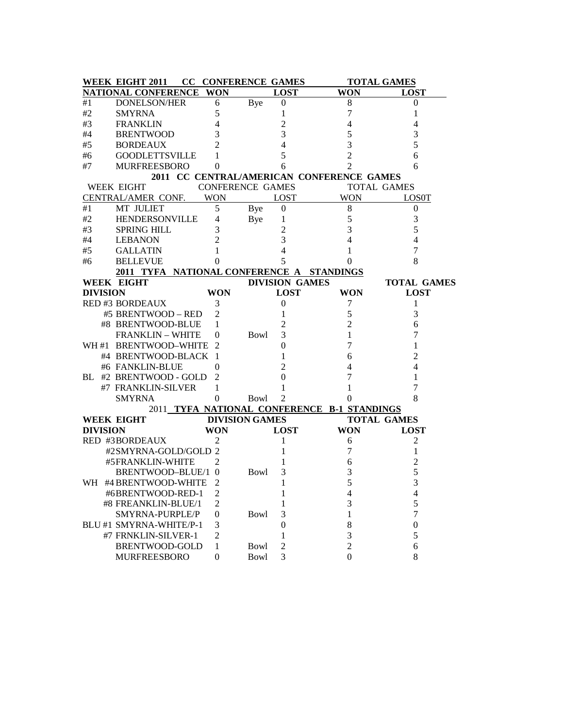|     | <b>WEEK EIGHT 2011</b>                    |                  | <b>CC CONFERENCE GAMES</b> |                       | <b>TOTAL GAMES</b>                          |                    |  |  |
|-----|-------------------------------------------|------------------|----------------------------|-----------------------|---------------------------------------------|--------------------|--|--|
|     | NATIONAL CONFERENCE WON                   |                  |                            | <b>LOST</b>           | <b>WON</b>                                  | <b>LOST</b>        |  |  |
| #1  | <b>DONELSON/HER</b>                       | 6                | Bye                        | $\boldsymbol{0}$      | 8                                           | 0                  |  |  |
| #2  | <b>SMYRNA</b>                             | 5                |                            | 1                     | 7                                           | 1                  |  |  |
| #3  | <b>FRANKLIN</b>                           | 4                |                            | 2                     | 4                                           | 4                  |  |  |
| #4  | <b>BRENTWOOD</b>                          | 3                |                            | 3                     | 5                                           | 3                  |  |  |
| #5  | <b>BORDEAUX</b>                           | $\overline{2}$   |                            | 4                     | 3                                           | 5                  |  |  |
| #6  | <b>GOODLETTSVILLE</b>                     | 1                |                            | 5                     | $\overline{2}$                              | 6                  |  |  |
| #7  | <b>MURFREESBORO</b>                       | $\overline{0}$   |                            | 6                     | $\overline{2}$                              | 6                  |  |  |
|     |                                           |                  |                            |                       | 2011 CC CENTRAL/AMERICAN CONFERENCE GAMES   |                    |  |  |
|     | <b>WEEK EIGHT</b>                         |                  | <b>CONFERENCE GAMES</b>    |                       |                                             | <b>TOTAL GAMES</b> |  |  |
|     | CENTRAL/AMER CONF.                        | <b>WON</b>       |                            | <b>LOST</b>           | <b>WON</b>                                  | <b>LOSOT</b>       |  |  |
| #1  | <b>MT JULIET</b>                          | 5                | Bye                        | $\boldsymbol{0}$      | 8                                           | $\overline{0}$     |  |  |
| #2  | HENDERSONVILLE                            | 4                | Bye                        | 1                     | 5                                           | 3                  |  |  |
| #3  | <b>SPRING HILL</b>                        | 3                |                            | 2                     | 3                                           | 5                  |  |  |
| #4  | <b>LEBANON</b>                            | $\overline{2}$   |                            | 3                     | 4                                           | 4                  |  |  |
| #5  | <b>GALLATIN</b>                           | 1                |                            | 4                     | 1                                           | 7                  |  |  |
| #6  | <b>BELLEVUE</b>                           | 0                |                            | 5                     | 0                                           | 8                  |  |  |
|     | 2011 TYFA NATIONAL CONFERENCE A STANDINGS |                  |                            |                       |                                             |                    |  |  |
|     | WEEK EIGHT                                |                  |                            | <b>DIVISION GAMES</b> |                                             | <b>TOTAL GAMES</b> |  |  |
|     | <b>DIVISION</b>                           | WON              |                            | <b>LOST</b>           | <b>WON</b>                                  | <b>LOST</b>        |  |  |
|     | <b>RED #3 BORDEAUX</b>                    | 3                |                            | $\boldsymbol{0}$      | 7                                           | 1                  |  |  |
|     | #5 BRENTWOOD - RED                        | $\overline{2}$   |                            | 1                     | 5                                           | 3                  |  |  |
|     | #8 BRENTWOOD-BLUE                         | 1                |                            | 2                     | $\overline{2}$                              | 6                  |  |  |
|     | <b>FRANKLIN - WHITE</b>                   | $\theta$         | Bowl                       | 3                     | 1                                           | 7                  |  |  |
|     | WH#1 BRENTWOOD-WHITE                      | 2                |                            | 0                     | 7                                           | 1                  |  |  |
|     | #4 BRENTWOOD-BLACK                        | 1                |                            | 1                     | 6                                           | 2                  |  |  |
|     | #6 FANKLIN-BLUE                           | 0                |                            | 2                     | 4                                           | 4                  |  |  |
| BL. | #2 BRENTWOOD - GOLD                       | 2                |                            | 0                     | 7                                           | 1                  |  |  |
|     | #7 FRANKLIN-SILVER                        | 1                |                            |                       | 1                                           | 7                  |  |  |
|     | <b>SMYRNA</b>                             | 0                | <b>Bowl</b>                | $\overline{2}$        | 0                                           | 8                  |  |  |
|     |                                           |                  |                            |                       | 2011 TYFA NATIONAL CONFERENCE B-1 STANDINGS |                    |  |  |
|     | <b>WEEK EIGHT</b>                         |                  | <b>DIVISION GAMES</b>      |                       |                                             | <b>TOTAL GAMES</b> |  |  |
|     | <b>DIVISION</b>                           | <b>WON</b>       |                            | <b>LOST</b>           | <b>WON</b>                                  | <b>LOST</b>        |  |  |
|     | RED #3BORDEAUX                            | 2                |                            | 1                     | 6                                           | 2                  |  |  |
|     | #2SMYRNA-GOLD/GOLD 2                      |                  |                            |                       | 7                                           | 1                  |  |  |
|     | #5FRANKLIN-WHITE                          | $\overline{2}$   |                            |                       | 6                                           | 2                  |  |  |
|     | BRENTWOOD-BLUE/1 0                        |                  | Bowl                       | 3                     | 3                                           | 5                  |  |  |
|     | WH #4 BRENTWOOD-WHITE                     | 2                |                            | 1                     | 5                                           | 3                  |  |  |
|     | #6BRENTWOOD-RED-1                         | $\overline{c}$   |                            | 1                     | $\overline{4}$                              | 4                  |  |  |
|     | #8 FREANKLIN-BLUE/1                       | $\overline{c}$   |                            | 1                     | 3                                           | 5                  |  |  |
|     | SMYRNA-PURPLE/P                           | 0                | Bowl                       | 3                     | $\mathbf{1}$                                | $\overline{7}$     |  |  |
|     | BLU #1 SMYRNA-WHITE/P-1                   | 3                |                            | $\boldsymbol{0}$      | 8                                           | $\boldsymbol{0}$   |  |  |
|     | #7 FRNKLIN-SILVER-1                       | $\overline{c}$   |                            | $\mathbf{1}$          | 3                                           | 5                  |  |  |
|     | BRENTWOOD-GOLD                            |                  |                            | $\overline{2}$        | $\overline{2}$                              |                    |  |  |
|     |                                           | 1                | Bowl                       |                       |                                             | 6                  |  |  |
|     | <b>MURFREESBORO</b>                       | $\boldsymbol{0}$ | <b>Bowl</b>                | 3                     | $\mathbf{0}$                                | 8                  |  |  |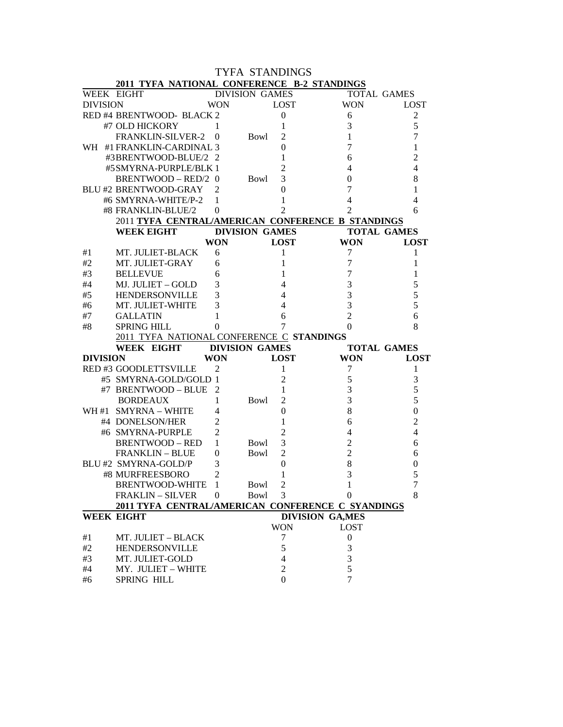| <b>TYFA STANDINGS</b> |                                                   |                |                       |                            |                         |                    |  |  |
|-----------------------|---------------------------------------------------|----------------|-----------------------|----------------------------|-------------------------|--------------------|--|--|
|                       | 2011 TYFA NATIONAL CONFERENCE B-2 STANDINGS       |                |                       |                            |                         |                    |  |  |
|                       | WEEK EIGHT                                        |                | <b>DIVISION GAMES</b> |                            |                         | <b>TOTAL GAMES</b> |  |  |
| <b>DIVISION</b>       |                                                   | WON            |                       | <b>LOST</b>                | <b>WON</b>              | <b>LOST</b>        |  |  |
|                       | RED #4 BRENTWOOD- BLACK 2                         |                |                       | $\boldsymbol{0}$           | 6                       | $\overline{c}$     |  |  |
|                       | #7 OLD HICKORY                                    | 1              |                       | 1                          | 3                       | 5                  |  |  |
|                       | FRANKLIN-SILVER-2                                 | $\overline{0}$ | Bowl                  | 2                          | $\mathbf{1}$            | 7                  |  |  |
|                       | WH #1 FRANKLIN-CARDINAL 3                         |                |                       | $\theta$                   | 7                       | 1                  |  |  |
|                       | #3BRENTWOOD-BLUE/2 2                              |                |                       | 1                          | 6                       | $\overline{c}$     |  |  |
|                       | #5SMYRNA-PURPLE/BLK 1                             |                |                       | $\overline{2}$             | 4                       | 4                  |  |  |
|                       | BRENTWOOD - RED/2 0                               |                | Bowl                  | 3                          | 0                       | 8                  |  |  |
|                       | <b>BLU#2 BRENTWOOD-GRAY</b>                       | 2              |                       | 0                          | 7                       | 1                  |  |  |
|                       | #6 SMYRNA-WHITE/P-2                               | 1              |                       | 1                          | $\overline{4}$          | 4                  |  |  |
|                       | #8 FRANKLIN-BLUE/2                                | 0              |                       | $\overline{2}$             | $\overline{2}$          | 6                  |  |  |
|                       | 2011 TYFA CENTRAL/AMERICAN CONFERENCE B STANDINGS |                |                       |                            |                         |                    |  |  |
|                       | <b>WEEK EIGHT</b>                                 |                | <b>DIVISION GAMES</b> |                            |                         | <b>TOTAL GAMES</b> |  |  |
|                       |                                                   | <b>WON</b>     |                       | <b>LOST</b>                | <b>WON</b>              | <b>LOST</b>        |  |  |
| #1                    | MT. JULIET-BLACK                                  | 6              |                       | 1                          | 7                       | 1                  |  |  |
| #2                    | MT. JULIET-GRAY                                   | 6              |                       | 1                          | $\tau$                  | 1                  |  |  |
| #3                    | <b>BELLEVUE</b>                                   | 6              |                       | 1                          | $\boldsymbol{7}$        | 1                  |  |  |
| #4                    | MJ. JULIET – GOLD                                 | 3              |                       | $\overline{4}$             | 3                       | 5                  |  |  |
| #5                    | <b>HENDERSONVILLE</b>                             | 3              |                       | $\overline{4}$             | 3                       | 5                  |  |  |
| #6                    | MT. JULIET-WHITE                                  | 3              |                       | $\overline{4}$             | 3                       | 5                  |  |  |
| #7                    | <b>GALLATIN</b>                                   | 1              |                       | 6                          | $\overline{2}$          | 6                  |  |  |
| #8                    | <b>SPRING HILL</b>                                | 0              |                       | 7                          | 0                       | 8                  |  |  |
|                       | 2011 TYFA NATIONAL CONFERENCE C STANDINGS         |                |                       |                            |                         |                    |  |  |
|                       | WEEK EIGHT                                        |                | <b>DIVISION GAMES</b> |                            |                         | <b>TOTAL GAMES</b> |  |  |
| <b>DIVISION</b>       |                                                   | <b>WON</b>     |                       | <b>LOST</b>                | <b>WON</b>              | <b>LOST</b>        |  |  |
|                       | RED #3 GOODLETTSVILLE                             | 2              |                       | 1                          | 7                       | 1                  |  |  |
|                       | #5 SMYRNA-GOLD/GOLD 1                             |                |                       | 2                          | $\mathfrak s$           | 3                  |  |  |
|                       | #7 BRENTWOOD - BLUE                               | 2              |                       | 1                          | $\mathfrak{Z}$          | 5                  |  |  |
|                       | <b>BORDEAUX</b>                                   | 1              | Bowl                  | $\overline{c}$             | 3                       | 5                  |  |  |
|                       | WH #1 SMYRNA - WHITE                              | 4              |                       | $\overline{0}$             | 8                       | $\mathbf{0}$       |  |  |
|                       | #4 DONELSON/HER                                   | $\overline{2}$ |                       | 1                          | 6                       | 2                  |  |  |
|                       | #6 SMYRNA-PURPLE                                  | $\overline{2}$ |                       | $\overline{2}$             | $\overline{4}$          | 4                  |  |  |
|                       | <b>BRENTWOOD – RED</b>                            | 1              | Bowl                  | 3                          | $\overline{2}$          | 6                  |  |  |
|                       | <b>FRANKLIN - BLUE</b>                            | 0              | Bowl                  | $\overline{2}$             | $\overline{2}$          | 6                  |  |  |
|                       | BLU #2 SMYRNA-GOLD/P                              | 3              |                       | 0                          | 8                       | 0                  |  |  |
|                       | #8 MURFREESBORO                                   | $\mathfrak{D}$ |                       |                            | 3                       | 5                  |  |  |
|                       | BRENTWOOD-WHITE                                   | - 1            | Bowl                  | $\overline{c}$             | 1                       | 7                  |  |  |
|                       | <b>FRAKLIN - SILVER</b>                           | $\Omega$       | <b>Bowl</b>           | 3                          | $\boldsymbol{0}$        | 8                  |  |  |
|                       | 2011 TYFA CENTRAL/AMERICAN CONFERENCE C SYANDINGS |                |                       |                            |                         |                    |  |  |
|                       | <b>WEEK EIGHT</b>                                 |                |                       |                            | <b>DIVISION GA, MES</b> |                    |  |  |
|                       |                                                   |                |                       | <b>WON</b>                 | <b>LOST</b>             |                    |  |  |
| #1                    | MT. JULIET - BLACK                                |                |                       | $\tau$                     | $\boldsymbol{0}$        |                    |  |  |
| #2                    | <b>HENDERSONVILLE</b>                             |                |                       | 5                          | 3                       |                    |  |  |
| #3                    |                                                   |                |                       |                            |                         |                    |  |  |
|                       | MT. JULIET-GOLD                                   |                |                       | $\overline{\mathcal{L}}$   | 3                       |                    |  |  |
| #4<br>#6              | MY. JULIET - WHITE<br>SPRING HILL                 |                |                       | $\overline{2}$<br>$\Omega$ | 5<br>7                  |                    |  |  |